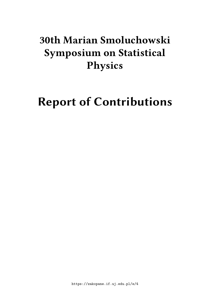# **30th Marian Smoluchowski Symposium on Statistical Physics**

# **Report of Contributions**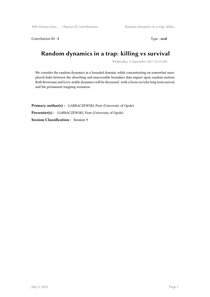Contribution ID : 3 Type : **oral** 

# **Random dynamics in a trap: killing vs survival**

*Wednesday, 6 September 2017 12:15 (20)*

We consider the random dynamics in a bounded domain, while concentrating on somewhat unexplored links between the absorbing and inaccessible boundarz data impact upon random motion. Both Brownian and Levy-stable dynamics will be discussed , with a focus on tyhe long term surival, and the permanent trapping scenarios.

**Primary author(s) :** GARBACZEWSKI, Piotr (University of Opole) **Presenter(s) :** GARBACZEWSKI, Piotr (University of Opole) **Session Classification :** Session 9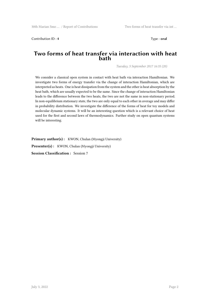Contribution ID : **4** Type : **oral**

### **Two forms of heat transfer via interaction with heat bath**

*Tuesday, 5 September 2017 16:35 (20)*

We consider a classical open system in contact with heat bath via interaction Hamiltonian. We investigate two forms of energy transfer via the change of interaction Hamiltonian, which are interpreted as heats. One is heat dissipation from the system and the other is heat absorption by the heat bath, which are usually expected to be the same. Since the change of interaction Hamiltonian leads to the difference between the two heats, the two are not the same in non-stationary period. In non-equilibrium stationary state, the two are only equal to each other in average and may differ in probability distribution. We investigate the difference of the forms of heat for toy models and molecular dynamic systems. It will be an interesting question which is a relevant choice of heat used for the first and second laws of thermodynamics. Further study on open quantum systems will be interesting.

Primary author(s): KWON, Chulan (Myongji University)

Presenter(s) : KWON, Chulan (Myongji University)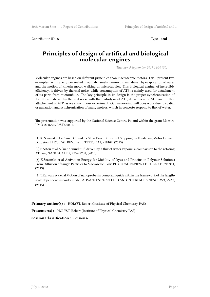Contribution ID : **6** Type : **oral** 

# **Principles of design of artifical and biological molecular engines**

*Tuesday, 5 September 2017 14:00 (30)*

Molecular engines are based on different principles than macroscopic motors. I will present two examples: artifical engine created in our lab namely nano-wind mill driven by evaporation of water and the motion of kinesin motor walking on microtubules. This biological engine, of incredibly efficiency, is driven by thermal noise, while consumption of ATP is mainly used for detachment of its parts from microtubule. The key principle in its design is the proper synchronization of its diffusion driven by thermal noise with the hydrolysis of ATP, detachment of ADP and further attachement of ATP, as we show in our experiment. Our nano-wind mill does work due to spatial organization and synchronization of many motors, which in concerto respond to flux of water.

The presentation was supported by the National Science Centre, Poland within the grant Maestro UMO-2016/22/A/ST4/00017.

[1] K. Sozanski et al Small Crowders Slow Down Kinesin-1 Stepping by Hindering Motor Domain Diffusion, PHYSICAL REVIEW LETTERS, 115, 218102, (2015).

[2] P.Niton et al A "nano-windmill" driven by a flux of water vapour: a comparison to the rotating ATPase, NANOSCALE 5, 9732-9738, (2013).

[3] K.Sozanski et al Activation Energy for Mobility of Dyes and Proteins in Polymer Solutions: From Diffusion of Single Particles to Macroscale Flow, PHYSICAL REVIEW LETTERS 111, 228301, (2013).

[4] T.Kalwarczyk et al Motion of nanoprobes in complex liquids within the framework of the lengthscale dependent viscosity model, ADVANCES IN COLLOID AND INTERFACE SCIENCE 223, 55-63, (2015).

**Primary author(s):** HOLYST, Robert (Institute of Physical Chemistry PAS)

**Presenter(s) :** HOLYST, Robert (Institute of Physical Chemistry PAS)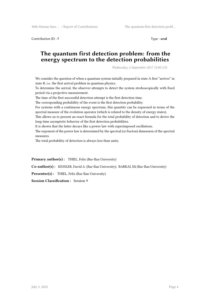Contribution ID : **7** Type : **oral**

# **The quantum first detection problem: from the energy spectrum to the detection probabilities**

*Wednesday, 6 September 2017 12:00 (15)*

We consider the question of when a quantum system initially prepared in state A first "arrives" in state B, i.e. the first arrival problem in quantum physics.

To determine the arrival, the observer attempts to detect the system stroboscopically with fixed period via a projective measurement.

The time of the first successful detection attempt is the first detection time.

The corresponding probability of the event is the first detection probability.

For systems with a continuous energy spectrum, this quantity can be expressed in terms of the spectral measure of the evolution operator (which is related to the density of energy states).

This allows us to present an exact formula for the total probability of detection and to derive the long-time asymptotic behavior of the first detection probabilities.

It is shown that the latter decays like a power law with superimposed oscillations.

The exponent of the power law is determined by the spectral (or fracton) dimension of the spectral measures.

The total probability of detection is always less than unity.

Primary author(s): THIEL, Felix (Bar-Ilan University)

**Co-author(s) :** KESSLER, David A. (Bar-Ilan University); BARKAI, Eli (Bar-Ilan University)

**Presenter(s) :** THIEL, Felix (Bar-Ilan University)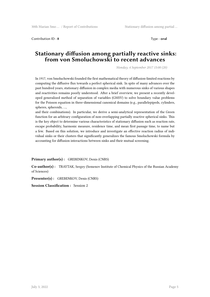Contribution ID : **8** Type : **oral**

# **Stationary diffusion among partially reactive sinks: from von Smoluchowski to recent advances**

*Monday, 4 September 2017 15:00 (20)*

In 1917, von Smoluchowski founded the first mathematical theory of diffusion-limited reactions by computing the diffusive flux towards a perfect spherical sink. In spite of many advances over the past hundred years, stationary diffusion in complex media with numerous sinks of various shapes and reactivities remains poorly understood. After a brief overview, we present a recently developed generalized method of separation of variables (GMSV) to solve boundary value problems for the Poisson equation in three-dimensional canonical domains (e.g., parallelepipeds, cylinders, spheres, spheroids, …,

and their combinations). In particular, we derive a semi-analytical representation of the Green function for an arbitrary configuration of non-overlapping partially reactive spherical sinks. This is the key object to determine various characteristics of stationary diffusion such as reaction rate, escape probability, harmonic measure, residence time, and mean first passage time, to name but a few. Based on this solution, we introduce and investigate an effective reaction radius of individual sinks or their clusters that significantly generalizes the famous Smoluchowski formula by accounting for diffusion interactions between sinks and their mutual screening.

**Primary author(s) :** GREBENKOV, Denis (CNRS)

**Co-author(s) :** TRAYTAK, Sergey (Semenov Institute of Chemical Physics of the Russian Academy of Sciences)

**Presenter(s) :** GREBENKOV, Denis (CNRS)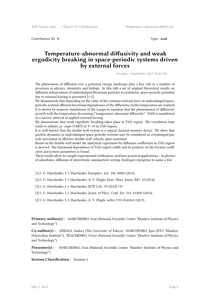Contribution ID : **9** Type : **oral** 

## **Temperature-abnormal diffusivity and weak ergodicity breaking in space-periodic systems driven by external forces**

*Monday, 4 September 2017 15:00 (20)*

The phenomena of diffusion over a potential energy landscape play a key role in a number of processes in physics, chemistry and biology. In this talk a set of original theoretical results on diffusion enhancement of underdamped Brownian particles in symmetric space-periodic potential due to external forcing is presented [1-5].

We demonstrate that depending on the value of the constant external force in underdamped spaceperiodic systems dfferent functional dependences of the diffusivity on the temperature are realized. It is shown by numeric simulations of the Langevin equation that the phenomenon of diffusivity growth with the temperature decreasing ("temperature-abnormal diffusivity"- TAD) is manifested in a narrow interval of applied external forcing.

We demonstrate that weak ergodicity breaking takes place in TAD region. The correlation time tends to infinity as  $~\text{exp}(+U/kBT)$  at T $\rightarrow$ 0 in TAD region.

It is well-known that the double-well system is a typical classical memory device. We show that particle dynamics in underdamped space periodic systems may be considered as overdamped particle movement in effective double-well velocity space potential.

Based on the double-well model the analytical expression for diffusion coefficients in TAD region is derived. The functional dependence of TAD region width and its position on the friction coefficient and system parameters is found.

These results allow for simple experimental verification, and have practical applications – in physics of adsorbates, diffusion of interstitials, nanoparticle sorting, hydrogen energetics to name a few.

[1] I. G. Marchenko, I. I. Marchenko, Europhys. Let. 100, 50005 (2012).

[2] I. G. Marchenko, I. I. Marchenko, A. V. Zhiglo, Euro. Phys. Journ. B87, 10 (2014).

[3] I. G. Marchenko, I. I. Marchenko, JETP Lett., 95 (2012) 137.

[4] I. G. Marchenko, I. I. Marchenko, Journ. of Phys. Conf. Ser. 514, 012045 (2014).

[5] I. G. Marchenko, I. I. Marchenko, A. V. Zhiglo, arXiv:1701.01424v2 (2017).

**Primary author(s) :** MARCHENKO, Ivan (National Scientific Centre "Kharkov Institute of Physics and Technology")

**Co-author(s) :** ZHIGLO, Andrey (The University of Tokyo); MARCHENKO, Igor (NTU "Kharkov Polytechnic Institute"); TKACHENKO, Victor (National Scientific Centre "Kharkov Institute of Physics and Technology")

**Presenter(s) :** MARCHENKO, Ivan (National Scientific Centre "Kharkov Institute of Physics and Technology")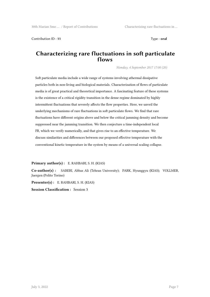Contribution ID : **11** Type : **oral**

### **Characterizing rare fluctuations in soft particulate flows**

*Monday, 4 September 2017 17:00 (20)*

Soft particulate media include a wide range of systems involving athermal dissipative particles both in non-living and biological materials. Characterization of flows of particulate media is of great practical and theoretical importance. A fascinating feature of these systems is the existence of a critical rigidity transition in the dense regime dominated by highly intermittent fluctuations that severely affects the flow properties. Here, we unveil the underlying mechanisms of rare fluctuations in soft particulate flows. We find that rare fluctuations have different origins above and below the critical jamming density and become suppressed near the jamming transition. We then conjecture a time-independent local FR, which we verify numerically, and that gives rise to an effective temperature. We discuss similarities and differences between our proposed effective temperature with the conventional kinetic temperature in the system by means of a universal scaling collapse.

**Primary author(s) :** E. RAHBARI, S. H. (KIAS)

**Co-author(s) :** SABERI, Abbas Ali (Tehran University); PARK, Hyunggyu (KIAS); VOLLMER, Juergen (Polito Torino)

**Presenter(s) :** E. RAHBARI, S. H. (KIAS)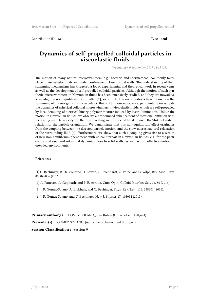Contribution ID : **12** Type : **oral** 

### **Dynamics of self-propelled colloidal particles in viscoelastic fluids**

*Wednesday, 6 September 2017 11:45 (15)*

The motion of many natural microswimmers, e.g. bacteria and spermatozoa, commonly takes place in viscoelastic fluids and under confinement close to solid walls. The understanding of their swimming mechanisms has triggered a lot of experimental and theoretical work in recent years as well as the development of self-propelled colloidal particles. Although the motion of such synthetic microswimmers in Newtonian fluids has been extensively studied, and they are nowadays a paradigm in non-equilibrium soft matter [1], so far only few investigations have focused on the swimming of microorganisms in viscoelastic fluids [2]. In our work, we experimentally investigate the dynamics of spherical colloidal microswimmers in viscoelastic fluids, which are self-propelled by local demixing of a critical binary polymer mixture induced by laser illumination. Unlike the motion in Newtonian liquids, we observe a pronounced enhancement of rotational diffusion with increasing particle velocity [3], thereby revealing an unexpected breakdown of the Stokes-Einstein relation for the particle orientation. We demonstrate that this non-equilibrium effect originates from the coupling between the directed particle motion, and the slow microstructural relaxation of the surrounding fluid [4]. Furthermore, we show that such a coupling gives rise to a wealth of new non-equilibrium phenomena with no counterpart in Newtonian liquids, e.g. for the particle translational and rotational dynamics close to solid walls, as well as for collective motion in crowded environments.

#### References

[1] C. Bechinger, R. Di Leonardo, H. Löwen, C. Reichhardt, G. Volpe, and G. Volpe, Rev. Mod. Phys. 88, 045006 (2016).

- [2] A. Patteson, A. Gopinath, and P. E. Arratia, Curr. Opin. Colloid Interface Sci., 21, 86 (2016).
- [3] J. R. Gomez-Solano, A. Blokhuis, and C. Bechinger, Phys. Rev. Lett. 116, 138301 (2016).
- [4] J. R. Gomez-Solano, and C. Bechinger, New J. Physics 17, 103032 (2015).

**Primary author(s):** GOMEZ SOLANO, Juan Ruben (Universitaet Stuttgart)

**Presenter(s) :** GOMEZ SOLANO, Juan Ruben (Universitaet Stuttgart)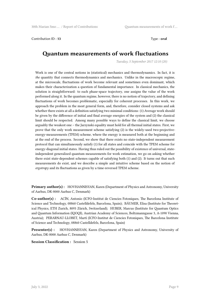#### Contribution ID : **13** Type : **oral**

# **Quantum measurements of work fluctuations**

*Tuesday, 5 September 2017 12:10 (20)*

Work is one of the central notions in (statistical) mechanics and thermodynamics. In fact, it is *the* quantity that connects thermodynamics and mechanics. Unlike in the macroscopic regime, at the microscale, fluctuations of work become relevant and sometimes even dominant, which makes their characterization a question of fundamental importance. In classical mechanics, the solution is straightforward: to each phase-space trajectory, one assigns the value of the work performed along it. In the quantum regime, however, there is no notion of trajectory, and defining fluctuations of work becomes problematic, especially for coherent processes. In this work, we approach the problem in the most general form, and, therefore, consider closed systems and ask whether there exists at all a definition satisfying two minimal conditions: (1) Average work should be given by the difference of initial and final average energies of the system and (2) the classical limit should be respected. Among many possible ways to define the classical limit, we choose arguably the weakest one – the Jarzynski equality must hold for all thermal initial states. First, we prove that the only work measurement scheme satisfying (2) is the widely-used two-projectiveenergy-measurements (TPEM) scheme, where the energy is measured both at the beginning and at the end of the process. Second, we show that there exists no state-independent measurement protocol that can simultaneously satisfy (1) for all states and coincide with the TPEM scheme for energy-diagonal initial states. Having thus ruled out the possibility of existence of universal, stateindependent generalized quantum measurements for work estimation, we go on asking whether there exist state-dependent schemes capable of satisfying both (1) and (2). It turns out that such measurements do exist, and we describe a simple and intuitive scheme based on the notion of *ergotropy* and its fluctuations as given by a time-reversed TPEM scheme.

**Primary author(s) :** HOVHANNISYAN, Karen (Department of Physics and Astronomy, University of Aarhus, DK-8000 Aarhus C, Denmark)

**Co-author(s) :** ACÍN, Antonio (ICFO-Institut de Ciencies Fotoniques, The Barcelona Institute of Science and Technology, 08860 Castelldefels, Barcelona, Spain); BÄUMER, Elisa (Institute for Theoretical Physics, ETH Zurich, 8093 Zürich, Switzerland); HUBER, Marcus (Institute for Quantum Optics and Quantum Information (IQOQI), Austrian Academy of Sciences, Boltzmanngasse 3, A-1090 Vienna, Austria); PERARNAU-LLOBET, Martí (ICFO-Institut de Ciencies Fotoniques, The Barcelona Institute of Science and Technology, 08860 Castelldefels, Barcelona, Spain)

**Presenter(s) :** HOVHANNISYAN, Karen (Department of Physics and Astronomy, University of Aarhus, DK-8000 Aarhus C, Denmark)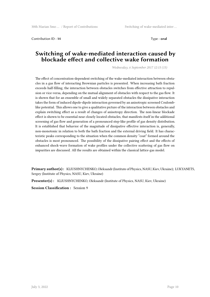Contribution ID : **14** Type : **oral**

# **Switching of wake-mediated interaction caused by blockade effect and collective wake formation**

*Wednesday, 6 September 2017 12:15 (15)*

The effect of concentration-dependent switching of the wake-mediated interaction between obstacles in a gas flow of interacting Brownian particles is presented. When increasing bath fraction exceeds half-filling, the interaction between obstacles switches from effective attraction to repulsion or vice-versa, depending on the mutual alignment of obstacles with respect to the gas flow. It is shown that for an ensemble of small and widely separated obstacles the dissipative interaction takes the form of induced dipole-dipole interaction governed by an anisotropic screened Coulomblike potential. This allows one to give a qualitative picture of the interaction between obstacles and explain switching effect as a result of changes of anisotropy direction. The non-linear blockade effect is shown to be essential near closely located obstacles, that manifests itself in the additional screening of gas flow and generation of a pronounced step-like profile of gas density distribution. It is established that behavior of the magnitude of dissipative effective interaction is, generally, non-monotonic in relation to both the bath fraction and the external driving field. It has characteristic peaks corresponding to the situation when the common density "coat" formed around the obstacles is most pronounced. The possibility of the dissipative pairing effect and the effects of enhanced shock-wave formation of wake profiles under the collective scattering of gas flow on impurities are discussed. All the results are obtained within the classical lattice-gas model.

**Primary author(s) :** KLIUSHNYCHENKO, Oleksandr (Institute of Physics, NASU, Kiev, Ukraine); LUKYANETS, Sergey (Institute of Physics, NASU, Kiev, Ukraine)

**Presenter(s) :** KLIUSHNYCHENKO, Oleksandr (Institute of Physics, NASU, Kiev, Ukraine)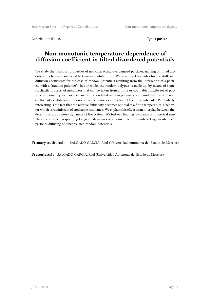Contribution ID: 15 Type : **poster** 

# **Non-monotonic temperature dependence of diffusion coefficient in tilted disordered potentials**

We study the transport properties of non-interacting overdamped particles, moving on tilted disordered potentials, subjected to Gaussian white noise. We give exact formulas for the drift and diffusion coefficients for the case of random potentials resulting from the interaction of a particle with a "random polymer". In our model the random polymer is made up, by means of some stochastic process, of monomers that can be taken from a finite or countable infinite set of possible monomer types. For the case of uncorrelated random polymers we found that the diffusion coefficient exhibits a non- monotonous behavior as a function of the noise intensity. Particularly interesting is the fact that the relative diffusivity becomes optimal at a finite temperature, a behavior which is reminiscent of stochastic resonance. We explain this effect as an interplay between the deterministic and noisy dynamics of the system. We test our findings by means of numerical simulations of the corresponding Langevin dynamics of an ensemble of noninteracting overdamped particles diffusing on uncorrelated random potentials

**Primary author(s) :** SALGADO-GARCIA, Raul (Universidad Autonoma del Estado de Morelos)

**Presenter(s) :** SALGADO-GARCIA, Raul (Universidad Autonoma del Estado de Morelos)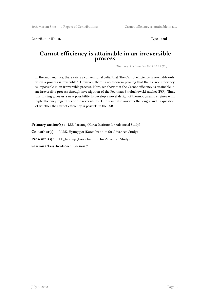Contribution ID: 16 Type : **oral** 

### **Carnot efficiency is attainable in an irreversible process**

*Tuesday, 5 September 2017 16:15 (20)*

In thermodynamics, there exists a conventional belief that "the Carnot efficiency is reachable only when a process is reversible." However, there is no theorem proving that the Carnot efficiency is impossible in an irreversible process. Here, we show that the Carnot efficiency is attainable in an irreversible process through investigation of the Feynman-Smoluchowski ratchet (FSR). Thus, this finding gives us a new possibility to develop a novel design of thermodynamic engines with high efficiency regardless of the reversibility. Our result also answers the long-standing question of whether the Carnot efficiency is possible in the FSR.

**Primary author(s):** LEE, Jaesung (Korea Institute for Advanced Study) **Co-author(s) :** PARK, Hyunggyu (Korea Institute for Advanced Study) Presenter(s) : LEE, Jaesung (Korea Institute for Advanced Study) **Session Classification :** Session 7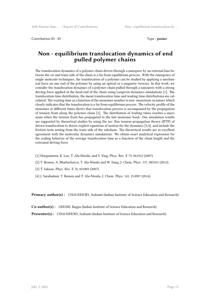Contribution ID : **17** Type : **poster** 

# **Non - equilibrium translocation dynamics of end pulled polymer chains**

The translocation dynamics of a polymer chain driven through a nanopore by an external bias between the cis and trans side of the chain is a far from equilibrium process. With the emergence of single molecule techniques, the translocation of a polymer can be studied by applying a mechanical force on one end of the polymer by using an optical or a magnetic tweezer. In this work, we consider the translocation dynamics of a polymer chain pulled through a nanopore with a strong driving force applied at the head end of the chain using Langevin dynamics simulations [1]. The translocation time distribution, the mean translocation time and waiting time distributions are calculated. The waiting time as a function of the monomer number is non- monotonic in nature which clearly indicates that the translocation is a far from equilibrium process. The velocity profile of the monomer at different times shows that translocation process is accompanied by the propagation of tension front along the polymer chain [2]. The distribution of waiting times reaches a maximum when the tension front has propagated to the last monomer bead. Our simulation results are supported by theoretical studies by using the iso- flux tension propagation theory (IFTP) of driven translocation to derive explicit equations of motion for the dynamics [3,4], and include the friction term arising from the trans side of the subchain. The theoretical results are in excellent agreement with the molecular dynamics simulations. We obtain exact analytical expression for the scaling behavior of the average translocation time as a function of the chain length and the exteranal driving force.

- [1] Huopaniemi, K. Luo, T. Ala-Nissila, and S. Ying, Phys. Rev. E 75, 061912 (2007).
- [2] T. Ikonen, A. Bhattacharya, T. Ala-Nissila and W. Sung, J. Chem. Phys. 137, 085101 (2012).
- [3] T. Sakaue, Phys. Rev. E 76, 021803 (2007).
- [4] J. Sarabadani, T. Ikonen and T. Ala-Nissila, J. Chem. Phys. 141, 214907 (2014).

**Primary author(s):** CHAUDHURY, Srabanti (Indian Institute of Science Education and Research)

**Co-author(s) :** GHOSH, Bappa (Indian Institute of Science Education and Research)

**Presenter(s) :** CHAUDHURY, Srabanti (Indian Institute of Science Education and Research)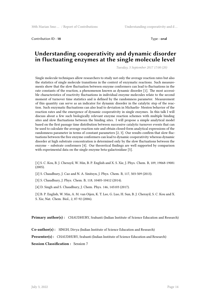Contribution ID : **18** Type : **oral**

### **Understanding cooperativity and dynamic disorder in fluctuating enzymes at the single molecule level**

*Tuesday, 5 September 2017 17:00 (20)*

Single molecule techniques allow researchers to study not only the average reaction rates but also the statistics of single molecule transitions in the context of enzymatic reactions. Such measurements show that the slow fluctuation between enzyme conformers can lead to fluctuations in the rate constants of the reaction, a phenomenon known as dynamic disorder [1]. The most accessible characteristics of reactivity fluctuations in individual enzyme molecules relate to the second moment of turnover time statistics and is defined by the randomness parameter. Measurement of this quantity can serve as an indicator for dynamic disorder in the catalytic step of the reaction. Such enzymatic fluctuations can also lead to deviation in Michaelis- Menten behavior of the reaction rates and the emergence of dynamic cooperativity in single enzymes. In this talk I will discuss about a few such biologically relevant enzyme reaction schemes with multiple binding sites and slow fluctuations between the binding sites. I will propose a simple analytical model based on the first passage time distribution between successive catalytic turnover events that can be used to calculate the average reaction rate and obtain closed-form analytical expressions of the randomness parameter in terms of constant parameters [2, 3]. Our results confirm that slow fluctuations between the free enzyme conformers can lead to dynamic cooperativity whereas dynamic disorder at high substrate concentration is determined only by the slow fluctuations between the enzyme – substrate conformers [4]. Our theoretical findings are well supported by comparison with experimental data on the single enzyme beta-galactosidase [5].

[1] S. C. Kou, B. J. Cherayil, W. Min, B. P. English and X. S. Xie, J. Phys. Chem. B, 109, 19068-19081 (2005).

[2] S. Chaudhury, J. Cao and N. A. Sinitsyn, J. Phys. Chem. B, 117, 503-509 (2013).

[3] S. Chaudhury, J. Phys. Chem. B, 118, 10405-10412 (2014).

[4] D. Singh and S. Chaudhury, J. Chem. Phys. 146, 145103 (2017).

[5] B. P. English, W. Min, A. M. van Oijen, K. T. Lee, G. Luo, H. Sun, B. J. Cherayil, S. C. Kou and X. S. Xie, Nat. Chem. Biol., 2, 87-92 (2006).

**Primary author(s):** CHAUDHURY, Srabanti (Indian Institute of Science Education and Research)

**Co-author(s) :** SINGH, Divya (Indian Institute of Science Education and Research)

**Presenter(s) :** CHAUDHURY, Srabanti (Indian Institute of Science Education and Research)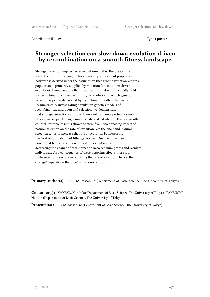Contribution ID: 19 Type : **poster** 

# **Stronger selection can slow down evolution driven by recombination on a smooth fitness landscape**

Stronger selection implies faster evolution—that is, the greater the force, the faster the change. This apparently self-evident proposition, however, is derived under the assumption that genetic variation within a population is primarily supplied by mutation (i.e. mutation-driven evolution). Here, we show that this proposition does not actually hold for recombination-driven evolution, i.e. evolution in which genetic variation is primarily created by recombination rather than mutation. By numerically investigating population genetics models of recombination, migration and selection, we demonstrate that stronger selection can slow down evolution on a perfectly smooth fitness landscape. Through simple analytical calculation, this apparently counter-intuitive result is shown to stem from two opposing effects of natural selection on the rate of evolution. On the one hand, natural selection tends to increase the rate of evolution by increasing the fixation probability of fitter genotypes. One the other hand, however, it tends to decrease the rate of evolution by decreasing the chance of recombination between immigrants and resident individuals. As a consequence of these opposing effects, there is a finite selection pressure maximizing the rate of evolution; hence, the change" depends on theforce" non-monotonically.

**Primary author(s) :** UEDA, Masahiko (Department of Basic Science, The University of Tokyo)

**Co-author(s) :** KANEKO, Kunihiko (Department of Basic Science, The University of Tokyo); TAKEUCHI, Nobuto (Department of Basic Science, The University of Tokyo)

**Presenter(s) :** UEDA, Masahiko (Department of Basic Science, The University of Tokyo)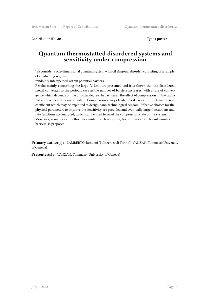Contribution ID: 20 Type : **poster** 

# **Quantum thermostatted disordered systems and sensitivity under compression**

We consider a one-dimensional quantum system with off diagonal disorder, consisting of a sample of conducting regions

randomly interspersed within potential barriers.

Results mainly concerning the large *N* limit are presented and it is shown that the disordered model converges to the periodic case as the number of barriers increases, with a rate of convergence which depends on the disorder degree. In particular, the effect of compression on the transmission coefficient is investigated. Compression always leads to a decrease of the transmission coefficient which may be exploited to design nano-technological sensors. Effective choices for the physical parameters to improve the sensitivity are provided and eventually large fluctuations and rate functions are analysed, which can be used to revel the compression state of the system. Moreover, a numerical method to simulate such a system, for a physically relevant number of barriers, is proposed.

**Primary author(s) :** LAMBERTO, Rondoni (Politecnico di Torino); VANZAN, Tommaso (University of Geneva)

**Presenter(s) :** VANZAN, Tommaso (University of Geneva)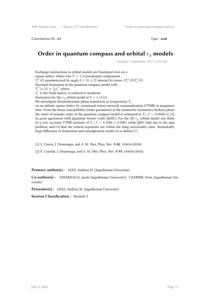Contribution ID : **21** Type : **oral** 

# **Order in quantum compass and orbital** *e<sup>g</sup>* **models**

*Tuesday, 5 September 2017 11:30 (20)*

Exchange interactions in orbital models are frustrated even on a square lattice, where two  $T = 1/2$  pseudospin components *T*<sub>*i*</sub><sup> $\gamma$ </sup>(*θ*) parameterized by angle *θ ∈* (0*, π*/2] interact by terms *JT*<sup> $\gamma$ </sup>(*θ*)*T*<sub>*j*</sub><sup> $\gamma$ </sup>(*θ*). Maximal frustration in the quantum compass model with  $T_i^{\gamma}(\pi/2) \equiv \frac{1}{2}\sigma_i^{\gamma}$ , where  $\sigma_i^{\gamma}$  is the Pauli matrix, is reduced to moderate frustration for the  $e_g$  orbital model at  $\theta = \pi/3$  [1]. We investigate thermodynamic phase transitions at temperature *T<sup>c</sup>* on an infinite square lattice by variational tensor network renormalization (VTNR) in imaginary time. From the linear susceptibility (order parameter) in the symmetric (symmetry-broken) phase the onset of nematic order in the quantum compass model is estimated at  $T_c/J = 0.0606(4)$  [2], in good agreement with Quantum Monte Carlo (QMC). For the 2D *e<sup>g</sup>* orbital model one finds: (*i*) a very accurate VTNR estimate of  $T_c/J = 0.3566 \pm 0.0001$  while QMC fails due to the sign problem, and (*ii*) that the critical exponents are within the Ising universality class. Remarkably large difference in frustration and entanglement results in so distinct *Tc*.

[1] L. Cincio, J. Dziarmaga, and A. M. Oleś, Phys. Rev. B **82**, 104416 (2010).

[2] P. Czarnik, J. Dziarmaga, and A. M. Oleś, Phys. Rev. B **93**, 184410 (2016).

#### **Primary author(s):** OLES, Andrzej M. (Jagiellonian University)

**Co-author(s) :** DZIARMAGA, Jacek (Jagiellonian University); CZARNIK, Piotr (Jagiellonian University)

**Presenter(s) :** OLES, Andrzej M. (Jagiellonian University)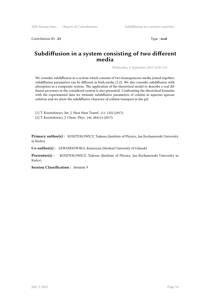Contribution ID: 23 Type : **oral** 

### **Subdiffusion in a system consisting of two different media**

*Wednesday, 6 September 2017 12:00 (15)*

We consider subdiffusion in a system which consists of two homogeneous media joined together; subdiffusion parameters can be different in both media [1,2]. We also consider subdiffusion with absorption in a composite system. The application of the theoretical model to describe a real diffusion processes in the considered system is also presented. Confronting the theoretical formulas with the experimental data we estimate subdiffusive parameters of colistin in aqueous agarose solution and we show the subdiffusive character of colistin transport in the gel.

[1] T. Kosztołowicz, Int. J. Heat Mass Transf. 111, 1322 (2017).

[2] T. Kosztołowicz, J. Chem. Phys. 146, 084114 (2017).

**Primary author(s) :** KOSZTOLOWICZ, Tadeusz (Institute of Physics, Jan Kochanowski University in Kielce)

**Co-author(s) :** LEWANDOWSKA, Katarzyna (Medical University of Gdansk)

Presenter(s) : KOSZTOLOWICZ, Tadeusz (Institute of Physics, Jan Kochanowski University in Kielce)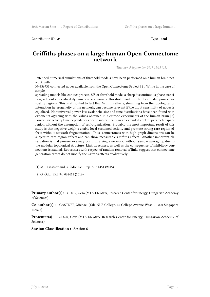Contribution ID : 24 Type : **oral** 

### **Griffiths phases on a large human Open Connectome network**

*Tuesday, 5 September 2017 15:15 (15)*

Extended numerical simulations of threshold models have been performed on a human brain network with

N=836733 connected nodes available from the Open Connectome Project [1]. While in the case of simple

spreading models like contact process, SIS or threshold model a sharp discontinuous phase transition, without any critical dynamics arises, variable threshold models exhibit extended power-law scaling regions. This is attributed to fact that Griffiths effects, stemming from the topological or interaction heterogeneity of the network, can become relevant if the input sensitivity of nodes is equalized. Nonuniversal power-law avalanche size and time distributions have been found with exponents agreeing with the values obtained in electrode experiments of the human brain [2]. Power-law activity time dependences occur sub-critically in an extended control parameter space region without the assumption of self-organization. Probably the most important result of this study is that negative weights enable local sustained activity and promote strong rare-region effects without network fragmentation. Thus, connectomes with high graph dimensions can be subject to rare-region effects and can show measurable Griffiths effects. Another important observation is that power-laws may occur in a single network, without sample averaging, due to the modular topological structure. Link directness, as well as the consequence of inhibitory connections is studied. Robustness with respect of random removal of links suggest that connectome generation errors do not modify the Griffths effects qualitatively.

[1] M.T. Gastner and G. Ódor, Sci. Rep. 5 , 14451 (2015).

[2] G. Ódor PRE 94, 062411 (2016).

**Primary author(s) :** ODOR, Geza (MTA-EK-MFA, Research Center for Energy, Hungarian Academy of Sciences)

**Co-author(s) :** GASTNER, Michael (Yale-NUS College, 16 College Avenue West, 01-220 Singapore 138527)

**Presenter(s) :** ODOR, Geza (MTA-EK-MFA, Research Center for Energy, Hungarian Academy of Sciences)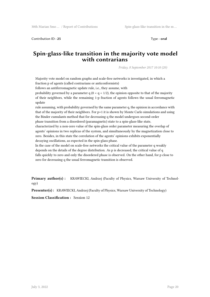Contribution ID : **25** Type : **oral**

# **Spin-glass-like transition in the majority vote model with contrarians**

*Friday, 8 September 2017 10:10 (20)*

Majority vote model on random graphs and scale-free networks is investigated, in which a fraction p of agents (called contrarians or anticonformists)

follows an antiferromagnetic update rule, i.e., they assume, with

probability governed by a parameter q  $(0 < q < 1/2)$ , the opinion opposite to that of the majority of their neighbors, while the remaining 1-p fraction of agents follows the usual ferromagnetic update

rule assuming, with probability governed by the same parameter q, the opinion in accordance with that of the majority of their neighbors. For p=1 it is shown by Monte Carlo simulations and using the Binder cumulants method that for decreasing q the model undergoes second-order phase transition from a disordered (paramagnetic) state to a spin-glass-like state,

characterized by a non-zero value of the spin-glass order parameter measuring the overlap of agents' opinions in two replicas of the system, and simultaneously by the magnetization close to zero. Besides, in this state the correlation of the agents' opinions exhibits exponentially decaying oscillations, as expected in the spin-glass phase.

In the case of the model on scale-free networks the critical value of the parameter q weakly depends on the details of the degree distribution. As p is decreased, the critical value of q falls quickly to zero and only the disordered phase is observed. On the other hand, for p close to zero for decreasing q the usual ferromagnetic transition is observed.

**Primary author(s) :** KRAWIECKI, Andrzej (Faculty of Physics, Warsaw University of Technology)

**Presenter(s) :** KRAWIECKI, Andrzej (Faculty of Physics, Warsaw University of Technology)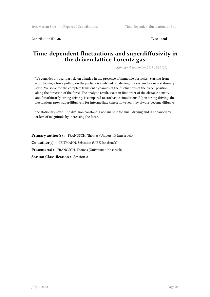Contribution ID: 26 Type: **oral** 

# **Time-dependent fluctuations and superdiffusivity in the driven lattice Lorentz gas**

*Monday, 4 September 2017 15:20 (20)*

We consider a tracer particle on a lattice in the presence of immobile obstacles. Starting from equilibrium, a force pulling on the particle is switched on, driving the system to a new stationary state. We solve for the complete transient dynamics of the fluctuations of the tracer position along the direction of the force. The analytic result, exact in first order of the obstacle density and for arbitrarily strong driving, is compared to stochastic simulations. Upon strong driving, the fluctuations grow superdiffusively for intermediate times; however, they always become diffusive in

the stationary state. The diffusion constant is nonanalytic for small driving and is enhanced by orders of magnitude by increasing the force.

**Primary author(s) :** FRANOSCH, Thomas (Universität Innsbruck)

**Co-author(s) :** LEITMANN, Sebastian (UIBK Innsbruck)

**Presenter(s) :** FRANOSCH, Thomas (Universität Innsbruck)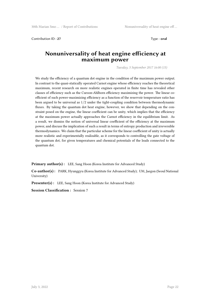Contribution ID : **27** Type : **oral**

### **Nonuniversality of heat engine efficiency at maximum power**

*Tuesday, 5 September 2017 16:00 (15)*

We study the efficiency of a quantum dot engine in the condition of the maximum power output. In contrast to the quasi-statically operated Carnot engine whose efficiency reaches the theoretical maximum, recent research on more realistic engines operated in finite time has revealed other classes of efficiency such as the Curzon-Ahlborn efficiency maximizing the power. The linear coefficient of such power-maximizing efficiency as a function of the reservoir temperature ratio has been argued to be universal as 1/2 under the tight-coupling condition between thermodynamic fluxes. By taking the quantum dot heat engine, however, we show that depending on the constraint posed on the engine, the linear coefficient can be unity, which implies that the efficiency at the maximum power actually approaches the Carnot efficiency in the equilibrium limit. As a result, we dismiss the notion of universal linear coefficient of the efficiency at the maximum power, and discuss the implication of such a result in terms of entropy production and irreversible thermodynamics. We claim that the particular scheme for the linear coefficient of unity is actually more realistic and experimentally realizable, as it corresponds to controlling the gate voltage of the quantum dot, for given temperatures and chemical potentials of the leads connected to the quantum dot.

**Primary author(s):** LEE, Sang Hoon (Korea Institute for Advanced Study)

**Co-author(s) :** PARK, Hyunggyu (Korea Institute for Advanced Study); UM, Jaegon (Seoul National University)

Presenter(s) : LEE, Sang Hoon (Korea Institute for Advanced Study)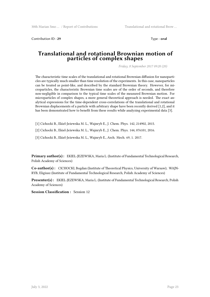Contribution ID : 29 Type : **oral** 

### **Translational and rotational Brownian motion of particles of complex shapes**

*Friday, 8 September 2017 09:20 (20)*

The characteristic time scales of the translational and rotational Brownian diffusion for nanoparticles are typically much smaller than time resolution of the experiments. In this case, nanoparticles can be treated as point-like, and described by the standard Brownian theory. However, for microparticles, the characteristic Brownian time scales are of the order of seconds, and therefore non-negligible in comparison to the typical time scales of the measured Brownian motion. For microparticles of complex shapes, a more general theoretical approach is needed. The exact analytical expressions for the time-dependent cross-correlations of the translational and rotational Brownian displacements of a particle with arbitrary shape have been recently derived [1,2], and it has been demonstrated how to benefit from these results while analyzing experimental data [3].

[1] Cichocki B., Ekiel-Jeżewska M. L., Wajnryb E., J. Chem. Phys. 142, 214902, 2015.

[2] Cichocki B., Ekiel-Jeżewska M. L., Wajnryb E., J. Chem. Phys. 144, 076101, 2016.

[3] Cichocki B., Ekiel-Jeżewska M. L., Wajnryb E., Arch. Mech. 69, 1. 2017.

**Primary author(s) :** EKIEL-JEZEWSKA, Maria L. (Institute of Fundamental Technological Research, Polish Academy of Sciences)

**Co-author(s) :** CICHOCKI, Bogdan (Institute of Theoretical Physics, University of Warsaw); WAJN-RYB, Eligiusz (Institute of Fundamental Technological Research, Polish Academy of Sciences)

**Presenter(s) :** EKIEL-JEZEWSKA, Maria L. (Institute of Fundamental Technological Research, Polish Academy of Sciences)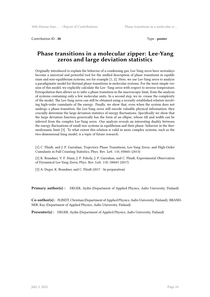Contribution ID : **30** Type : **poster** 

# **Phase transitions in a molecular zipper: Lee-Yang zeros and large deviation statistics**

Originally introduced to explain the behavior of a condensing gas, Lee-Yang zeros have nowadays become a universal and powerful tool for the unified description of phase transitions in equilibrium and non-equilibrium systems, see for example [1, 2]. Here, we use Lee-Yang zeros to analyze a paradigmatic model for thermal phase transitions in molecular systems. For the most simple version of this model, we explicitly calculate the Lee- Yang zeros with respect to inverse temperature. Extrapolation then allows us to infer a phase transition in the macroscopic limit, from the analysis of systems containing only a few molecular units. In a second step, we in- crease the complexity of the model. The Lee-Yang zeros can still be obtained using a recently established relation involving high-order cumulants of the energy. Finally, we show that, even when the system does not undergo a phase-transition, the Lee-Yang zeros still encode valuable physical information; they crucially determine the large deviation statistics of energy fluctuations. Specifically we show that the large deviation function generically has the form of an ellipse, whose tilt and width can be inferred from the complex Lee-Yang zeros. Our analysis reveals an interesting duality between the energy fluctuations of small-size systems in equilibrium and their phase- behavior in the thermodynamic limit [3]. To what extent this relation is valid in more complex systems, such as the two-dimensional Ising model, is a topic of future research.

[1] C. Flindt, and J. P. Garrahan, Trajectory Phase Transitions, Lee-Yang Zeros, and High-Order Cumulants in Full Counting Statistics, Phys. Rev. Lett. 110, 050601 (2013)

[2] K. Brandner, V. F. Maisi, J. P. Pekola, J. P. Garrahan, and C. Flindt, Experimental Observation of Dynamical Lee-Yang Zeros, Phys. Rev. Lett. 118, 180601 (2017)

[3] A. Deger, K. Brandner, and C. Flindt (2017 - In preparation)

**Primary author(s) :** DEGER, Aydin (Department of Applied Physics, Aalto University, Finland)

**Co-author(s) :** FLINDT, Christian (Department of Applied Physics, Aalto University, Finland); BRAND-NER, Kay (Department of Applied Physics, Aalto University, Finland)

**Presenter(s) :** DEGER, Aydin (Department of Applied Physics, Aalto University, Finland)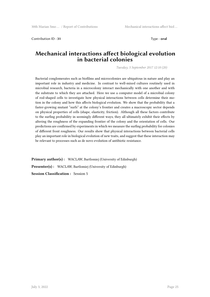Contribution ID : **31** Type : **oral**

## **Mechanical interactions affect biological evolution in bacterial colonies**

*Tuesday, 5 September 2017 12:10 (20)*

Bacterial conglomerates such as biofilms and microcolonies are ubiquitous in nature and play an important role in industry and medicine. In contrast to well-mixed cultures routinely used in microbial research, bacteria in a microcolony interact mechanically with one another and with the substrate to which they are attached. Here we use a computer model of a microbial colony of rod-shaped cells to investigate how physical interactions between cells determine their motion in the colony and how this affects biological evolution. We show that the probability that a faster-growing mutant "surfs" at the colony's frontier and creates a macroscopic sector depends on physical properties of cells (shape, elasticity, friction). Although all these factors contribute to the surfing probability in seemingly different ways, they all ultimately exhibit their effects by altering the roughness of the expanding frontier of the colony and the orientation of cells. Our predictions are confirmed by experiments in which we measure the surfing probability for colonies of different front roughness. Our results show that physical interactions between bacterial cells play an important role in biological evolution of new traits, and suggest that these interaction may be relevant to processes such as de novo evolution of antibiotic resistance.

**Primary author(s):** WACLAW, Bartlomiej (University of Edinburgh) **Presenter(s) :** WACLAW, Bartlomiej (University of Edinburgh) **Session Classification :** Session 5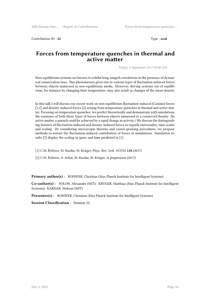Contribution ID : **32** Type : **oral** 

# **Forces from temperature quenches in thermal and active matter**

*Friday, 8 September 2017 09:40 (20)*

Non-equilibrium systems are known to exhibit long-ranged correlations in the presence of dynamical conservation laws. This phenomenon gives rise to various types of fluctuation-induced forces between objects immersed in non-equilibrium media. However, driving systems out of equilibrium, for instance by changing their temperature, may also result in changes of the mean density.

In this talk I will discuss our recent work on non-equilibrium fluctuation-induced (Casimir) forces [1,2] and density-induced forces [2] arising from temperature quenches in thermal and active matter. Focusing on temperature quenches, we predict theoretically and demonstrate with simulations the existence of both these types of forces between objects immersed in a conserved density. (In active matter, a quench could be achieved by a rapid change in activity.) We discuss the distinguishing features of fluctuation-induced and density-induced forces as regards universality, time-scales and scaling. By considering microscopic theories and coarse-graining procedures, we propose methods to extract the fluctuation-induced contribution of forces in simulations. Simulation results [2] display the scaling in space and time predicted in [1].

[1] C.M. Rohwer, M. Kardar, M. Krüger, Phys. Rev. Lett. 015702 **118** (2017)

[2] C.M. Rohwer, A. Solon, M. Kardar, M. Krüger, *in preparation* (2017)

Primary author(s): ROHWER, Christian (Max Planck Institute for Intelligent Systems)

**Co-author(s) :** SOLON, Alexandre (MIT); KRÜGER, Matthias (Max Planck Institute for Intelligent Systems); KARDAR, Mehran (MIT)

**Presenter(s):** ROHWER, Christian (Max Planck Institute for Intelligent Systems)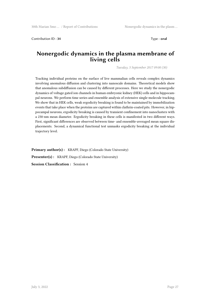Contribution ID: 34 Type: **oral** 

## **Nonergodic dynamics in the plasma membrane of living cells**

*Tuesday, 5 September 2017 09:00 (30)*

Tracking individual proteins on the surface of live mammalian cells reveals complex dynamics involving anomalous diffusion and clustering into nanoscale domains. Theoretical models show that anomalous subdiffusion can be caused by different processes. Here we study the nonergodic dynamics of voltage gated ion channels in human embryonic kidney (HEK) cells and in hippocampal neurons. We perform time series and ensemble analysis of extensive single-molecule tracking. We show that in HEK cells, weak ergodicity breaking is found to be maintained by immobilization events that take place when the proteins are captured within clathrin-coated pits. However, in hippocampal neurons, ergodicity breaking is caused by transient confinement into nanoclusters with a 230-nm mean diameter. Ergodicity breaking in these cells is manifested in two different ways. First, significant differences are observed between time- and ensemble-averaged mean square displacements. Second, a dynamical functional test unmasks ergodicity breaking at the individual trajectory level.

Primary author(s): KRAPF, Diego (Colorado State University) **Presenter(s) :** KRAPF, Diego (Colorado State University) **Session Classification :** Session 4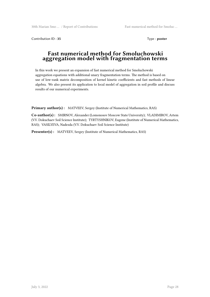Contribution ID: 35 Type : **poster** 

### **Fast numerical method for Smoluchowski aggregation model with fragmentation terms**

In this work we present an expansion of fast numerical method for Smoluchowski aggregation equations with additional unary fragmentation terms. The method is based on use of low-rank matrix decomposition of kernel kinetic coefficients and fast methods of linear algebra. We also present its application to local model of aggregation in soil profile and discuss results of our numerical experiments.

**Primary author(s) :** MATVEEV, Sergey (Institute of Numerical Mathematics, RAS)

**Co-author(s) :** SMIRNOV, Alexander (Lomonosov Moscow State University); VLADIMIROV, Artem (V.V. Dokuchaev Soil Science Institute); TYRTYSHNIKOV, Eugene (Institute of Numerical Mathematics, RAS); VASILYEVA, Nadezda (V.V. Dokuchaev Soil Science Institute)

Presenter(s) : MATVEEV, Sergey (Institute of Numerical Mathematics, RAS)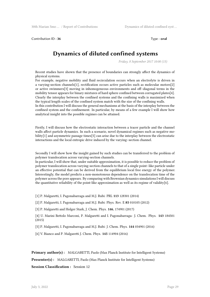Contribution ID : 36 Type : **oral** 

# **Dynamics of diluted confined systems**

*Friday, 8 September 2017 10:00 (15)*

Recent studies have shown that the presence of boundaries can strongly affect the dynamics of physical systems.

For example, negative mobility and fluid recirculation occurs when an electrolyte is driven in a varying-section channels[1], rectification occurs active particles such as molecular motors[2] or active swimmers[3] moving in inhomogeneous environments and off–diagonal terms in the mobility tensor appears for binary mixtures of hard sphere confined between corrugated plates[4]. Clearly the interplay between the confined systems and the confining walls is maximized when the typical length scales of the confined system match with the size of the confining walls.

In this contribution I will discuss the general mechanisms at the basis of the interplay between the confined system and the confinement. In particular, by means of a few example I will show how analytical insight into the possible regimes can be attained.

Firstly, I will discuss how the electrostatic interaction between a tracer particle and the channel walls affect particle dynamics. In such a scenario, novel dynamical regimes such as negative mobility[1] and asymmetric passage times[5] can arise due to the interplay between the electrostatic interactions and the local entropic drive induced by the varying–section channel.

Secondly I will show how the insight gained by such studies can be transferred to the problem of polymer translocation across varying-section channels.

In particular, I will show that, under suitable approximation, it is possible to reduce the problem of polymer translocation across varying-section channels to that of a single point–like particle under an effective potential that can be derived from the equilibrium local free energy of the polymer. Interestingly, the model predicts a non-monotonous dependence on the translocation time of the polymer across the pore appears. By comparing with Brownian dynamics simulations I will discuss the quantitative reliability of the point-like approximation as well as its regime of validity[6].

- [1] P. Malgaretti, I. Pagonabarraga and M.J. Rubi: PRL **113** 128301 (2014)
- [2] P. Malgaretti, I. Pagonabarraga and M.J. Rubi: Phys. Rev. E **85** 010105 (2012)
- [3] P. Malgaretti and Holger Stark, J. Chem. Phys. **146**, 174901 (2017)
- [4] U. Marini Bettolo Marconi, P. Malgaretti and I. Pagonabarraga: J. Chem. Phys. **143** 184501 (2015)
- [5] P. Malgaretti, I. Pagonabarraga and M.J. Rubi: J. Chem. Phys. **144** 034901 (2016)
- [6] V. Bianco and P. Malgaretti J. Chem. Phys. **145** 114904 (2016)

**Primary author(s):** MALGARETTI, Paolo (Max Planck Institute for Intelligent Systems)

Presenter(s) : MALGARETTI, Paolo (Max Planck Institute for Intelligent Systems)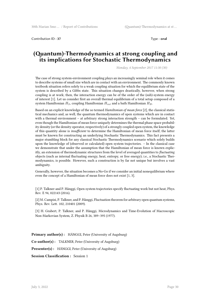Contribution ID : **37** Type : **oral**

### **(Quantum)-Thermodynamics at strong coupling and its implications for Stochastic Thermodynamics**

*Monday, 4 September 2017 11:30 (30)*

The case of strong system-environment coupling plays an increasingly seminal role when it comes to describe systems of small size which are in contact with an environment. The commonly known textbook situation refers solely to a weak coupling situation for which the equilibrium state of the system is described by a Gibbs state. This situation changes drastically, however, when strong coupling is at work; then, the interaction energy can be of the order of the (sub)-system energy of interest [1]. Let us consider first an overall thermal equilibrium of a total setup composed of a system Hamiltonian *HS*, coupling Hamiltonian *Hint* and a bath Hamiltonian *HB*.

Based on an explicit knowledge of the so termed *Hamiltonian of mean force* [2], the classical statistical mechanics and, as well, the quantum thermodynamics of open systems which are in contact with a thermal environment – at arbitrary strong interaction strength – can be formulated. Yet, even though the Hamiltonian of mean force uniquely determines the thermal phase space probability density (or the density operator, respectively) of a strongly coupled open system, the knowledge of this quantity alone is *insufficient* to determine the Hamiltonian of mean force itself; the latter must be known for constructing an underlying Stochastic Thermodynamics. This fact presents a major stumbling block for any classical Stochastic Thermodynamics scenario which solely builds upon the knowledge of (observed or calculated) open system trajectories. – In the classical case we demonstrate that under the assumption that the Hamiltonian of mean force is known explicitly, an extension of thermodynamic structures from the level of averaged quantities to *fluctuating* objects (such as internal fluctuating energy, heat, entropy, or free energy); i.e., a Stochastic Thermodynamics, is possible. However, such a construction is by far not unique but involves a vast ambiguity.

Generally, however, the situation becomes a No-Go if we consider an initial nonequilibrium where even the concept of a Hamiltonian of mean force does not exist [1, 3].

[1] P. Talkner and P. Hänggi, Open system trajectories specify fluctuating work but not heat, Phys. Rev. E 94, 022143 (2016).

[2] M. Campisi, P. Talkner, and P. Hänggi, Fluctuation theorem for arbitrary open quantum systems, Phys. Rev. Lett. 102, 210401 (2009).

[3] H. Grabert, P. Talkner, and P. Hänggi, Microdynamics and Time-Evolution of Macroscopic Non-Markovian System, Z. Physik B 26, 389–395 (1977).

**Primary author(s) :** HÄNGGI, Peter (University of Augsburg)

**Co-author(s) :** TALKNER, Peter (University of Augsburg)

**Presenter(s) :** HÄNGGI, Peter (University of Augsburg)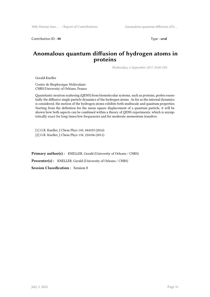Contribution ID: 40 Type: **oral** 

# **Anomalous quantum diffusion of hydrogen atoms in proteins**

*Wednesday, 6 September 2017 10:00 (30)*

Gerald Kneller

Centre de Biophysique Moléculaire CNRS/University of Orléans, France

Quasielastic neutron scattering (QENS) from biomolecular systems, such as proteins, probes essentially the diffusive single particle dynamics of the hydrogen atoms. As far as the internal dynamics is considered, the motion of the hydrogen atoms exhibits both multiscale and quantum properties. Starting from the definition for the mean square displacement of a quantum particle, it will be shown how both aspects can be combined within a theory of QENS experiments, which is asymptotically exact for long times/low frequencies and for moderate momentum transfers.

[1] G.R. Kneller, J Chem Phys 145, 044103 (2016) [2] G.R. Kneller, J Chem Phys 134, 224106 (2011)

**Primary author(s):** KNELLER, Gerald (University of Orleans / CNRS)

**Presenter(s) :** KNELLER, Gerald (University of Orleans / CNRS)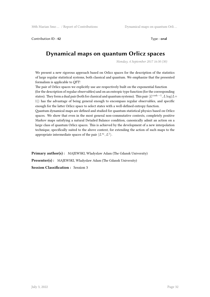Contribution ID: 42 Type : **oral** 

# **Dynamical maps on quantum Orlicz spaces**

*Monday, 4 September 2017 16:30 (30)*

We present a new rigorous approach based on Orlicz spaces for the description of the statistics of large regular statistical systems, both classical and quantum. We emphasize that the presented formalism is applicable to QFT!

The pair of Orlicz spaces we explicitly use are respectively built on the exponential function (for the description of regular observables) and on an entropic type function (for the corresponding states). They form a dual pair (both for classical and quantum systems). This pair  $\langle L^{\cosh -1}, L\log (L+1)\rangle$ 1)*⟩* has the advantage of being general enough to encompass regular observables, and specific enough for the latter Orlicz space to select states with a well-defined entropy function.

Quantum dynamical maps are defined and studied for quantum statistical physics based on Orlicz spaces. We show that even in the most general non-commutative contexts, completely positive Markov maps satisfying a natural Detailed Balance condition, canonically admit an action on a large class of quantum Orlicz spaces. This is achieved by the development of a new interpolation technique, specifically suited to the above context, for extending the action of such maps to the appropriate intermediate spaces of the pair  $\langle L^{\infty}, L^1 \rangle$ .

**Primary author(s):** MAJEWSKI, Wladyslaw Adam (The Gdansk University)

**Presenter(s):** MAJEWSKI, Wladyslaw Adam (The Gdansk University)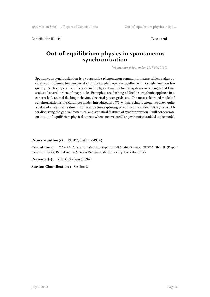Contribution ID: 44 Type: **oral** 

### **Out-of-equilibrium physics in spontaneous synchronization**

*Wednesday, 6 September 2017 09:20 (30)*

Spontaneous synchronization is a cooperative phenomenon common in nature which makes oscillators of different frequencies, if strongly coupled, operate together with a single common frequency. Such cooperative effects occur in physical and biological systems over length and time scales of several orders of magnitude. Examples: are flashing of fireflies, rhythmic applause in a concert hall, animal flocking behavior, electrical power-grids, etc. The most celebrated model of synchronization is the Kuramoto model, introduced in 1975, which is simple enough to allow quite a detailed analytical treatment, at the same time capturing several features of realistic systems. After discussing the general dynamical and statistical features of synchronization, I will concentrate on its out-of-equilibrium physical aspects when uncorrelated Langevin noise is added to the model.

**Primary author(s) :** RUFFO, Stefano (SISSA)

**Co-author(s) :** CAMPA, Alessandro (Istituto Superiore di Sanità, Roma); GUPTA, Shamik (Department of Physics, Ramakrishna Mission Vivekananda University, Kollkata, India)

**Presenter(s) :** RUFFO, Stefano (SISSA)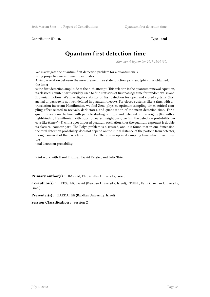Contribution ID : 46 Type : **oral** 

# **Quantum first detection time**

*Monday, 4 September 2017 15:00 (30)*

We investigate the quantum first detection problem for a quantum walk using projective measurement postulates.

A simple relation between the measurement free state function  $|psi|$  and  $|phi|$  n is obtained, the latter

is the first detection amplitude at the n-th attempt. This relation is the quantum renewal equation, its classical counter part is widely used to find statistics of first passage time for random walks and Brownian motion. We investigate statistics of first detection for open and closed systems (first arrival or passage is not well defined in quantum theory). For closed systems, like a ring, with a translation invariant Hamiltonian, we find Zeno physics, optimum sampling times, critical sampling effect related to revivals, dark states, and quantisation of the mean detection time. For a quantum walk on the line, with particle starting on  $|x_i|$  and detected on the origing  $|0\rangle$ , with a tight-binding Hamiltonian with hops to nearest neighbours, we find the detection probability decays like (time) $\wedge$ (-3) with super imposed quantum oscillation, thus the quantum exponent is double its classical counter part. The Polya problem is discussed, and it is found that in one dimension the total detection probability, does not depend on the initial distance of the particle from detector, though survival of the particle is not unity. There is an optimal sampling time which maximises the

total detection probability.

Joint work with Harel Fridman, David Kessler, and Felix Thiel.

**Primary author(s) :** BARKAI, Eli (Bar-Ilan University, Israel)

**Co-author(s) :** KESSLER, David (Bar-Ilan University, Israel); THIEL, Felix (Bar-Ilan University, Israel)

**Presenter(s) :** BARKAI, Eli (Bar-Ilan University, Israel)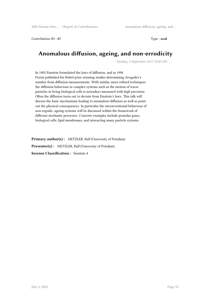Contribution ID: 47 Type: **oral** 

# **Anomalous diffusion, ageing, and non-errodicity**

*Tuesday, 5 September 2017 10:00 (30)*

In 1905 Einstein formulated the laws of diffusion, and in 1908 Perrin published his Nobel-prize winning studies determining Avogadro's number from diffusion measurements. With similar, more refined techniques the diffusion behaviour in complex systems such as the motion of tracer particles in living biological cells is nowadays measured with high precision. Often the diffusion turns out to deviate from Einstein's laws. This talk will discuss the basic mechanisms leading to anomalous diffusion as well as point out the physical consequences. In particular the unconventional behaviour of non-ergodic, ageing systems will be discussed within the framework of different stochastic processes. Concrete examples include granular gases, biological cells, lipid membranes, and interacting many particle systems.

**Primary author(s) :** METZLER, Ralf (University of Potsdam) **Presenter(s) :** METZLER, Ralf (University of Potsdam) **Session Classification :** Session 4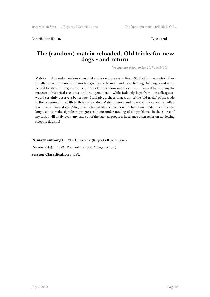Contribution ID: 48 Type: **oral** 

#### **The (random) matrix reloaded. Old tricks for new dogs - and return**

*Wednesday, 6 September 2017 16:45 (30)*

Matrices with random entries - much like cats - enjoy several lives. Studied in one context, they usually prove more useful in another, giving rise to more and more baffling challenges and unexpected twists as time goes by. But, the field of random matrices is also plagued by false myths, inaccurate historical accounts, and true gems that - while jealously kept from our colleagues would certainly deserve a better fate. I will give a cheerful account of the 'old tricks' of the trade in the occasion of the 89th birthday of Random Matrix Theory, and how well they assist us with a few - nasty - 'new dogs'. Also, how technical advancements in the field have made it possible - at long last - to make significant progresses in our understanding of old problems. In the course of my talk, I will likely get many cats out of the bag - as progress in science often relies on not letting sleeping dogs lie!

**Primary author(s) :** VIVO, Pierpaolo (King's College London)

**Presenter(s) :** VIVO, Pierpaolo (King's College London)

**Session Classification :** EPL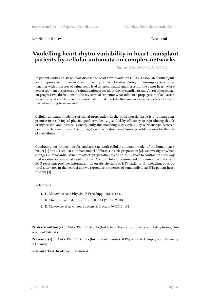Contribution ID : 49 Type : **oral** 

#### **Modelling heart rhytm variability in heart transplant patients by cellular automata on complex networks**

*Tuesday, 5 September 2017 10:00 (30)*

In patients with end-stage heart disease the heart transplantation (HTx) is associated with significant improvement in survival and in quality of life. However strong immunosuppressive drugs together with processes of aging could lead to vasculopathy and fibrosis of the donor heart. Moreover a spontaneous process of reinnervation proceeds in the myocardial tissue. All together impact on progressive alternations in the myocardial structure what influence propagation of activation wave fronts. A variety of arrhythmias – abnormal heart rhythm, may occur which adversely affect the patient long term survival.

Cellular automata modeling of signal propagation in the atrial muscle tissue is a rational compromise in resolving of physiological complexity, justified by efficiency in reproducing details of myocardial architecture. Consequently this modeling may explain key relationships between heart muscle structure and the propagation of activation wave fronts, possible reasons for the risk of arrhythmia.

Combining our proposition for stochastic network cellular automata model of the human pacemaker [1] and 2D cellular automata model of fibrosis in atria proposed in [2], we investigate which changes in myocardial structure affects propagation of cell-to-cell signals to contract in such way that we observe abnormal heart rhythm. 24-hour Holter measurement, a noninvasive and cheap ECG recording provides information on erratic rhythms of HTx patients. By modeling of structural alternates in the heart tissue we reproduce properties of some individual HTx patient heart rhythm [3].

#### References

- 1. D. Makowiec Acta Phys.Pol.B Proc.Suppl. 7(2014) 347
- 2. K. Christensen et al, Phys. Rev. Lett. 114 (2015) 028104
- 3. D. Makowiec et al, Chaos, Solitons & Fractals 90 (2016) 101

**Primary author(s):** MAKOWIEC, Danuta (Institute of Theoretical Physics and Astrophysics, University of Gdansk)

**Presenter(s) :** MAKOWIEC, Danuta (Institute of Theoretical Physics and Astrophysics, University of Gdansk)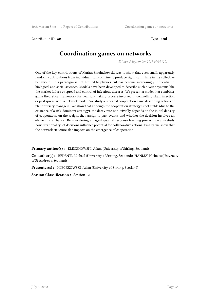Contribution ID: **50** Type : **oral** 

# **Coordination games on networks**

*Friday, 8 September 2017 09:30 (20)*

One of the key contributions of Marian Smoluchowski was to show that even small, apparently random, contributions from individuals can combine to produce significant shifts in the collective behaviour. This paradigm is not limited to physics but has become increasingly influential in biological and social sciences. Models have been developed to describe such diverse systems like the market failure or spread and control of infectious diseases. We present a model that combines game theoretical framework for decision-making process involved in controlling plant infection or pest spread with a network model. We study a repeated cooperation game describing actions of plant nursery managers. We show that although the cooperation strategy is not stable (due to the existence of a risk-dominant strategy), the decay rate non-trivially depends on the initial density of cooperators, on the weight they assign to past events, and whether the decision involves an element of a chance. By considering an agent quantal response learning process, we also study how 'irrationality' of decisions influence potential for collaborative actions. Finally, we show that the network structure also impacts on the emergence of cooperation.

Primary author(s): KLECZKOWSKI, Adam (University of Stirling, Scotland)

**Co-author(s) :** REDENTI, Michael (University of Stirling, Scotland); HANLEY, Nicholas (University of St Andrews, Scotland)

**Presenter(s):** KLECZKOWSKI, Adam (University of Stirling, Scotland)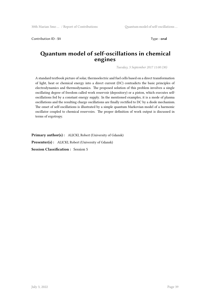Contribution ID : **51** Type : **oral**

## **Quantum model of self-oscillations in chemical engines**

*Tuesday, 5 September 2017 11:00 (30)*

A standard textbook picture of solar, thermoelectric and fuel cells based on a direct transformation of light, heat or chemical energy into a direct current (DC) contradicts the basic principles of electrodynamics and thermodynamics. The proposed solution of this problem involves a single oscillating degree of freedom called work reservoir (depository) or a piston, which executes selfoscillations fed by a constant energy supply. In the mentioned examples, it is a mode of plasma oscillations and the resulting charge oscillations are finally rectified to DC by a diode mechanism. The onset of self-oscillations is illustrated by a simple quantum Markovian model of a harmonic oscillator coupled to chemical reservoirs. The proper definition of work output is discussed in terms of ergotropy.

**Primary author(s) :** ALICKI, Robert (University of Gdansk)

**Presenter(s) :** ALICKI, Robert (University of Gdansk)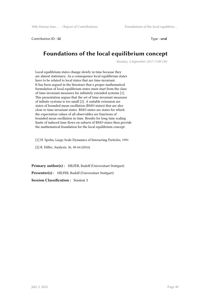Contribution ID: **52** Type : **oral** 

# **Foundations of the local equilibrium concept**

*Monday, 4 September 2017 17:00 (30)*

Local equilibrium states change slowly in time because they are almost stationary. As a consequence local equilibrium states have to be related to local states that are time-invariant. It has been argued in the literature that a proper mathematical formulation of local equilibrium states must start from the class of time-invariant measures for infinitely extended systems [1]. This presentation argues that the set of time-invariant measures of infinite systems is too small [2]. A suitable extension are states of bounded mean oscillation (BMO-states) that are also close to time-invariant states. BMO-states are states for which the expectation values of all observables are functions of bounded mean oscillation in time. Results for long time scaling limits of induced time flows on subsets of BMO-states then provide the mathematical foundation for the local equilibrium concept.

[1] H. Spohn, Large Scale Dynamics of Interacting Particles, 1991

[2] R. Hilfer, Analysis, 36, 49-64 (2016)

**Primary author(s) :** HILFER, Rudolf (Universitaet Stuttgart) **Presenter(s) :** HILFER, Rudolf (Universitaet Stuttgart) **Session Classification :** Session 3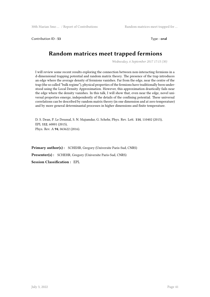Contribution ID: **53** Type : **oral** 

# **Random matrices meet trapped fermions**

*Wednesday, 6 September 2017 17:15 (30)*

I will review some recent results exploring the connection between non-interacting fermions in a d-dimensional trapping potential and random matrix theory. The presence of the trap introduces an edge where the average density of fermions vanishes. Far from the edge, near the centre of the trap (the so called "bulk regime"), physical properties of the fermions have traditionally been understood using the Local Density Approximation. However, this approximation drastically fails near the edge where the density vanishes. In this talk, I will show that, even near the edge, novel universal properties emerge, independently of the details of the confining potential. These universal correlations can be described by random matrix theory (in one dimension and at zero temperature) and by more general determinantal processes in higher dimensions and finite temperature.

D. S. Dean, P. Le Doussal, S. N. Majumdar, G. Schehr, Phys. Rev. Lett. **114**, 110402 (2015), EPL **112**, 60001 (2015), Phys. Rev. A **94**, 063622 (2016).

**Primary author(s) :** SCHEHR, Gregory (Universite Paris-Sud, CNRS)

**Presenter(s) :** SCHEHR, Gregory (Universite Paris-Sud, CNRS)

**Session Classification :** EPL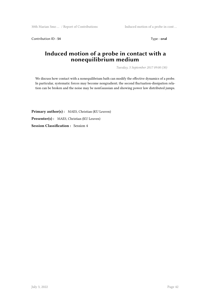Contribution ID : 54 Type : **oral** 

# **Induced motion of a probe in contact with a nonequilibrium medium**

*Tuesday, 5 September 2017 09:00 (30)*

We discuss how contact with a nonequilibrium bath can modify the effective dynamics of a probe. In particular, systematic forces may become nongradient; the second fluctuation-dissipation relation can be broken and the noise may be nonGaussian and showing power law distributed jumps.

Primary author(s): MAES, Christian (KU Leuven) **Presenter(s) :** MAES, Christian (KU Leuven) **Session Classification :** Session 4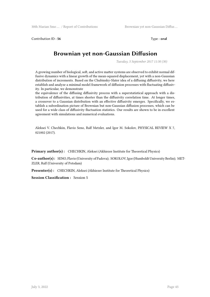Contribution ID: 56 Type: **oral** 

# **Brownian yet non-Gaussian Diffusion**

*Tuesday, 5 September 2017 11:30 (30)*

A growing number of biological, soft, and active matter systems are observed to exhibit normal diffusive dynamics with a linear growth of the mean-squared displacement, yet with a non-Gaussian distribution of increments. Based on the Chubinsky-Slater idea of a diffusing diffusivity, we here establish and analyze a minimal model framework of diffusion processes with fluctuating diffusivity. In particular, we demonstrate

the equivalence of the diffusing diffusivity process with a superstatistical approach with a distribution of diffusivities, at times shorter than the diffusivity correlation time. At longer times, a crossover to a Gaussian distribution with an effective diffusivity emerges. Specifically, we establish a subordination picture of Brownian but non-Gaussian diffusion processes, which can be used for a wide class of diffusivity fluctuation statistics. Our results are shown to be in excellent agreement with simulations and numerical evaluations.

Aleksei V. Chechkin, Flavio Seno, Ralf Metzler, and Igor M. Sokolov, PHYSICAL REVIEW X 7, 021002 (2017).

**Primary author(s) :** CHECHKIN, Aleksei (Akhiezer Institute for Theoretical Physics)

**Co-author(s) :** SENO, Flavio (University of Padova); SOKOLOV, Igor (Humboldt University Berlin); MET-ZLER, Ralf (University of Potsdam)

Presenter(s) : CHECHKIN, Aleksei (Akhiezer Institute for Theoretical Physics)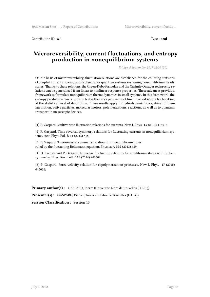Contribution ID : 57 Type : **oral** 

# **Microreversibility, current fluctuations, and entropy production in nonequilibrium systems**

*Friday, 8 September 2017 12:00 (30)*

On the basis of microreversibility, fluctuation relations are established for the counting statistics of coupled currents flowing across classical or quantum systems sustaining nonequilibrium steady states. Thanks to these relations, the Green-Kubo formulae and the Casimir-Onsager reciprocity relations can be generalized from linear to nonlinear response properties. These advances provide a framework to formulate nonequilibrium thermodynamics in small systems. In this framework, the entropy production can be interpreted as the order parameter of time-reversal symmetry breaking at the statistical level of description. These results apply to hydrodynamic flows, driven Brownian motion, active particles, molecular motors, polymerizations, reactions, as well as to quantum transport in mesoscopic devices.

[1] P. Gaspard, Multivariate fluctuation relations for currents, New J. Phys. **15** (2013) 115014.

[2] P. Gaspard, Time-reversal symmetry relations for fluctuating currents in nonequilibrium systems, Acta Phys. Pol. B **44** (2013) 815.

[3] P. Gaspard, Time-reversal symmetry relation for nonequilibrium flows ruled by the fluctuating Boltzmann equation, Physica A **392** (2013) 639.

[4] D. Lacoste and P. Gaspard, Isometric fluctuation relations for equilibrium states with broken symmetry, Phys. Rev. Lett. **113** (2014) 240602.

[5] P. Gaspard, Force-velocity relation for copolymerization processes, New J. Phys. **17** (2015) 045016.

**Primary author(s) :** GASPARD, Pierre (Universite Libre de Bruxelles (U.L.B.))

**Presenter(s) :** GASPARD, Pierre (Universite Libre de Bruxelles (U.L.B.))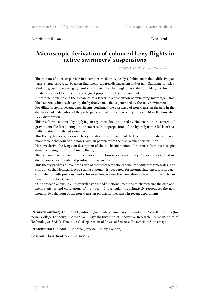Contribution ID : **58** Type : **oral**

### **Microscopic derivation of coloured Lévy flights in active swimmers' suspensions**

*Friday, 8 September 2017 09:35 (15)*

The motion of a tracer particle in a complex medium typically exhibits anomalous diffusive patterns, characterised, e.g, by a non-liner mean-squared displacement and/or non-Gaussian statistics. Modelling such fluctuating dynamics is in general a challenging task, that provides, despite all, a fundamental tool to probe the rheological properties of the environment.

A prominent example is the dynamics of a tracer in a suspension of swimming microorganisms, like bacteria, which is driven by the hydrodynamic fields generated by the active swimmers.

For dilute systems, several experiments confirmed the existence of non-Gaussian fat tails in the displacement distribution of the probe particle, that has been recently shown to fit well a truncated Lévy distribution.

This result was obtained by applying an argument first proposed by Holtsmark in the context of gravitation: the force acting on the tracer is the superposition of the hydrodynamic fields of spatially random distributed swimmers.

This theory, however, does not clarify the stochastic dynamics of the tracer, nor it predicts the non monotonic behaviour of the non-Gaussian parameter of the displacement distribution.

Here we derive the Langevin description of the stochastic motion of the tracer from microscopic dynamics using tools from kinetic theory.

The random driving force in the equation of motion is a coloured Lévy Poisson process, that induces power-law distributed position displacements.

This theory predicts a novel transition of their characteristic exponents at different timescales. For short ones, the Holtzmark-type scaling exponent is recovered; for intermediate ones, it is larger. Consistently with previous works, for even longer ones the truncation appears and the distribution converge to a Gaussian.

Our approach allows to employ well established functional methods to characterize the displacement statistics and correlations of the tracer. In particular, it qualitatively reproduces the non monotonic behaviour of the non-Gaussian parameter measured in recent experiments.

**Primary author(s) :** BAULE, Adrian (Queen Mary University of London); CAIROLI, Andrea (Imperial College London); KANAZAWA, Kiyoshi (Institute of Innovative Research, Tokyo Institute of Technology); SANO, Tomohiko G. (Department of Physical Sciences, Ritsumeikan University)

**Presenter(s) :** CAIROLI, Andrea (Imperial College London)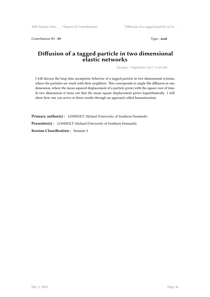Contribution ID: 59 Type : **oral** 

# **Diffusion of a tagged particle in two dimensional elastic networks**

*Tuesday, 5 September 2017 11:30 (20)*

I will discuss the long time asymptotic behavior of a tagged particle in two dimensional systems, where the particles are stuck with their neighbors. This corresponds to single-file diffusion in one dimension, where the mean squared displacement of a particle grows with the square root of time. In two dimensions it turns out that the mean square displacement grows logarithmically. I will show how one can arrive at these results through an approach called harmonization.

**Primary author(s) :** LOMHOLT, Michael (University of Southern Denmark) **Presenter(s) :** LOMHOLT, Michael (University of Southern Denmark) **Session Classification :** Session 5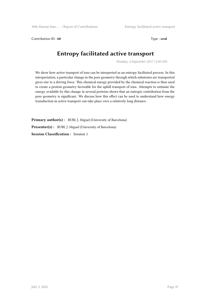Contribution ID : **60** Type : **oral** 

# **Entropy facilitated active transport**

*Monday, 4 September 2017 11:00 (30)*

We show how active transport of ions can be interpreted as an entropy facilitated process. In this interpretation, a particular change in the pore geometry through which substrates are transported gives rise to a driving force. This chemical energy provided by the chemical reaction is then used to create a protein geometry favorable for the uphill transport of ions. Attempts to estimate the energy available by this change in several proteins shows that an entropic contribution from the pore geometry is significant. We discuss how this effect can be used to understand how energy transduction in active transport can take place over a relatively long distance.

Primary author(s): RUBI, J. Miguel (University of Barcelona) **Presenter(s) :** RUBI, J. Miguel (University of Barcelona) **Session Classification :** Session 1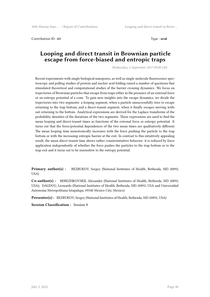Contribution ID : **61** Type : **oral** 

#### **Looping and direct transit in Brownian particle escape from force-biased and entropic traps**

*Wednesday, 6 September 2017 09:00 (30)*

Recent experiments with single biological nanopores, as well as single-molecule fluorescence spectroscopy and pulling studies of protein and nucleic acid folding raised a number of questions that stimulated theoretical and computational studies of the barrier crossing dynamics. We focus on trajectories of Brownian particles that escape from traps either in the presence of an external force or an entropy potential of a cone. To gain new insights into the escape dynamics, we divide the trajectories into two segments: a looping segment, when a particle unsuccessfully tries to escape returning to the trap bottom, and a direct-transit segment, when it finally escapes moving without returning to the bottom. Analytical expressions are derived for the Laplace transforms of the probability densities of the durations of the two segments. These expressions are used to find the mean looping and direct-transit times as functions of the external force or entropy potential. It turns out that the force/potential dependences of the two mean times are qualitatively different. The mean looping time monotonically increases with the force pushing the particle to the trap bottom or with the increasing entropic barrier at the exit. In contrast to this intuitively appealing result, the mean direct-transit time shows rather counterintuitive behavior: it is reduced by force application independently of whether the force pushes the particles to the trap bottom or to the trap exit and it turns out to be insensitive to the entropy potential.

**Primary author(s) :** BEZRUKOV, Sergey (National Institutes of Health, Bethesda, MD 20892, USA)

**Co-author(s) :** BEREZHKOVSKII, Alexander (National Institutes of Health, Bethesda, MD 20892, USA); DAGDUG, Leonardo (National Institutes of Health, Bethesda, MD 20892, USA and Universidad Autonoma Metropolitana-Iztapalapa, 09340 Mexico City, Mexico)

**Presenter(s) :** BEZRUKOV, Sergey (National Institutes of Health, Bethesda, MD 20892, USA)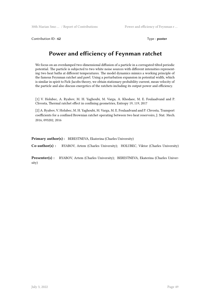Contribution ID: 62 Type : **poster** 

# **Power and efficiency of Feynman ratchet**

We focus on an overdamped two-dimensional diffusion of a particle in a corrugated tilted periodic potential. The particle is subjected to two white noise sources with different intensities representing two heat baths at different temperatures. The model dynamics mimics a working principle of the famous Feynman ratchet and pawl. Using a perturbation expansion in potential width, which is similar in spirit to Fick-Jacobs theory, we obtain stationary probability current, mean velocity of the particle and also discuss energetics of the ratchets including its output power and efficiency.

[1] V. Holubec, A. Ryabov, M. H. Yaghoubi, M. Varga, A. Khodaee, M. E. Foulaadvand and P. Chvosta, Thermal ratchet effect in confining geometries, Entropy 19, 119, 2017

[2] A. Ryabov, V. Holubec, M. H. Yaghoubi, M. Varga, M. E. Foulaadvand and P. Chvosta, Transport coefficients for a confined Brownian ratchet operating between two heat reservoirs, J. Stat. Mech. 2016, 093202, 2016

**Primary author(s):** BERESTNEVA, Ekaterina (Charles University)

**Co-author(s) :** RYABOV, Artem (Charles University); HOLUBEC, Viktor (Charles University)

**Presenter(s) :** RYABOV, Artem (Charles University); BERESTNEVA, Ekaterina (Charles University)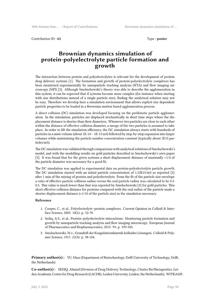Contribution ID : **63** Type : **poster** 

## **Brownian dynamics simulation of protein-polyelectrolyte particle formation and growth**

The interaction between protein and polyelectrolytes is relevant for the development of protein drug delivery systems [1]. The formation and growth of protein-polyelectrolyte complexes has been monitored experimentally by nanoparticle tracking analysis (NTA) and flow imaging microscopy (MFI) [2]. Although Smoluchowski's theory was able to describe the agglomeration in this system, it can be expected that if systems become more complex (for instance when starting with size distributions instead of a single particle size), finding the analytical solution may not be easy. Therefore we develop here a simulation environment that allows explicit size dependent particle properties to be loaded in a Brownian motion based agglomeration process.

A direct collision (DC) simulation was developed focusing on the perikinetic particle agglomeration. In the simulation, particles are displaced stochastically in short time steps where the displacement distance is shorter than their diameters. Whenever two particles are close to each other within the distance of effective collision diameter, a merge of the two particles is assumed to take place. In order to lift the simulation efficiency, the DC simulation always starts with hundreds of particles in a mini-volume (about 1E-14 – 1E-13 m3) followed by step-by-step expansion into larger volumes while maintaining the particle number concentration constant (typically about 1E15 particles/m3).

The DC simulation was validated through comparisons with analytical solutions of Smoluchowski's model, and with the modelling results on gold particles described in Smoluchowski's own paper [3]. It was found that for the given systems a short displacement distance of maximally ≈1/4 of the particle diameter was necessary for a good fit.

The DC simulation was applied to experimental data on protein-polyelectrolyte particle growth. The DC simulation started with an initial particle concentration of 1.23E15/m3 as reported [2] after 1 min of the mixing of protein and polyelectrolyte. From the fit of the particle size envelope a ratio of effective particle collision radius versus the real particle radius was calculated to be 0.2- 0.5. This value is much lower than that was reported by Smoluchowski [3] for gold particles. This short effective collision distance for proteins compared with the real radius of the particle made a shorter displacement distance ( $\approx$ 1/10 of the particle size) in the simulation necessary.

#### **Reference**

- 1. Cooper, C., et al., Polyelectrolyte–protein complexes. Current Opinion in Colloid & Interface Science, 2005. 10(1): p. 52-78.
- 2. Sediq, A.S., et al., Protein–polyelectrolyte interactions: Monitoring particle formation and growth by nanoparticle tracking analysis and flow imaging microscopy. European Journal of Pharmaceutics and Biopharmaceutics, 2015. 93: p. 339-345.
- 3. Smoluchowski, M.v., Grundriß der Koagulationskinetik kolloider Lösungen. Colloid & Polymer Science, 1917. 21(3): p. 98-104.

**Primary author(s):** YU, Miao (Department of Biotechnology, Delft University of Technology, Delft, the Netherlands)

**Co-author(s) :** SEDIQ, Ahmad (Division of Drug Delivery Technology, Cluster BioTherapeutics, Leiden Academic Centre for Drug Research (LACDR), Leiden University, Leiden, the Netherlands); WITKAMP,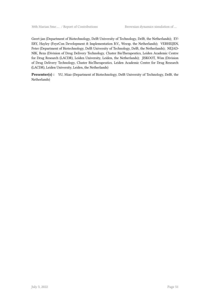Geert-jan (Department of Biotechnology, Delft University of Technology, Delft, the Netherlands); EV-ERY, Hayley (FeyeCon Development & Implementation B.V., Weesp, the Netherlands); VERHEIJEN, Peter (Department of Biotechnology, Delft University of Technology, Delft, the Netherlands); NEJAD-NIK, Reza (Division of Drug Delivery Technology, Cluster BioTherapeutics, Leiden Academic Centre for Drug Research (LACDR), Leiden University, Leiden, the Netherlands); JISKOOT, Wim (Division of Drug Delivery Technology, Cluster BioTherapeutics, Leiden Academic Centre for Drug Research (LACDR), Leiden University, Leiden, the Netherlands)

**Presenter(s) :** YU, Miao (Department of Biotechnology, Delft University of Technology, Delft, the Netherlands)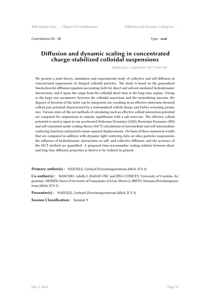Contribution ID : **72** Type : **oral** 

### **Diffusion and dynamic scaling in concentrated charge-stabilized colloidal suspensions**

*Wednesday, 6 September 2017 11:00 (30)*

We present a joint theory, simulation and experimental study of collective and self-diffusion in concentrated suspensions of charged colloidal particles. The study is based on the generalized Smoluchowski diffusion equation accounting both for direct and solvent-mediated hydrodynamic interactions, and it spans the range from the colloidal short-time to the long-time regime. Owing to the large size asymmetry between the colloidal macroions and the neutralising microns, the degrees of freedom of the latter can be integrated out, resulting in an effective (microion-dressed) colloid pair potential characterised by a renormalised colloid charge and Debye screening parameter. Various state-of-the-art methods of calculating such an effective colloid interaction potential are compared for suspensions in osmotic equilibrium with a salt reservoir. The effective colloid potential is used as input in our accelerated Stokesian Dynamics (ASD), Brownian Dynamics (BD) and self-consistent mode-couling theory (MCT) calculations of intermediate and self-intermediate scattering functions and particle mean-squared displacements. On basis of these numerical results that are compared in addition with dynamic light scattering data on silica particles suspensions, the influence of hydrodynamic interactions on self- and collective diffusion, and the accuracy of the MCT method are quantified. A proposed time-wavenumber scaling relation between shortand long time diffusion properties is shown to be violated in general.

**Primary author(s) :** NAEGELE, Gerhard (Forschungszentrum Jülich, ICS-3)

**Co-author(s) :** BANCHIO, Adolfo J. (FaMAF-UNC and IFEG-CONICET, University of Cordoba, Argentina); HEINEN, Marco (University of Guanajuato at Leon, Mexico); BRITO, Mariano (Forschungszentrum Jülich, ICS-3)

**Presenter(s) :** NAEGELE, Gerhard (Forschungszentrum Jülich, ICS-3)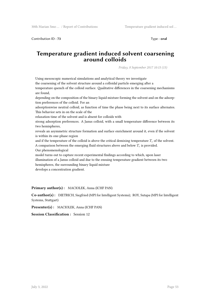Contribution ID : **73** Type : **oral**

### **Temperature gradient induced solvent coarsening around colloids**

*Friday, 8 September 2017 10:15 (15)*

Using mesoscopic numerical simulations and analytical theory we investigate

the coarsening of the solvent structure around a colloidal particle emerging after a

temperature quench of the colloid surface. Qualitative differences in the coarsening mechanisms are found,

depending on the composition of the binary liquid mixture forming the solvent and on the adsorption preferences of the colloid. For an

adsorptionwise neutral colloid, as function of time the phase being next to its surface alternates. This behavior sets in on the scale of the

relaxation time of the solvent and is absent for colloids with

strong adsorption preferences. A Janus colloid, with a small temperature difference between its two hemispheres,

reveals an asymmetric structure formation and surface enrichment around it, even if the solvent is within its one-phase region

and if the temperature of the colloid is above the critical demixing temperature  $T_c$  of the solvent. A comparison between the emerging fluid structures above and below *T<sup>c</sup>* is provided.

Our phenomenological

model turns out to capture recent experimental findings according to which, upon laser illumination of a Janus colloid and due to the ensuing temperature gradient between its two hemispheres, the surrounding binary liquid mixture

develops a concentration gradient.

**Primary author(s) :** MACIOLEK, Anna (ICHF PAN)

**Co-author(s) :** DIETRICH, Siegfried (MPI for Intelligent Systems); ROY, Sutapa (MPI for Intelligent Systems, Stuttgart)

**Presenter(s) :** MACIOLEK, Anna (ICHF PAN)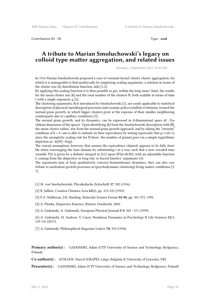Contribution ID : 74 Type : **oral** 

#### **A tribute to Marian Smoluchowski's legacy on colloid type matter aggregation, and related issues**

*Monday, 4 September 2017 14:30 (30)*

In 1916 Marian Smoluchowski proposed a case of constant-kernel cluster cluster aggregation, for which it is manageable to find analitycally by employing scaling arguments, a solution in terms of the cluster size (k) distribution function,  $n(k)$  [1,2].

By applying this scaling function it is then possible to get, within the long times' limit, the results for the mean cluster size  $\{k\}$  and the total number of the clusters N, both scalable in terms of time t with a single exponent, g [2].

The clustering arguments, first introduced by Smoluchowski [1], are easily applicable to statistical description of physical-metallurgical processes and ceramic-polycrystalline evolutions, termed the normal grain growth, in which bigger clusters grow at the expense of their smaller neighboring counterparts due to capillary conditions [3].

The normal grain growth, and its dynamics, can be expressed in d-dimensional space (d - Euclidean dimension of the space). Upon identifying  $\{k\}$  from the Smoluchowski description with  $\{R\}$ , the mean cluster radius' size from the normal grain growth approach, and by taking the "extreme" condition of k » 0, one is able to embark on their equivalence by stating rigorously that  $g=1/(d+1)$ , since the asymptotic scaling rule for N (here: the number of grains) goes via a simple logarithmic depiction as: ln[N]~-ln[g].

The crucial assumption, however, that assures the equivalence claimed, appears to be fully feasible when rearranging the time domain by substituting t in a way such that a new rescaled time variable  $T(t)$  is given by a definite integral in [0,t] upon  $dT(t)=dt/f(t)$ , with an adjustable function f, coming from the dispersive or long-tail, or fractal kinetics' arguments [4].

The arguments may at least qualitatively concern biomembranes dynamics; they can also contribute to nucleation-growth processes in (psychodynamic-clustering) living matter conditions [5- 7].

[1] M. von Smoluchowski, Physikalische Zeitschrift **17**, 585 (1916).

[2] R. Jullien, Croatica Chemica Acta **65**(2), pp. 215-235 (1992).

[3] P.A. Mulheran, J.H. Harding, Materials Science Forum **94-96**, pp. 367-372, 1992.

[4] A. Plonka, Dispersive Kinetics, Kluwer, Dordrecht, 2002.

[5] A. Gadomski, A. Gadomski, European Physical Journal B **9**, 569 - 571 (1999).

[6] A. Gadomski, M. Ausloos, T. Casey, Nonlinear Dynamics in Psychology & Life Sciences **21**/2, 129-141 (2017).

[7] A. Gadomski, Philosophical Magazine Letters **70**, 335 (1994).

**Primary author(s) :** GADOMSKI, Adam (UTP University of Science and Technology Bydgoszcz, Poland)

**Co-author(s) :** AUSLOOS, Marcel (GRAPES, Liège, Belgium & University of Leicester, UK)

**Presenter(s) :** GADOMSKI, Adam (UTP University of Science and Technology Bydgoszcz, Poland)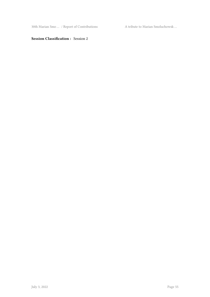30th Marian Smo $\ldots$ / Report of Contributions A tribute to Marian Smoluchowsk $\ldots$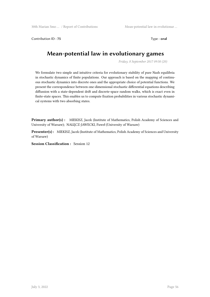Contribution ID: 75 Type : **oral** 

# **Mean-potential law in evolutionary games**

*Friday, 8 September 2017 09:50 (20)*

We formulate two simple and intuitive criteria for evolutionary stability of pure Nash equilibria in stochastic dynamics of finite populations. Our approach is based on the mapping of continuous stochastic dynamics into discrete ones and the appropriate choice of potential functions. We present the correspondence between one-dimensional stochastic differential equations describing diffussion with a state-dependent drift and discrete-space random walks, which is exact even in finite-state spaces. This enables us to compute fixation probabilities in various stochastic dynamical systems with two absorbing states.

Primary author(s) : MIEKISZ, Jacek (Institute of Mathematics, Polish Academy of Sciences and University of Warsaw); NAŁĘCZ-JAWECKI, Paweł (University of Warsaw)

**Presenter(s) :** MIEKISZ, Jacek (Institute of Mathematics, Polish Academy of Sciences and University of Warsaw)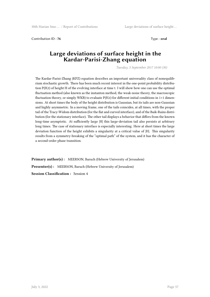Contribution ID : **76** Type : **oral**

### **Large deviations of surface height in the Kardar-Parisi-Zhang equation**

*Tuesday, 5 September 2017 10:00 (30)*

The Kardar-Parisi-Zhang (KPZ) equation describes an important universality class of nonequilibrium stochastic growth. There has been much recent interest in the one-point probability distribution P(H,t) of height H of the evolving interface at time t. I will show how one can use the optimal fluctuation method (also known as the instanton method, the weak-noise theory, the macroscopic fluctuation theory, or simply WKB) to evaluate  $P(H,t)$  for different initial conditions in  $1+1$  dimensions. At short times the body of the height distribution is Gaussian, but its tails are non-Gaussian and highly asymmetric. In a moving frame, one of the tails coincides, at all times, with the proper tail of the Tracy-Widom distribution (for the flat and curved interface), and of the Baik-Rains distribution (for the stationary interface). The other tail displays a behavior that differs from the known long-time asymptotic. At sufficiently large |H| this large-deviation tail also persists at arbitrary long times. The case of stationary interface is especially interesting. Here at short times the large deviation function of the height exhibits a singularity at a critical value of |H|. This singularity results from a symmetry-breaking of the "optimal path" of the system, and it has the character of a second-order phase transition.

**Primary author(s):** MEERSON, Baruch (Hebrew University of Jerusalem) **Presenter(s) :** MEERSON, Baruch (Hebrew University of Jerusalem) **Session Classification :** Session 4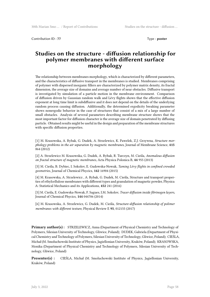Contribution ID : **77** Type : **poster** 

## **Studies on the structure - diffusion relationship for polymer membranes with different surface morphology**

The relationship between membranes morphology, which is characterized by different parameters, and the characteristics of diffusive transport in the membranes is studied. Membranes comprising of polymer with dispersed inorganic fillers are characterized by polymer matrix density, its fractal dimension, the average size of domains and average number of near obstacles. Diffusive transport is investigated by simulation of a particle motion in the membrane environment. Comparison of diffusion driven by Gaussian random walk and Lévy flights shows that the effective diffusion exponent at long time limit is subdiffusive and it does not depend on the details of the underlying random process causing diffusion. Additionally, the determined ergodicity breaking parameter shows nonergodic behavior in the case of structures that consist of a mix of a large number of small obstacles. Analysis of several parameters describing membrane structure shows that the most important factor for diffusion character is the average size of domain penetrated by diffusing particle. Obtained results might be useful in the design and preparation of the membrane structures with specific diffusion properties.

[1] M. Krasowska, A. Rybak, G. Dudek, A. Strzelewicz, K. Pawelek, Z.J. Grzywna, *Structure morphology problems in the air separation by magnetic membranes*, Journal of Membrane Science, **415** 864 (2012)

[2] A. Strzelewicz M. Krasowska, G. Dudek, A. Rybak, R. Turczyn, M. Cieśla, *Anomalous diffusion on fractal structure of magnetic membranes*, Acta Physica Polonica B, **44** 955 (2013)

[3] M. Cieśla, B. Dybiec, I. Sokolov, E. Gudowska-Nowak, *Taming Lévy flights in confined crowded geometries*, Journal of Chemical Phycics, **142** 16904 (2015)

[4] M. Krasowska, A. Strzelewicz , A. Rybak, G. Dudek, M. Cieśla, Structure and transport properties of ethylcellulose membranes with different types and granulation of magnetic powder, Physica A: Statistical Mechanics and its Applications, **452** 241 (2016)

[5] M. Cieśla, E. Gudowska-Nowak, F. Sagues, I.M. Sokolov, *Tracer diffusion inside fibrinogen layers*, Journal of Chemical Phycics, **144** 044706 (2014)

[6] M. Krasowska, A. Strzelewicz, G. Dudek, M. Cieśla, *Structure-diffusion relationship of polimer membranes with different texture*, Physical Review E **95**, 012155 (2017)

**Primary author(s) :** STRZELEWICZ, Anna (Department of Physical Chemistry and Technology of Polymers, Silesian University of Technology, Gliwice, Poland); DUDEK, Gabriela (Department of Physical Chemistry and Technology of Polymers, Silesian University of Technology, Gliwice, Poland); CIEŚLA, Michał (M. Smoluchowski Institute of Physics, Jagiellonian University, Kraków, Poland); KRASOWSKA, Monika (Department of Physical Chemistry and Technology of Polymers, Silesian University of Technology, Gliwice, Poland)

**Presenter(s) :** CIEŚLA, Michał (M. Smoluchowski Institute of Physics, Jagiellonian University, Kraków, Poland)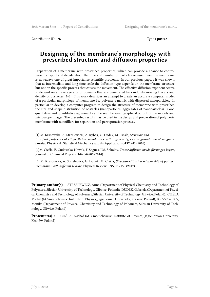Contribution ID : **78** Type : **poster** 

### **Designing of the membrane's morphology with prescribed structure and diffusion properties**

Preparation of a membrane with prescribed properties, which can provide a chance to control mass transport and decide about the time and number of particles released from the membrane is nowadays one of great importance scientific problems. In our previous papers it was shown that at intermediate and long time-scale the diffusion type depends on the membrane structure but not on the specific process that causes the movement. The effective diffusion exponent seems to depend on an average size of domains that are penetrated by randomly moving tracers and density of obstacles [1-3]. This work describes an attempt to create an accurate computer model of a particular morphology of membrane i.e. polymeric matrix with dispersed nanoparticles. In particular to develop a computer program to design the structure of membrane with prescribed the size and shape distribution of obstacles (nanoparticles, aggregates of nanoparticles). Good qualitative and quantitative agreement can be seen between graphical output of the models and microscopy images. The presented results may be used in the design and preparation of polymeric membrane with nanofillers for separation and pervaporation process.

[1] M. Krasowska, A. Strzelewicz , A. Rybak, G. Dudek, M. Cieśla, *Structure and transport properties of ethylcellulose membranes with different types and granulation of magnetic powder*, Physica A: Statistical Mechanics and its Applications, **452** 241 (2016)

[2]M. Cieśla, E. Gudowska-Nowak, F. Sagues, I.M. Sokolov, *Tracer diffusion inside fibrinogen layers*, Journal of Chemical Phycics, **144** 044706 (2014)

[3] M. Krasowska, A. Strzelewicz, G. Dudek, M. Cieśla, *Structure-diffusion relationship of polimer membranes with different texture*, Physical Review E **95**, 012155 (2017)

**Primary author(s) :** STRZELEWICZ, Anna (Department of Physical Chemistry and Technology of Polymers, Silesian University of Technology, Gliwice, Poland); DUDEK, Gabriela (Department of Physical Chemistry and Technology of Polymers, Silesian University of Technology, Gliwice, Poland); CIEŚLA, Michał (M. Smoluchowski Institute of Physics, Jagiellonian University, Kraków, Poland); KRASOWSKA, Monika (Department of Physical Chemistry and Technology of Polymers, Silesian University of Technology, Gliwice, Poland)

**Presenter(s) :** CIEŚLA, Michał (M. Smoluchowski Institute of Physics, Jagiellonian University, Kraków, Poland)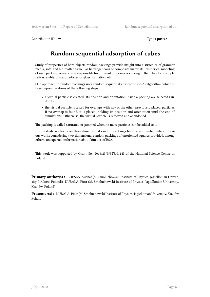Contribution ID: **79** Type : **poster** 

# **Random sequential adsorption of cubes**

Study of properties of hard objects random packings provide insight into a structure of granular media, soft- and bio-matter as well as heterogeneous or composite materials. Numerical modeling of such packing, reveals rules responsible for different processes occurring in them like for example self-assembly of nanoparticles or glass formation, etc.

One approach to random packings uses random sequential adsorption (RSA) algorithm, which is based upon iterations of the following steps:

- a virtual particle is created. Its position and orientation inside a packing are selected randomly.
- the virtual particle is tested for overlaps with any of the other, previously placed, particles. If no overlap is found, it is placed, holding its position and orientation until the end of simulations. Otherwise, the virtual particle is removed and abandoned.

The packing is called saturated or jammed when no more particles can be added to it.

In this study we focus on three dimensional random packings built of unoriented cubes. Previous works considering two-dimensional random packings of unoriented squares provided, among others, unexpected information about kinetics of RSA.

This work was supported by Grant No. 2016/23/B/ST3/01145 of the National Science Centre in Poland.

**Primary author(s) :** CIEŚLA, Michał (M. Smoluchowski Institute of Physics, Jagiellonian University, Kraków, Poland); KUBALA, Piotr (M. Smoluchowski Institute of Physics, Jagiellonian University, Kraków, Poland)

**Presenter(s) :** KUBALA, Piotr (M. Smoluchowski Institute of Physics, Jagiellonian University, Kraków, Poland)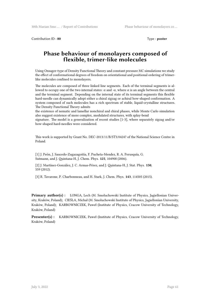Contribution ID : **80** Type : **poster** 

## **Phase behaviour of monolayers composed of flexible, trimer-like molecules**

Using Onsager-type of Density Functional Theory and constant pressure MC simulations we study the effect of conformational degrees of freedom on orientational and positional ordering of trimerlike molecules confined to monolayers.

The molecules are composed of three linked line segments. Each of the terminal segments is allowed to occupy one of the two internal states:  $\alpha$  and  $-\alpha$ , where  $\alpha$  is an angle between the central and the terminal segment. Depending on the internal state of its terminal segments this flexible hard-needle can dynamically adopt either a chiral zigzag or achiral bow-shaped conformation. A system composed of such molecules has a rich spectrum of stable, liquid-crystalline structures. The Density Functional Theory admits

the existence of nematic and lamellar nonchiral and chiral phases, while Monte Carlo simulation also suggest existence of more complex, modulated structures, with splay-bend

signature. The model is a generalization of recent studies [1-3], where separately zigzag and/or bow-shaped hard-needles were considered.

This work is supported by Grant No. DEC-2013/11/B/ST3/04247 of the National Science Centre in Poland.

[1] J. Peón, J. Saucedo-Zugazagoitia, F. Pucheta-Mendez, R. A. Perusquía, G. Sutmann, and J. Quintana-H, J. Chem. Phys. **125**, 104908 (2006).

[2] J. Martínez-González, J. C. Armas-Pérez, and J. Quintana-H, J. Stat. Phys. **150**, 559 (2012).

[3] R. Tavarone, P. Charbonneau, and H. Stark, J. Chem. Phys. **143**, 114505 (2015).

**Primary author(s) :** LONGA, Lech (M. Smoluchowski Institute of Physics, Jagiellonian University, Kraków, Poland); CIEŚLA, Michał (M. Smoluchowski Institute of Physics, Jagiellonian University, Kraków, Poland); KARBOWNICZEK, Paweł (Institute of Physics, Cracow University of Technology, Kraków, Poland)

**Presenter(s) :** KARBOWNICZEK, Paweł (Institute of Physics, Cracow University of Technology, Kraków, Poland)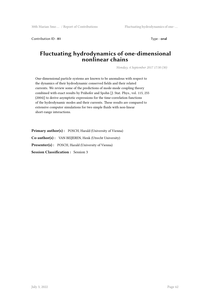Contribution ID: **81** Type : **oral** 

# **Fluctuating hydrodynamics of one-dimensional nonlinear chains**

*Monday, 4 September 2017 17:30 (30)*

One-dimensional particle systems are known to be anomalous with respect to the dynamics of their hydrodynamic conserved fields and their related currents. We review some of the predictions of mode-mode coupling theory combined with exact results by Prähofer and Spohn [J. Stat. Phys., vol. 115, 255 (2004)] to derive asymptotic expressions for the time-correlation functions of the hydrodynamic modes and their currents. These results are compared to extensive computer simulations for two simple fluids with non-linear short-range interactions.

**Primary author(s) :** POSCH, Harald (University of Vienna) **Co-author(s) :** VAN BEIJEREN, Henk (Utrecht University) **Presenter(s) :** POSCH, Harald (University of Vienna) **Session Classification :** Session 3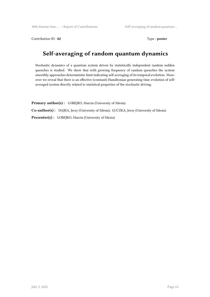Contribution ID: 82 Type: **poster** 

# **Self-averaging of random quantum dynamics**

Stochastic dynamics of a quantum system driven by statistically independent random sudden quenches is studied. We show that with growing frequency of random quenches the system smoothly approaches deterministic limit indicating self-averaging of its temporal evolution. Moreover we reveal that there is an effective (constant) Hamiltonian generating time evolution of selfaveraged system directly related to statistical properties of the stochastic driving.

Primary author(s): LOBEJKO, Marcin (University of Silesia) **Co-author(s) :** DAJKA, Jerzy (University of Silesia); ŁUCZKA, Jerzy (University of Silesia) **Presenter(s) :** LOBEJKO, Marcin (University of Silesia)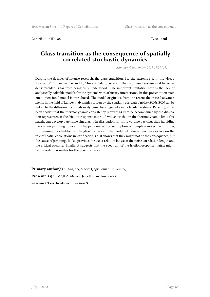Contribution ID : **85** Type : **oral**

# **Glass transition as the consequence of spatially correlated stochastic dynamics**

*Monday, 4 September 2017 17:20 (15)*

Despite the decades of intense research, the glass transition, i.e. the extreme rise in the viscosity (by  $10^{14}$  for molecular and  $10^3$  for colloidal glasses) of the disordered system as it becomes denser/colder, is far from being fully understood. One important limitation here is the lack of analytically solvable models for the systems with arbitrary interactions. In this presentation such one-dimensional model is introduced. The model originates from the recent theoretical advancements in the field of Langevin dynamics driven by the spatially correlated noise (SCN). SCN can be linked to the diffusion in colloids or dynamic heterogeneity in molecular systems. Recently, it has been shown that the thermodynamic consistency requires SCN to be accompanied by the dissipation represented as the friction-response matrix. I will show that in the thermodynamic limit, this matrix can develop a genuine singularity in dissipation for finite volume packing, thus heralding the system jamming. Since this happens under the assumption of complete molecular disorder, this jamming is identified as the glass transition. The model introduces new perspective on the role of spatial correlations in vitrification, i.e. it shows that they might not be the consequence, but the cause of jamming. It also provides the exact relation between the noise correlation length and the critical packing. Finally, it suggests that the spectrum of the friction-response matrix might be the order parameter for the glass transition.

**Primary author(s) :** MAJKA, Maciej (Jagiellonian University) **Presenter(s) :** MAJKA, Maciej (Jagiellonian University) **Session Classification :** Session 3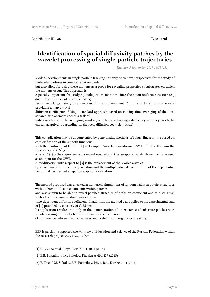Contribution ID : **86** Type : **oral** 

### **Identification of spatial diffusivity patches by the wavelet processing of single-particle trajectories**

*Tuesday, 5 September 2017 16:55 (15)*

Modern developments in single particle tracking not only open new perspectives for the study of molecular motions in complex environments,

but also allow for using these motions as a probe for revealing properties of substrates on which the motions occur. This approach is

especially important for studying biological membranes since their non-uniform structure (e.g. due to the presence of protein clusters)

results in a large variety of anomalous diffusion phenomena [1]. The first step on this way is providing a map of local

diffusion coefficients. Using a standard approach based on moving time averaging of the local squared displacements poses a task of

judicious choice of the averaging window, which, for achieving satisfactory accuracy, has to be chosen adaptively, depending on the local diffusion coefficient itself.

This complication may be circumvented by generalizing methods of robust linear fitting based on comlexification of the smooth functions

with their subsequent Fourier [2] or Complex Wavelet Transforms (CWT) [3]. For this aim the function  $\exp[i\Omega R^2(t)]$ ,

where  $R^2(t)$  is the step-wise displacement squared and  $\Omega$  is an appropriately chosen factor, is used as an input for the CWT.

A modification with respect to [3] is the replacement of the Morlet wavelet

by a combination of the Tukey window and the multiplicative decomposition of the exponential factor that assures better spatio-temporal localization.

The method proposed was checked in numerical simulations of random walks on patchy structures with different diffusion coefficients within patches,

and was shown to be able to reveal patched structure of diffusion coefficient and to distinguish such situations from random walks with a

time-dependent diffusion coefficient. In addition, the method was applied to the experimental data of [1] provided by courtesy of C. Manzo.

Its application resulted not only in the demonstration of an existence of substrate patches with slowly varying diffusivity but also allowed for a discussion

of a difference between such structures and systems with ergodicity breaking.

EBP is partially supported the Ministry of Education and Science of the Russian Federation within the research project \#3.9499.2017/8.9.

[1] C. Manzo et al., Phys. Rev. X **5** 011021 (2015)

[2] E.B. Postnikov, I.M. Sokolov, Physica A **434** 257 (2015)

[3] F. Thiel, I.M. Sokolov, E.B. Postnikov, Phys. Rev. E **93** 052104 (2016)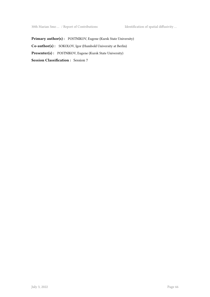Primary author(s): POSTNIKOV, Eugene (Kursk State University) **Co-author(s) :** SOKOLOV, Igor (Humbold University at Berlin) **Presenter(s) :** POSTNIKOV, Eugene (Kursk State University) **Session Classification :** Session 7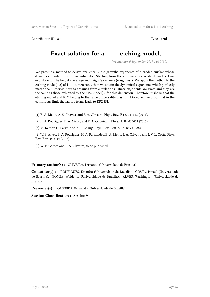Contribution ID: 87 Type: **oral** 

# **Exact solution for a** 1 + 1 **etching model.**

*Wednesday, 6 September 2017 11:30 (30)*

We present a method to derive analytically the growths exponents of a eroded surface whose dynamics is ruled by cellular automata. Starting from the automata, we write down the time evolution for the height's average and height's variance (roughness). We apply the method to the etching model[1,2] of  $1 + 1$  dimensions, than we obtain the dynamical exponents, which perfectly match the numerical results obtained from simulations. Those exponents are exact and they are the same as those exhibited by the KPZ model[3] for this dimension. Therefore, it shows that the etching model and KPZ belong to the same universality class[4]. Moreover, we proof that in the continuous limit the majors terms leads to KPZ [5].

[1] B. A. Mello, A. S. Chaves, and F. A. Oliveira, Phys. Rev. E 63, 041113 (2001).

[2] E. A. Rodrigues, B. A. Mello, and F. A. Oliveira, J. Phys. A 48, 035001 (2015).

[3] M. Kardar, G. Parisi, and Y. C. Zhang, Phys. Rev. Lett. 56, 9, 889 (1986).

[4] W. S. Alves, E. A. Rodrigues, H. A. Fernandes, B. A. Mello, F. A. Oliveira and I. V. L. Costa, Phys. Rev. E 94, 042119 (2016).

[5] W. P. Gomes and F. A. Oliveira, to be published.

**Primary author(s) :** OLIVEIRA, Fernando (Universidade de Brasília)

**Co-author(s) :** RODRIGUES, Evandro (Universidade de Brasília); COSTA, Ismael (Universidade de Brasília); GOMES, Waldenor (Universidade de Brasília); ALVES, Washington (Universidade de Brasília)

**Presenter(s) :** OLIVEIRA, Fernando (Universidade de Brasília)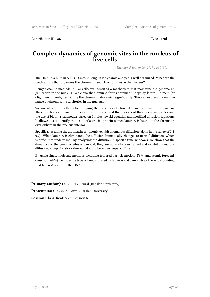Contribution ID : 88 Type : **oral** 

# **Complex dynamics of genomic sites in the nucleus of live cells**

*Tuesday, 5 September 2017 14:30 (30)*

The DNA in a human cell is ~3 meters long. It is dynamic and yet is well organized. What are the mechanisms that organizes the chromatin and chromosomes in the nucleus?

Using dynamic methods in live cells, we identified a mechanism that maintains the genome organization in the nucleus. We claim that lamin A forms chromatin loops by lamin A dimers (or oligomers) thereby restricting the chromatin dynamics significantly. This can explain the maintenance of chromosome territories in the nucleus.

We use advanced methods for studying the dynamics of chromatin and proteins in the nucleus. These methods are based on measuring the signal and fluctuations of fluorescent molecules and the use of biophysical models based on Smoluchowski equation and modified diffusion equations. It allowed us to identify that ~50% of a crucial protein named lamin A is bound to the chromatin everywhere in the nucleus interior.

Specific sites along the chromatin commonly exhibit anomalous diffusion (alpha in the range of 0.4- 0.7). When lamin A is eliminated, the diffusion dramatically changes to normal diffusion, which is difficult to understand. By analyzing the diffusion in specific time-windows, we show that the dynamics of the genomic sites is bimodal; they are normally constrained and exhibit anomalous diffusion, except for short time-windows where they super-diffuse.

By using single-molecule methods including tethered particle motion (TPM) and atomic force microscopy (AFM) we show the type of bonds formed by lamin A and demonstrate the actual bonding that lamin A forms on the DNA.

**Primary author(s):** GARINI, Yuval (Bar Ilan University)

Presenter(s) : GARINI, Yuval (Bar Ilan University)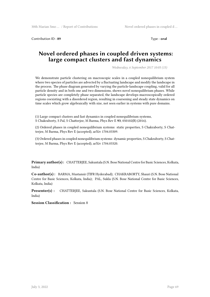Contribution ID : **89** Type : **oral** 

## **Novel ordered phases in coupled driven systems: large compact clusters and fast dynamics**

*Wednesday, 6 September 2017 10:05 (15)*

We demonstrate particle clustering on macroscopic scales in a coupled nonequilibrium system where two species of particles are advected by a fluctuating landscape and modify the landscape in the process. The phase diagram generated by varying the particle-landscape coupling, valid for all particle density and in both one and two dimensions, shows novel nonequilibrium phases. While particle species are completely phase separated, the landscape develops macroscopically ordered regions coexisting with a disordered region, resulting in coarsening and steady state dynamics on time scales which grow algebraically with size, not seen earlier in systems with pure domains.

(1) Large compact clusters and fast dynamics in coupled nonequilibrium systems, S Chakraborty, S Pal, S Chatterjee, M Barma, Phys Rev E **93**, 050102(R) (2016).

(2) Ordered phases in coupled nonequilibrium systems: static properties, S Chakraborty, S Chatterjee, M Barma, Phys Rev E (accepted), arXiv 1704.03309.

(3) Ordered phases in coupled nonequilibrium systems: dynamic properties, S Chakraborty, S Chatterjee, M Barma, Phys Rev E (accepted), arXiv 1704.03320.

**Primary author(s) :** CHATTERJEE, Sakuntala (S.N. Bose National Centre for Basic Sciences, Kolkata, India)

**Co-author(s) :** BARMA, Mustansir (TIFR Hyderabad); CHAKRABORTY, Shauri (S.N. Bose National Centre for Basic Sciences, Kolkata, India); PAL, Sukla (S.N. Bose National Centre for Basic Sciences, Kolkata, India)

**Presenter(s) :** CHATTERJEE, Sakuntala (S.N. Bose National Centre for Basic Sciences, Kolkata, India)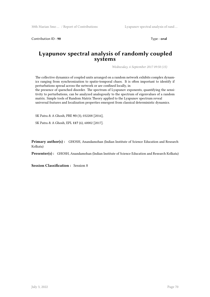Contribution ID: **90** Type : **oral** 

#### **Lyapunov spectral analysis of randomly coupled systems**

*Wednesday, 6 September 2017 09:50 (15)*

The collective dynamics of coupled units arranged on a random network exhibits complex dynamics ranging from synchronization to spatio-temporal chaos. It is often important to identify if perturbations spread across the network or are confined locally, in

the presence of quenched disorder. The spectrum of Lyapunov exponents, quantifying the sensitivity to perturbations, can be analyzed analogously to the spectrum of eigenvalues of a random matrix. Simple tools of Random Matrix Theory applied to the Lyapunov spectrum reveal universal features and localization properties emergent from classical deterministic dynamics.

SK Patra & A Ghosh, PRE **93** (3), 032208 [2016],

SK Patra & A Ghosh, EPL **117** (6), 60002 [2017].

**Primary author(s):** GHOSH, Anandamohan (Indian Institute of Science Education and Research Kolkata)

**Presenter(s) :** GHOSH, Anandamohan (Indian Institute of Science Education and Research Kolkata)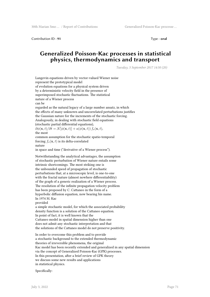Contribution ID : **91** Type : **oral**

### **Generalized Poisson-Kac processes in statistical physics, thermodynamics and transport**

*Tuesday, 5 September 2017 14:50 (20)*

Langevin equations driven by vector-valued Wiener noise represent the prototypical model of evolution equations for a physical system driven by a deterministic velocity field in the presence of superimposed stochastic fluctuations. The statistical nature of a Wiener process can be regarded as the natural legacy of a large number ansatz, in which the effects of many unknown and uncorrelated perturbations justifies the Gaussian nature for the increments of the stochastic forcing. Analogously, in dealing with stochastic field equations (stochastic partial differential equations),  $\partial \phi(\mathbf{x}, t)/\partial t = \mathcal{N}[\phi(\mathbf{x}, t)] + a(\phi(\mathbf{x}, t)) f_s(\mathbf{x}, t),$ the most common assumption for the stochastic spatio-temporal forcing  $f_s(\mathbf{x}, t)$  is its delta-correlated nature in space and time ("derivative of a Wiener process"). Notwithstanding the analytical advantages, the assumption of stochastic perturbation of Wiener nature entails some intrinsic shortcomings. The most striking one is the unbounded speed of propagation of stochastic perturbations that, at a microscopic level, is one-to-one with the fractal nature (almost nowhere differentiability) of the graph of a generic realization of a Wiener process. The resolution of the infinite propagation velocity problem has been proposed by C. Cattaneo in the form of a hyperbolic diffusion equation, now bearing his name. In 1974 M. Kac provided a simple stochastic model, for which the associated probability density function is a solution of the Cattaneo equation. In point of fact, it is well known that the Cattaneo model in spatial dimension higher than one does not admit any stochastic interpretation and that the solutions of the Cattaneo model do not preserve positivity. In order to overcome this problem and to provide a stochastic background to the extended thermodynamic theories of irreversible phenomena, the original Kac model has been recently extended and generalized in any spatial dimension via the concept of Generalized Poisson-Kac (GPK) processes. In this presentation, after a brief review of GPK theory we discuss some new results and applications

in statistical physics.

Specifically: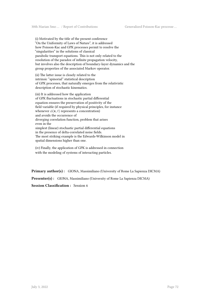(i) Motivated by the title of the present conference "On the Uniformity of Laws of Nature", it is addressed how Poisson-Kac and GPK processes permit to resolve the "singularities" in the solutions of classical parabolic transport equations. This is not only related to the resolution of the paradox of infinite propagation velocity, but involves also the description of boundary-layer dynamics and the group properties of the associated Markov operator.

(ii) The latter issue is closely related to the intrinsic "spinorial" statistical description of GPK processes, that naturally emerges from the relativistic description of stochastic kinematics.

(iii) It is addressed how the application of GPK fluctuations in stochastic partial differential equation ensures the preservation of positivity of the field variable (if required by physical principles, for instance whenever  $\phi(\mathbf{x}, t)$  represents a concentration) and avoids the occurrence of diverging correlation function, problem that arises even in the simplest (linear) stochastic partial differential equations in the presence of delta-correlated noise fields. The most striking example is the Edwards-Wilkinson model in spatial dimensions higher than one.

(iv) Finally, the application of GPK is addressed in connection with the modeling of systems of interacting particles.

**Primary author(s) :** GIONA, Massimiliano (University of Rome La Sapienza DICMA)

Presenter(s) : GIONA, Massimiliano (University of Rome La Sapienza DICMA)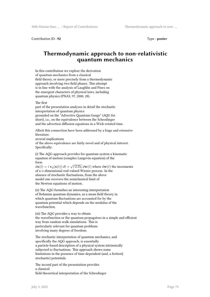Contribution ID: 92 Type : **poster** 

# **Thermodynamic approach to non-relativistic quantum mechanics**

In this contribution we explore the derivation of quantum mechanics from a classical field theory, or more precisely from a thermodynamic approach involving two field phases. This attempt is in line with the analysis of Laughlin and Pines on the emergent characters of physical laws, including quantum physics (PNAS, 97, 2000, 28).

#### The first

Specifically:

part of the presentation analyzes in detail the stochastic interpretation of quantum physics grounded on the "Advective Quantum Gauge" (AQG for short), i.e., on the equivalence between the Schrodinger and the advection diffusion equations in a Wick-rotated time.

Albeit this connection have been addressed by a huge and extensive literature, several implications of the above equivalence are fairly novel and of physical interest.

(i) The AQG approach provides for quantum system a kinematic equation of motion (complex Langevin equation) of the form

 $d\mathbf{x}(t) = i \mathbf{v}_q(\mathbf{x}(t)) dt + \sqrt{i 2 D_h} d\mathbf{w}(t)$  where  $d\mathbf{w}(t)$  the increments of a *n*-dimensional real-valued Wiener process. In the absence of stochastic fluctuations, from the above model one recovers the semiclassical limit of the Newton equations of motion.

(ii) The AQG furnishes an interesting interpretation of Bohmian quantum dynamics, as a mean field theory in which quantum fluctuations are accounted for by the quantum potential which depends on the modulus of the wavefunction.

(iii) The AQG provides a way to obtain the wavefunction or the quantum propagators in a simple and efficient way from random walk simulations. This is particularly relevant for quantum problems involving many degrees of freedom.

The stochastic interpretation of quantum mechanics, and specifically the AQG approach, is essentially a particle-based description of a physical system intrinsically subjected to fluctuations. This approach shows some limitations in the presence of time-dependent (and, a fortiori} stochastic) potentials.

The second part of the presentation provides a classical field-theoretical interpretation of the Schrodinger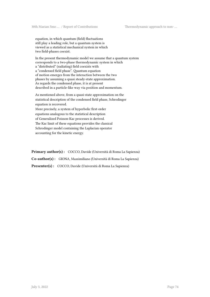equation, in which quantum (field) fluctuations still play a leading role, but a quantum system is viewed as a statistical mechanical system in which two field-phases coexist.

In the present thermodynamic model we assume that a quantum system corresponds to a two-phase thermodynamic system in which a "distributed" (radiating) field coexists with a "condensed field phase". Quantum equation of motion emerges from the interaction between the two phases by assuming a quasi steady-state approximation. As regards the condensed phase, it is at present described in a particle-like way via position and momentum.

As mentioned above, from a quasi-state approximation on the statistical description of the condensed field phase, Schrodinger equation is recovered. More precisely, a system of hyperbolic first-order equations analogous to the statistical description of Generalized Poisson-Kac processes is derived. The Kac limit of these equations provides the classical Schrodinger model containing the Laplacian operator accounting for the kinetic energy.

Primary author(s) : COCCO, Davide (Università di Roma La Sapienza) **Co-author(s) :** GIONA, Massimiliano (Università di Roma La Sapienza) **Presenter(s) :** COCCO, Davide (Università di Roma La Sapienza)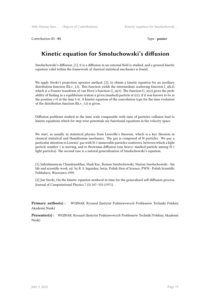Contribution ID : **93** Type : **poster** 

# **Kinetic equation for Smoluchowski's diffusion**

Smoluchowski's diffusion, [1], it is a diffusion in an external field is studied, and a general kinetic equation valid within the framework of classical statistical mechanics is found.

We apply Stecki's projection operator method, [2], to obtain a kinetic equation for an auxiliary distribution function f(k,v\_1,t). This function yields the intermediate scattering function  $I_s(k,t)$ , which is a Fourier transform of van Hove's function G\_s(r,t). The function G\_s(r,t) gives the probability of finding in a equilibrium system a given (marked) particle at (r,t), if it was known to be at the position  $r=0$  at the time t=0. A kinetic equation of the convolution type for the time evolution of the distribution function  $f(k, v_1, t)$  is given.

Diffusion problems studied in the time scale comparable with time of particles collision lead to kinetic equations which for step-wise potentials are functional equations in the velocity space.

We start, as usually in statistical physics from Liouville's theorem, which is a key theorem in classical statistical and Hamiltonian mechanics. The gas is composed of N particles. We pay a particular attention to Lorentz' gas with N-1 immovable particles-scatterers, between which a light particle number 1 is moving, and to Brownian diffusion (one heavy–marked particle among N-1 light particles). The second case is a natural generalization of Smoluchowski's equation.

[1] Subrahmanyan Chandrasekhar, Mark Kac, Roman Smoluchowski, Marian Smoluchowski - his life and scientific work, ed. by R. S. Ingarden, Seria: Polish Men of Science, PWN - Polish Scientific Publishers, Warszawa 1999.

[2] Jan Stecki, On the kinetic equation nonlocal in time for the generalized self-diffusion process, Journal of Computational Physics 7 (3) 547–553 (1971).

**Primary author(s) :** WOJNAR, Ryszard (Instytut Podstawowych Problemów Techniki Polskiej Akademii Nauk)

**Presenter(s) :** WOJNAR, Ryszard (Instytut Podstawowych Problemów Techniki Polskiej Akademii Nauk)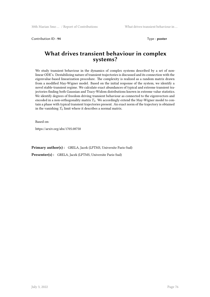Contribution ID: 94 Type : **poster** 

# **What drives transient behaviour in complex systems?**

We study transient behaviour in the dynamics of complex systems described by a set of nonlinear ODE's. Destabilizing nature of transient trajectories is discussed and its connection with the eigenvalue-based linearization procedure. The complexity is realized as a random matrix drawn from a modified May-Wigner model. Based on the initial response of the system, we identify a novel stable-transient regime. We calculate exact abundances of typical and extreme transient trajectories finding both Gaussian and Tracy-Widom distributions known in extreme value statistics. We identify degrees of freedom driving transient behaviour as connected to the eigenvectors and encoded in a non-orthogonality matrix  $T_0$ . We accordingly extend the May-Wigner model to contain a phase with typical transient trajectories present. An exact norm of the trajectory is obtained in the vanishing  $T_0$  limit where it describes a normal matrix.

Based on:

https://arxiv.org/abs/1705.08758

**Primary author(s) :** GRELA, Jacek (LPTMS, Universite Paris-Sud)

**Presenter(s) :** GRELA, Jacek (LPTMS, Universite Paris-Sud)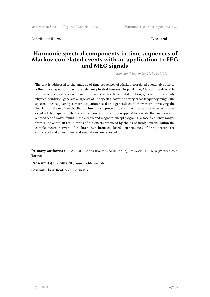Contribution ID: 95 Type: **oral** 

# **Harmonic spectral components in time sequences of Markov correlated events with an application to EEG and MEG signals**

*Monday, 4 September 2017 16:30 (30)*

The talk is addressed to the analysis of time sequences of Markov correlated events give rise to a line power spectrum having a relevant physical interest. In particular, Markov matrices able to represent closed loop sequences of events with arbitrary distribution, generated in a steady physical condition, generate a large set of line spectra, covering a very broad frequency range. The spectral lines is given by a matrix equation based on a generalized Markov matrix involving the Fourier transform of the distribution functions representing the time intervals between successive events of the sequence. The theoretical power spectra is then applied to describe the emergence of a broad set of waves found in the electro and magneto-encephalograms, whose frequency ranges from 0.5 to about 40 Hz, in terms of the effects produced by chains of firing neurons within the complex neural network of the brain. Synchronized closed loop sequences of firing neurons are considered and a few numerical simulations are reported.

**Primary author(s) :** CARBONE, Anna (Politecnico di Torino); MAZZETTI, Piero (Politecnico di Torino)

**Presenter(s) :** CARBONE, Anna (Politecnico di Torino)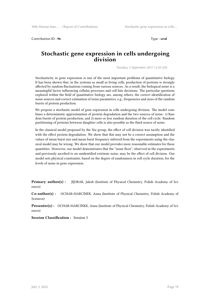Contribution ID : 96 Type : **oral** 

#### **Stochastic gene expression in cells undergoing division**

*Tuesday, 5 September 2017 11:50 (20)*

Stochasticity in gene expression is one of the most important problems of quantitative biology. It has been shown that, in the systems as small as living cells, production of proteins is strongly affected by random fluctuations coming from various sources. As a result, the biological noise is a meaningful factor influencing cellular processes and cell-fate decisions. The particular questions explored within the field of quantitative biology are, among others, the correct identification of noise sources and correct estimation of noise parameters, e.g., frequencies and sizes of the random bursts of protein production.

We propose a stochastic model of gene expression in cells undergoing division. The model combines a deterministic approximation of protein degradation and the two sources of noise: 1) Random bursts of protein production, and 2) more or less random duration of the cell cycle. Random partitioning of proteins between daughter cells is also possible as the third source of noise.

In the classical model proposed by the Xie group, the effect of cell division was tacitly identified with the effect protein degradation. We show that this may not be a correct assumption and the values of mean burst size and mean burst frequency inferred from the experiments using the classical model may be wrong. We show that our model provides more reasonable estimates for these quantities. Moreover, our model demonstrates that the "noise floor", observed in the experiments and previously ascribed to an unidentified extrinsic noise, may be the effect of cell division. Our model sets physical constraints, based on the degree of randomness in cell cycle duration, for the levels of noise in gene expression.

**Primary author(s) :** JEDRAK, Jakub (Institute of Physical Chemistry, Polish Academy of Sciences)

**Co-author(s) :** OCHAB-MARCINEK, Anna (Institute of Physical Chemistry, Polish Academy of Sciences)

**Presenter(s) :** OCHAB-MARCINEK, Anna (Institute of Physical Chemistry, Polish Academy of Sciences)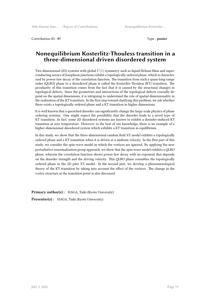Contribution ID : **97** Type : **poster** 

# **Nonequilibrium Kosterlitz-Thouless transition in a three-dimensional driven disordered system**

Two dimensional (2D) systems with global *U*(1) symmetry such as liquid Helium films and superconducting arrays of Josephson junctions exhibit a topologically ordered phase, which is characterized by power-law decay of the correlation function. The transition from such a quasi-long-range order (QLRO) phase to a disordered phase is called the Kosterlitz-Thouless (KT) transition. The peculiarity of this transition comes from the fact that it is caused by the structural changes in topological defects. Since the geometries and interactions of the topological defects crucially depend on the spatial dimensions, it is intriguing to understand the role of spatial dimensionality in the realization of the KT transition. In the first step toward clarifying this problem, we ask whether there exists a topologically ordered phase and a KT transition in higher dimensions.

It is well known that a quenched disorder can significantly change the large-scale physics of phase ordering systems. One might expect the possibility that the disorder leads to a novel type of KT transition. In fact, some 2D disordered systems are known to exhibit a disorder-induced KT transition at zero temperature. However, to the best of our knowledge, there is no example of a higher-dimensional disordered system which exhibits a KT transition in equilibrium.

In this study, we show that the three-dimensional random field XY model exhibits a topologically ordered phase and a KT transition when it is driven at a uniform velocity. In the first part of this study, we consider the spin-wave model in which the vortices are ignored. By applying the nonperturbative renormalization group approach, we show that the spin-wave model exhibits a QLRO phase, wherein the correlation function shows power-law decay with an exponent that depends on the disorder strength and the driving velocity. This QLRO phase resembles the topologically ordered phase in the 2D pure XY model. In the second part, we develop a phenomenological theory of the KT transition by taking into account the effect of the vortices. The change in the vortex structure at the transition point is also discussed.

Primary author(s): HAGA, Taiki (Kyoto University)

**Presenter(s) :** HAGA, Taiki (Kyoto University)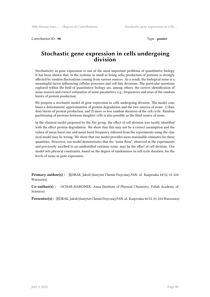Contribution ID : **98** Type : **poster** 

# **Stochastic gene expression in cells undergoing division**

Stochasticity in gene expression is one of the most important problems of quantitative biology. It has been shown that, in the systems as small as living cells, production of proteins is strongly affected by random fluctuations coming from various sources. As a result, the biological noise is a meaningful factor influencing cellular processes and cell-fate decisions. The particular questions explored within the field of quantitative biology are, among others, the correct identification of noise sources and correct estimation of noise parameters, e.g., frequencies and sizes of the random bursts of protein production.

We propose a stochastic model of gene expression in cells undergoing division. The model combines a deterministic approximation of protein degradation and the two sources of noise: 1) Random bursts of protein production, and 2) more or less random duration of the cell cycle. Random partitioning of proteins between daughter cells is also possible as the third source of noise.

In the classical model proposed by the Xie group, the effect of cell division was tacitly identified with the effect protein degradation. We show that this may not be a correct assumption and the values of mean burst size and mean burst frequency inferred from the experiments using the classical model may be wrong. We show that our model provides more reasonable estimates for these quantities. Moreover, our model demonstrates that the "noise floor", observed in the experiments and previously ascribed to an unidentified extrinsic noise, may be the effect of cell division. Our model sets physical constraints, based on the degree of randomness in cell cycle duration, for the levels of noise in gene expression.

**Primary author(s) :** JĘDRAK, Jakub (Instytut Chemii Fizycznej PAN, ul. Kasprzaka 44/52, 01-224 Warszawa)

**Co-author(s) :** OCHAB-MARCINEK, Anna (Institute of Physical Chemistry, Polish Academy of Sciences)

**Presenter(s) :** JĘDRAK, Jakub (Instytut Chemii Fizycznej PAN, ul. Kasprzaka 44/52, 01-224 Warszawa)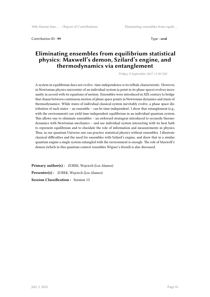Contribution ID : **99** Type : **oral** 

# **Eliminating ensembles from equilibrium statistical physics: Maxwell's demon, Szilard's engine, and thermodynamics via entanglement**

*Friday, 8 September 2017 11:30 (30)*

A system in equilibrium does not evolve: time independence is its telltale characteristic. However, in Newtonian physics microstate of an individual system (a point in its phase space) evolves incessantly in accord with its equations of motion. Ensembles were introduced in XIX century to bridge that chasm between continuous motion of phase space points in Newtonian dynamics and stasis of thermodynamics: While states of individual classical system inevitably evolve, a phase space distribution of such states – an ensemble – can be time-independent. I show that entanglement (e.g., with the environment) can yield time-independent equilibrium in an individual quantum system. This allows one to eliminate ensembles – an awkward stratagem introduced to reconcile thermodynamics with Newtonian mechanics – and use individual system interacting with its heat bath to represent equilibrium and to elucidate the role of information and measurements in physics. Thus, in our quantum Universe one can practice statistical physics without ensembles. I illustrate classical difficulties and the need for ensembles with Szilard's engine, and show that in a similar quantum engine a single system entangled with the environment is enough. The role of Maxwell's demon (which in this quantum context resembles Wigner's friend) is also discussed.

**Primary author(s) :** ZUREK, Wojciech (Los Alamos) **Presenter(s) :** ZUREK, Wojciech (Los Alamos) **Session Classification :** Session 13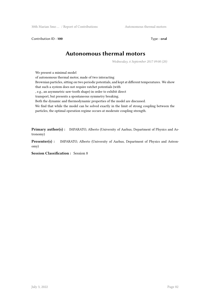Contribution ID: **100** Type : **oral** 

# **Autonomous thermal motors**

*Wednesday, 6 September 2017 09:00 (20)*

We present a minimal model

of autonomous thermal motor, made of two interacting

Brownian particles, sitting on two periodic potentials, and kept at different temperatures. We show that such a system does not require ratchet potentials (with

, e.g., an asymmetric saw-tooth shape) in order to exhibit direct

transport, but presents a spontaneous symmetry breaking.

Both the dynamic and thermodynamic properties of the model are discussed.

We find that while the model can be solved exactly in the limit of strong coupling between the particles, the optimal operation regime occurs at moderate coupling strength.

**Primary author(s) :** IMPARATO, Alberto (University of Aarhus, Department of Physics and Astronomy)

**Presenter(s) :** IMPARATO, Alberto (University of Aarhus, Department of Physics and Astronomy)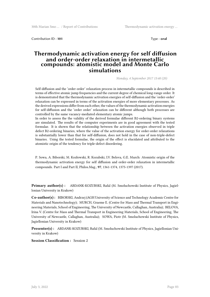Contribution ID : **101** Type : **oral**

#### **Thermodynamic activation energy for self diffusion and order-order relaxation in intermetallic compounds: atomistic model and Monte Carlo simulations**

*Monday, 4 September 2017 15:40 (20)*

Self-diffusion and the 'order order' relaxation process in intermetallic compounds is described in terms of effective atomic jump frequencies and the current degree of chemical long-range order. It is demonstrated that the thermodynamic activation energies of self-diffusion and the 'order-order' relaxation can be expressed in terms of the activation energies of more elementary processes. As the derived expressions differ from each other, the values of the thermodynamic activation energies for self-diffusion and the 'order order' relaxation can be different although both processes are controlled by the same vacancy-mediated elementary atomic jumps.

In order to assess the the validity of the derived formulae different B2-ordering binary systems are simulated. The results of the computer experiments are in good agreement with the tested formulae. It is shown that the relationship between the activation energies observed in triple defect B2-ordering binaries, where the value of the activation energy for order-order relaxations is substantially lower than that for self-diffusion, does not hold in the case of non-triple-defect binaries. Using the tested formulae, the origin of the effect is elucidated and attributed to the atomistic origin of the tendency for triple-defect disordering.

P. Sowa, A. Biborski, M. Kozłowski, R. Kozubski, I.V. Belova, G.E. Murch: Atomistic origin of the thermodynamic activation energy for self diffusion and order-order relaxation in intermetallic compounds. Part I and Part II, Philos.Mag., **97**, 1361-1374, 1375-1397 (2017).

**Primary author(s) :** ABDANK-KOZUBSKI, Rafal (M. Smoluchowski Institute of Physics, Jagiellonian University in Krakow)

**Co-author(s) :** BIBORSKI, Andrzej (AGH University of Science and Technology Academic Centre for Materials and Nanotechnology); MURCH, Graeme E. (Centre for Mass and Thermal Transport in Engineering Materials, School of Engineering, The University of Newcastle, Callaghan, Australia); BELOVA, Irina V. (Centre for Mass and Thermal Transport in Engineering Materials, School of Engineering, The University of Newcastle, Callaghan, Australia); SOWA, Piotr (M. Smoluchowski Institute of Physics, Jagiellonian University in Krakow)

**Presenter(s) :** ABDANK-KOZUBSKI, Rafal (M. Smoluchowski Institute of Physics, Jagiellonian University in Krakow)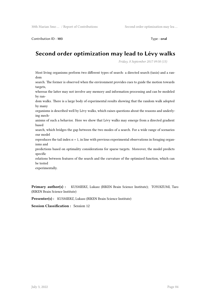Contribution ID : **103** Type : **oral**

# **Second order optimization may lead to Lévy walks**

*Friday, 8 September 2017 09:50 (15)*

Most living organisms perform two different types of search: a directed search (taxis) and a random

search. The former is observed when the environment provides cues to guide the motion towards targets,

whereas the latter may not involve any memory and information processing and can be modeled by ran-

dom walks. There is a large body of experimental results showing that the random walk adopted by many

organisms is described well by Lévy walks, which raises questions about the reasons and underlying mech-

anisms of such a behavior. Here we show that Lévy walks may emerge from a directed gradient based

search, which bridges the gap between the two modes of a search. For a wide range of scenarios our model

reproduces the tail index α = 1, in line with previous experimental observations in foraging organisms and

predictions based on optimality considerations for sparse targets. Moreover, the model predicts specific

relations between features of the search and the curvature of the optimized function, which can be tested

experimentally.

**Primary author(s) :** KUSMIERZ, Lukasz (RIKEN Brain Science Institute); TOYOIZUMI, Taro (RIKEN Brain Science Institute)

**Presenter(s) :** KUSMIERZ, Lukasz (RIKEN Brain Science Institute)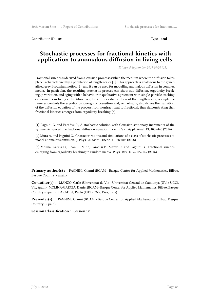Contribution ID : **104** Type : **oral**

# **Stochastic processes for fractional kinetics with application to anomalous diffusion in living cells**

*Friday, 8 September 2017 09:20 (15)*

Fractional kinetics is derived from Gaussian processes when the medium where the diffusion takes place is characterized by a population of length-scales [1]. This approach is analogous to the generalized grey Brownian motion [2], and it can be used for modelling anomalous diffusion in complex media. In particular, the resulting stochastic process can show sub-diffusion, ergodicity breaking, p variation, and aging with a behaviour in qualitative agreement with single-particle tracking experiments in living cells. Moreover, for a proper distribution of the length-scales, a single parameter controls the ergodic-to-nonergodic transition and, remarkably, also drives the transition of the diffusion equation of the process from nonfractional to fractional, thus demonstrating that fractional kinetics emerges from ergodicity breaking [3].

[1] Pagnini G. and Paradisi P., A stochastic solution with Gaussian stationary increments of the symmetric space-time fractional diffusion equation. Fract. Calc. Appl. Anal. 19, 408–440 (2016)

[2] Mura A. and Pagnini G., Characterizations and simulations of a class of stochastic processes to model anomalous diffusion. J. Phys. A: Math. Theor. 41, 285003 (2008)

[3] Molina–García D., Pham T. Minh, Paradisi P., Manzo C. and Pagnini G., Fractional kinetics emerging from ergodicity breaking in random media. Phys. Rev. E. 94, 052147 (2016)

**Primary author(s) :** PAGNINI, Gianni (BCAM - Basque Center for Applied Mathematics, Bilbao, Basque Country - Spain)

**Co-author(s) :** MANZO, Carlo (Universitat de Vic - Universitat Central de Catalunya (UVic-UCC), Vic, Spain); MOLINA-GARCÍA, Daniel (BCAM - Basque Center for Applied Mathematics, Bilbao, Basque Country - Spain); PARADISI, Paolo (ISTI - CNR, Pisa, Italy)

**Presenter(s) :** PAGNINI, Gianni (BCAM - Basque Center for Applied Mathematics, Bilbao, Basque Country - Spain)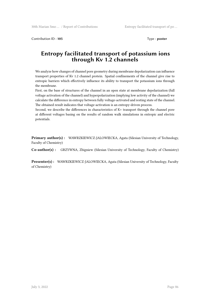Contribution ID: **105** Type : **poster** 

# **Entropy facilitated transport of potassium ions through Kv 1.2 channels**

We analyze how changes of channel pore geometry during membrane depolarization can influence transport properties of Kv 1.2 channel protein. Spatial confinements of the channel give rise to entropic barriers which effectively influence its ability to transport the potassium ions through the membrane.

First, on the base of structures of the channel in an open state at membrane depolarization (full voltage activation of the channel) and hyperpolarization (implying low activity of the channel) we calculate the difference in entropy between fully voltage-activated and resting state of the channel. The obtained result indicates that voltage-activation is an entropy-driven process.

Second, we describe the differences in characteristics of K+ transport through the channel pore at different voltages basing on the results of random walk simulations in entropic and electric potentials.

**Primary author(s) :** WAWRZKIEWICZ-JALOWIECKA, Agata (Silesian University of Technology, Faculty of Chemistry)

**Co-author(s) :** GRZYWNA, Zbigniew (Silesian University of Technology, Faculty of Chemistry)

**Presenter(s) :** WAWRZKIEWICZ-JALOWIECKA, Agata (Silesian University of Technology, Faculty of Chemistry)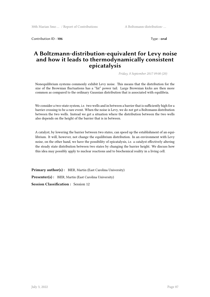Contribution ID : **106** Type : **oral**

# **A Boltzmann-distribution-equivalent for Levy noise and how it leads to thermodynamically consistent epicatalysis**

*Friday, 8 September 2017 09:00 (20)*

Nonequilibrium systems commonly exhibit Levy noise. This means that the distribution for the size of the Brownian fluctuations has a "fat" power tail. Large Brownian kicks are then more common as compared to the ordinary Gaussian distribution that is associated with equilibria.

We consider a two-state system, i.e. two wells and in between a barrier that is sufficiently high for a barrier crossing to be a rare event. When the noise is Levy, we do *not* get a Boltzmann distribution between the two wells. Instead we get a situation where the distribution between the two wells also depends on the height of the barrier that is in between.

A catalyst, by lowering the barrier between two states, can speed up the establishment of an equilibrium. It will, however, not change the equilibrium distribution. In an environment with Levy noise, on the other hand, we have the possibility of epicatalysis, i.e. a catalyst effectively altering the steady state distribution between two states by changing the barrier height. We discuss how this idea may possibly apply to nuclear reactions and to biochemical reality in a living cell.

Primary author(s): BIER, Martin (East Carolina University) **Presenter(s) :** BIER, Martin (East Carolina University) **Session Classification :** Session 12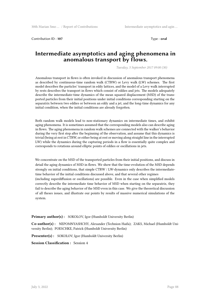Contribution ID : **107** Type : **oral**

# **Intermediate asymptotics and aging phenomena in anomalous transport by flows.**

*Tuesday, 5 September 2017 09:00 (30)*

Anomalous transport in flows is often invoked in discussion of anomalous transport phenomena as described by continuous-time random walk (CTRW) or Levy walk (LW) schemes. The first model describes the particles' transport in eddy lattices, and the model of a Levy walk interrupted by rests describes the transport in flows which consist of eddies and jets. The models adequately describe the intermediate-time dynamics of the mean squared displacement (MSD) of the transported particles from their initial positions under initial conditions corresponding starting on the separatrix between two eddies or between an eddy and a jet, and the long-time dynamics for any initial condition, when the initial conditions are already forgotten.

Both random walk models lead to non-stationary dynamics on intermediate times, and exhibit aging phenomena. It is sometimes assumed that the corresponding models also can describe aging in flows. The aging phenomena in random walk schemes are connected with the walker's behavior during the very first step after the beginning of the observation, and assume that this dynamics is trivial (being at rest in CTRW, or either being at rest or moving along straight line in the interrupted LW) while the dynamics during the capturing periods in a flow is essentially quite complex and corresponds to rotations around elliptic points of eddies or oscillations in jets.

We concentrate on the MSD of the transported particles from their initial positions, and discuss in detail the aging dynamics of MSD in flows. We show that the time-evolution of the MSD depends strongly on initial conditions, that simple CTRW / LW-dynamics only describes the intermediatetime behavior of the initial conditions discussed above, and that several other regimes (including superdiffusion or oscillations) are possible. Even in the case when simplified models correctly describe the intermediate time behavior of MSD when starting on the separatrix, they fail to describe the aging behavior of the MSD even in this case. We give the theoretical discussion of all theses issues, and illustrate our points by results of massive numerical simulations of the system.

**Primary author(s):** SOKOLOV, Igor (Humboldt University Berlin)

**Co-author(s) :** NEPOMNYASHCHY, Alexander (Technion Haifa); ZAKS, Michael (Humboldt University Berlin); POESCHKE, Patrick (Humboldt University Berlin)

**Presenter(s) :** SOKOLOV, Igor (Humboldt University Berlin)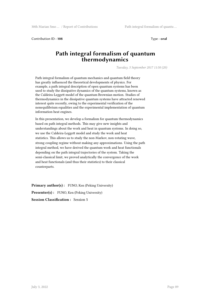Contribution ID: **108** Type : **oral** 

## **Path integral formalism of quantum thermodynamics**

*Tuesday, 5 September 2017 11:50 (20)*

Path integral formalism of quantum mechanics and quantum field theory has greatly influenced the theoretical developments of physics. For example, a path integral description of open quantum systems has been used to study the dissipative dynamics of the quantum systems, known as the Caldeira-Leggett model of the quantum Brownian motion. Studies of thermodynamics in the dissipative quantum systems have attracted renewed interest quite recently, owing to the experimental verification of the nonequilibrium equalities and the experimental implementation of quantum information heat engines.

In this presentation, we develop a formalism for quantum thermodynamics based on path integral methods. This may give new insights and understandings about the work and heat in quantum systems. In doing so, we use the Caldeira-Leggett model and study the work and heat statistics. This allows us to study the non-Markov, non-rotating wave, strong coupling regime without making any approximations. Using the path integral method, we have derived the quantum work and heat functionals depending on the path integral trajectories of the system. Taking the semi-classical limit, we proved analytically the convergence of the work and heat functionals (and thus their statistics) to their classical counterparts.

**Primary author(s):** FUNO, Ken (Peking University)

**Presenter(s):** FUNO, Ken (Peking University)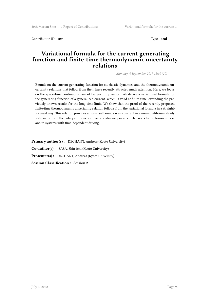Contribution ID: **109** Type : **oral** 

# **Variational formula for the current generating function and finite-time thermodynamic uncertainty relations**

*Monday, 4 September 2017 15:40 (20)*

Bounds on the current generating function for stochastic dynamics and the thermodynamic uncertainty relations that follow from them have recently attracted much attention. Here, we focus on the space-time continuous case of Langevin dynamics. We derive a variational formula for the generating function of a generalized current, which is valid at finite time, extending the previously known results for the long-time limit. We show that the proof of the recently proposed finite-time thermodynamic uncertainty relation follows from the variational formula in a straightforward way. This relation provides a universal bound on any current in a non-equilibrium steady state in terms of the entropy production. We also discuss possible extensions to the transient case and to systems with time-dependent driving.

Primary author(s): DECHANT, Andreas (Kyoto University) **Co-author(s) :** SASA, Shin-ichi (Kyoto University) Presenter(s) : DECHANT, Andreas (Kyoto University) **Session Classification :** Session 2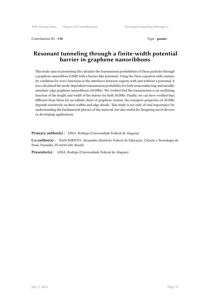Contribution ID: **110** Type : **poster** 

# **Resonant tunneling through a finite-width potential barrier in graphene nanoribbons**

This study aims at presenting the calculate the transmission probabilities of Dirac particles through a graphene nanoribbon (GNR) with a barrier-like potential. Using the Dirac equation with continuity condition for wave functions at the interfaces between regions with and without a potential, it was calculated the mode-dependent transmission probability for both semiconducting and metallic armchair-edge graphene nanoribbons (AGNRs). We verified that the transmission is an oscillating function of the height and width of the barrier for both AGNRs. Finally, we can have verified that, different from those for an infinite sheet of graphene system, the transport properties of AGNRs depends sensitively on their widths and edge details. This study is not only of vital importance for understanding the fundamental physics of the material, but also useful for designing novel devices or developing applications.

**Primary author(s) :** LIMA, Rodrigo (Universidade Federal de Alagoas)

**Co-author(s) :** NASCIMENTO, Alexandro (Instituto Federal de Educação, Ciência e Tecnologia do Piauí, Parnaíba, PI 64210-260, Brazil)

**Presenter(s) :** LIMA, Rodrigo (Universidade Federal de Alagoas)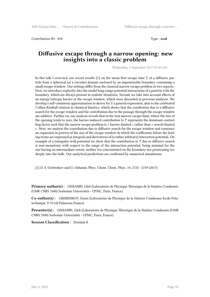Contribution ID : **111** Type : **oral**

### **Diffusive escape through a narrow opening: new insights into a classic problem**

*Wednesday, 6 September 2017 09:30 (30)*

In this talk I overview our recent results [1] on the mean first escape time T of a diffusive particle from a spherical (or a circular) domain enclosed by an impenetrable boundary containing a small escape window. Our settings differ from the classical narrow escape problem in two aspects : First, we introduce explicitly into the model long-range potential interactions of a particle with the boundary, which are always present in realistic situations. Second, we take into account effects of an energy/entropy barrier at the escape window, which were discarded in previous analyses. We develop a self-consistent approximation to derive for T a general expression, akin to the celebrated Collins-Kimball relation in chemical kinetics, which shows that the contibution due to a diffusive search for the escape window and the contribution due to the passage through the escape window are additive. Further on, our analysis reveals that in the true narrow escape limit, where the size of the opening tends to zero, the barrier-induced contribution to T represents the dominant controlling factor such that the narrow escape problem is « barrier-limited » rather than « search-limited ». Next, we analyse the contribution due to diffusive search for the escape window and construct an expansion in powers of the size of the escape window in which the coefficients before the leading terms are expressed as integrals and derivatives of (a rather arbitrary) interaction potential. On example of a triangular-well potential we show that the contribution to T due to diffusive search is non-monotonic with respect to the range of the interaction potential, being minimal for the one having an intermediate extent, neither too concentrated on the boundary nor penetrating too deeply into the bulk. Our analytical predictions are confirmed by numerical simulations.

[1] D. S. Grebenkov and G. Oshanin, Phys. Chem. Chem. Phys. 19, 2723 - 2739 (2017)

**Primary author(s) :** OSHANIN, Gleb (Laboratoire de Physique Théorique de la Matière Condensée (UMR CNRS 7600) Sorbonne Universités - UPMC, Paris, France)

**Co-author(s) :** GREBENKOV, Denis (Laboratoire de Physique de la Matiere Condensee Ecole Polytechnique, F-91128 Palaiseau France)

**Presenter(s) :** OSHANIN, Gleb (Laboratoire de Physique Théorique de la Matière Condensée (UMR CNRS 7600) Sorbonne Universités - UPMC, Paris, France)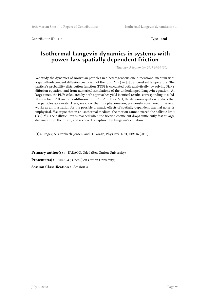Contribution ID : **114** Type : **oral**

### **Isothermal Langevin dynamics in systems with power-law spatially dependent friction**

*Tuesday, 5 September 2017 09:30 (30)*

We study the dynamics of Brownian particles in a heterogeneous one-dimensional medium with a spatially-dependent diffusion coefficient of the form  $D(x) \sim |x|^c$ , at constant temperature. The particle's probability distribution function (PDF) is calculated both analytically, by solving Fick's diffusion equation, and from numerical simulations of the underdamped Langevin equation. At large times, the PDFs calculated by both approaches yield identical results, corresponding to subdiffusion for  $c < 0$ , and superdiffusion for  $0 < c < 1$ . For  $c > 1$ , the diffusion equation predicts that the particles accelerate. Here, we show that this phenomenon, previously considered in several works as an illustration for the possible dramatic effects of spatially-dependent thermal noise, is unphysical. We argue that in an isothermal medium, the motion cannot exceed the ballistic limit  $(\langle x2 \rangle t^2)$ . The ballistic limit is reached when the friction coefficient drops sufficiently fast at large distances from the origin, and is correctly captured by Langevin's equation.

[1] S. Regev, N. Gronbech-Jensen, and O. Farago, Phys Rev. E **94**, 012116 (2016).

**Primary author(s) :** FARAGO, Oded (Ben Gurion University) **Presenter(s) :** FARAGO, Oded (Ben Gurion University) **Session Classification :** Session 4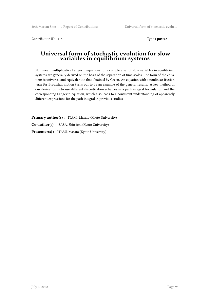Contribution ID: **115** Type : **poster** 

#### **Universal form of stochastic evolution for slow variables in equilibrium systems**

Nonlinear, multiplicative Langevin equations for a complete set of slow variables in equilibrium systems are generally derived on the basis of the separation of time scales. The form of the equations is universal and equivalent to that obtained by Green. An equation with a nonlinear friction term for Brownian motion turns out to be an example of the general results. A key method in our derivation is to use different discretization schemes in a path integral formulation and the corresponding Langevin equation, which also leads to a consistent understanding of apparently different expressions for the path integral in previous studies.

Primary author(s): ITAMI, Masato (Kyoto University) **Co-author(s) :** SASA, Shin-ichi (Kyoto University) Presenter(s) : ITAMI, Masato (Kyoto University)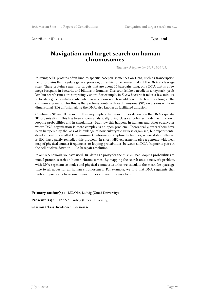Contribution ID : **116** Type : **oral** 

# **Navigation and target search on human chromosomes**

*Tuesday, 5 September 2017 15:00 (15)*

In living cells, proteins often bind to specific basepair sequences on DNA, such as transcription factor proteins that regulate gene expression, or restriction enzymes that cut the DNA at cleavage sites. These proteins search for targets that are about 10 basepairs long, on a DNA that is a few mega basepairs in bacteria, and billions in humans. This sounds like a needle in a haystack- problem but search times are surprisingly short. For example, in *E. coli* bacteria it takes a few minutes to locate a gene regulatory site, whereas a random search would take up to ten times longer. The common explanation for this, is that proteins combine three dimensional (3D) excursions with one dimensional (1D) diffusion along the DNA, also known as facilitated diffusion.

Combining 3D and 1D search in this way implies that search times depend on the DNA's specific 3D organisation. This has been shown analytically using classical polymer models with known looping probabilities and in simulations. But, how this happens in humans and other eucaryotes where DNA organisation is more complex is an open problem. Theoretically, researchers have been hampered by the lack of knowledge of how eukaryotic DNA is organised, but experimental development of so-called Chromosome Conformation Capture techniques, where state-of-the-art is HiC, have partly remedied this problem. In short, HiC experiments give a genome-wide heat map of physical contact frequencies, or looping probabilities, between all DNA fragments pairs in the cell nucleus down to 1 kilo-basepair resolution.

In our recent work, we have used HiC data as a proxy for the *in-vivo* DNA looping probabilities to model protein search on human chromosomes. By mapping the search onto a network problem, with DNA segments as nodes and physical contacts as links, we calculate the mean-first passage time to all nodes for all human chromosomes. For example, we find that DNA segments that harbour gene starts have small search times and are thus easy to find.

**Primary author(s) :** LIZANA, Ludvig (Umeå University) **Presenter(s) :** LIZANA, Ludvig (Umeå University) **Session Classification :** Session 6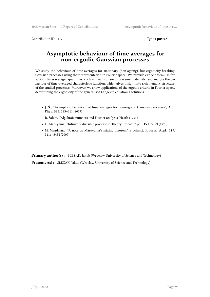Contribution ID : **117** Type : **poster**

# **Asymptotic behaviour of time averages for non-ergodic Gaussian processes**

We study the behaviour of time-averages for stationary (non-ageing), but ergodicity-breaking Gaussian processes using their representation in Fourier space. We provide explicit formulas for various time-averaged quantities, such as mean square displacement, density, and analyse the behaviour of time-averaged characteristic function, which gives insight into rich memory structure of the studied processes. Moreover, we show applications of the ergodic criteria in Fourier space, determining the ergodicity of the generalised Langevin equation's solutions.

- **J. Ś.**, ''Asymptotic behaviour of time averages for non-ergodic Gaussian processes", Ann. Phys. **383**, 285–311 (2017)
- R. Salem, ''Algebraic numbers and Fourier analysis, Heath (1963)
- G. Maruyama, ''Infinitely divisible processes", Theory Probab. Appl. **15**:1, 3–23 (1970)
- M. Magdziarz, ''A note on Maruyama's mixing theorem", Stochastic Process. Appl. **119**, 3416–3434 (2009)

**Primary author(s) :** SLEZAK, Jakub (Wroclaw University of Science and Technology)

Presenter(s) : SLEZAK, Jakub (Wroclaw University of Science and Technology)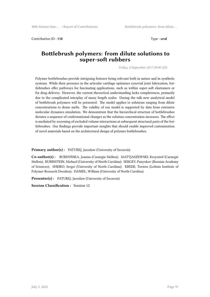Contribution ID : **118** Type : **oral**

### **Bottlebrush polymers: from dilute solutions to super-soft rubbers**

*Friday, 8 September 2017 09:00 (20)*

Polymer bottlebrushes provide intriguing features being relevant both in nature and in synthetic systems. While their presence in the articular cartilage optimizes synovial joint lubrication, bottlebrushes offer pathways for fascinating applications, such as within super-soft elastomers or for drug delivery. However, the current theoretical understanding lacks completeness, primarily due to the complicated interplay of many length scales. During the talk new analytical model of bottlebrush polymers will be presented. The model applies to solutions ranging from dilute concentrations to dense melts. The validity of our model is supported by data from extensive molecular dynamics simulation. We demonstrate that the hierarchical structure of bottlebrushes dictates a sequence of conformational changes as the solution concentration increases. The effect is mediated by screening of excluded volume interactions at subsequent structural parts of the bottlebrushes. Our findings provide important insights that should enable improved customization of novel materials based on the architectural design of polymer bottlebrushes.

**Primary author(s):** PATUREJ, Jaroslaw (University of Szczecin)

**Co-author(s) :** BURDYŃSKA, Joanna (Carnegie Mellon); MATYJASZEWSKI, Krzysztof (Carnegie Mellon); RUBINSTEIN, Michael (University of North Carolina); SERGEY, Panyukov (Russian Academy of Sciences); SHEIKO, Sergei (University of North Carolina); KREER, Torsten (Leibniz Institute of Polymer Research Dresden); DANIEL, William (University of North Carolina)

**Presenter(s):** PATUREJ, Jaroslaw (University of Szczecin)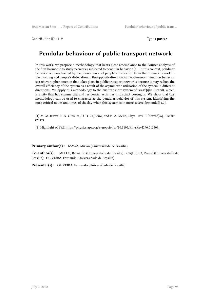Contribution ID : **119** Type : **poster**

# **Pendular behaviour of public transport network**

In this work, we propose a methodology that bears close resemblance to the Fourier analysis of the first harmonic to study networks subjected to pendular behavior [1]. In this context, pendular behavior is characterized by the phenomenon of people's dislocation from their homes to work in the morning and people's dislocation in the opposite direction in the afternoon. Pendular behavior is a relevant phenomenon that takes place in public transport networks because it may reduce the overall efficiency of the system as a result of the asymmetric utilization of the system in different directions. We apply this methodology to the bus transport system of Bras\'{i}lia (Brazil), which is a city that has commercial and residential activities in distinct boroughs. We show that this methodology can be used to characterize the pendular behavior of this system, identifying the most critical nodes and times of the day when this system is in more severe demanded[1,2].

[1] M. M. Izawa, F. A. Oliveira, D. O. Cajueiro, and B. A. Mello, Phys. Rev. E \textbf{96}, 012309 (2017).

[2] Highlight of PRE https://physics.aps.org/synopsis-for/10.1103/PhysRevE.96.012309.

**Primary author(s) :** IZAWA, Mirian (Universidade de Brasília)

**Co-author(s) :** MELLO, Bernardo (Universidade de Brasília); CAJUEIRO, Daniel (Universidade de Brasília); OLIVEIRA, Fernando (Universidade de Brasília)

**Presenter(s) :** OLIVEIRA, Fernando (Universidade de Brasília)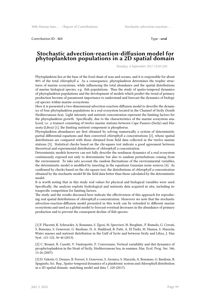Contribution ID : **121** Type : **oral**

#### **Stochastic advection-reaction-diffusion model for phytoplankton populations in a 2D spatial domain**

*Monday, 4 September 2017 15:20 (20)*

Phytoplankton lies at the base of the food chain of seas and oceans, and it is responsible for about 80% of the total *chlorophyll a*. As a consequence, phytoplankton determines the trophic structures of marine ecosystems, while influencing the total abundance and the spatial distributions of marine biological species, e.g. fish populations. Thus the study of spatio-temporal dynamics of phytoplankton populations and the development of models which predict the trend of primary production become of paramount importance to understand and forecast the dynamics of biological species within marine ecosystems.

Here it is presented a two-dimensional advection-reaction-diffusion model to describe the dynamics of four phytoplankton populations in a real ecosystem located in the Channel of Sicily (South Mediterranean Sea). Light intensity and nutrient concentration represent the limiting factors for the phytoplankton growth. Specifically, due to the characteristics of the marine ecosystem analyzed, i.e. a transect consisting of twelve marine stations between Cape Passero (Sicily) and Misurata (Libya) [1], the limiting nutrient component is phosphorus.

Phytoplankton abundances are first obtained by solving numerically a system of deterministic partial differential equations and then converted *chlorophyll a* concentrations [2], whose spatial distributions are compared with those obtained from field data collected in the twelve marine stations [3]. Statistical checks based on the chi-square test indicate a good agreement between theoretical and experimental distributions of *chlorophyll a* concentration.

Deterministic models however can not fully describe the nonlinear dynamics of a real ecosystem continuously exposed not only to deterministic but also to random perturbations coming from the environment. To take into account the random fluctuations of the environmental variables, the deterministic model is modified by inserting in the equations Gaussian noise sources [4]. As confirmed by checks based on the chi-square test, the distributions of *chlorophyll a* concentration obtained by the stochastic model fit the field data better than those calculated by the deterministic model.

It is worth noting that in this study real values for physical and biological variables were used. Specifically, the analysis exploits hydrological and nutrients data acquired in situ, including intraspecific competition for limiting factors.

The study and the results discussed here indicate the effectiveness of this approach for reproducing real spatial distributions of *chlorophyll a* concentration. Moreover we note that the stochastic advection-reaction-diffusion model presented in this work can be extended to different marine ecosystems and used as a global model to forecast eventual decreases in the abundance of primary production and to prevent the consequent decline of fish species.

[1] F. Placenti, K. Schroeder, A. Bonanno, S. Zgozi, M. Sprovieri, M. Borghini , P. Rumolo, G. Cerrati, S. Bonomo, S. Genovese, G. Basilone, D. A. Haddoud, B. Patti, A. El Turki, M. Hamza, S. Mazzola, Water masses and nutrient distribution in the Gulf of Syrte and between Sicily and Libya, J. Mar. Syst. 121-122, 36-46 (2013).

[2] C. Brunet, R. Casotti, V. Vantrepotte, F. Conversano, Vertical variability and diel dynamics of picophytoplankton in the Strait of Sicily, Mediterranean Sea, in summer, Mar. Ecol. Prog. Ser. 346, 15-26 (2007).

[3] D. Valenti, G. Denaro, R. Ferreri, S. Genovese, S. Aronica, S. Mazzola, A. Bonanno, G. Basilone, B. Spagnolo, Sci. Rep., Spatio-temporal dynamics of a planktonic system and chlorophyll distribution in a 2D spatial domain: matching model and data 7, 220 (2017).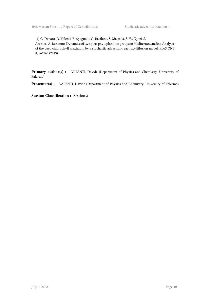[4] G. Denaro, D. Valenti, B. Spagnolo, G. Basilone, S. Mazzola, S. W. Zgozi, S. Aronica, A. Bonanno, Dynamics of two pico-phytoplankton groups in Mediterranean Sea: Analysis of the deep chlorophyll maximum by a stochastic advection-reaction-diffusion model, PLoS ONE 8, e66765 (2013).

**Primary author(s) :** VALENTI, Davide (Department of Physics and Chemistry, University of Palermo)

Presenter(s) : VALENTI, Davide (Department of Physics and Chemistry, University of Palermo)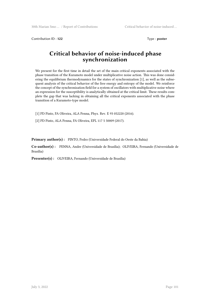Contribution ID: **122** Type : **poster** 

# **Critical behavior of noise-induced phase synchronization**

We present for the first time in detail the set of the main critical exponents associated with the phase transition of the Kuramoto model under multiplicative noise action. This was done considering the equilibrium thermodynamics for the states of synchronization [1], as well as the subsequent analysis of the critical behavior of the free energy and entropy of the model. We reinforce the concept of the synchronization field for a system of oscillators with multiplicative noise where an expression for the susceptibility is analytically obtained at the critical limit. These results complete the gap that was lacking in obtaining all the critical exponents associated with the phase transition of a Kuramoto-type model.

[1] PD Pinto, FA Oliveira, ALA Penna, Phys. Rev. E 93 052220 (2016).

[2] PD Pinto, ALA Penna, FA Oliveira, EPL 117 5 50009 (2017).

Primary author(s): PINTO, Pedro (Universidade Federal do Oeste da Bahia)

**Co-author(s) :** PENNA, Andre (Universidade de Brasília); OLIVEIRA, Fernando (Universidade de Brasília)

**Presenter(s) :** OLIVEIRA, Fernando (Universidade de Brasília)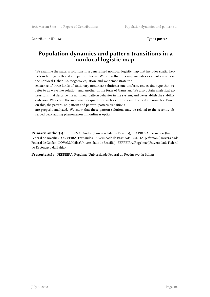Contribution ID : **123** Type : **poster**

# **Population dynamics and pattern transitions in a nonlocal logistic map**

We examine the pattern solutions in a generalized nonlocal logistic map that includes spatial kernels in both growth and competition terms. We show that this map includes as a particular case the nonlocal Fisher–Kolmogorov equation, and we demonstrate the

existence of three kinds of stationary nonlinear solutions: one uniform, one cosine type that we refer to as wavelike solution, and another in the form of Gaussian. We also obtain analytical expressions that describe the nonlinear pattern behavior in the system, and we establish the stability criterion. We define thermodynamics quantities such as entropy and the order parameter. Based on this, the pattern-no-pattern and pattern–pattern transitions

are properly analyzed. We show that these pattern solutions may be related to the recently observed peak adding phenomenon in nonlinear optics.

**Primary author(s) :** PENNA, André (Universidade de Brasília); BARBOSA, Fernando (Instituto Federal de Brasília); OLIVEIRA, Fernando (Universidade de Brasília); CUNHA, Jefferson (Universidade Federal de Goiás); NOVAIS, Keila (Universidade de Brasília); FERREIRA, Rogelma (Universidade Federal do Recôncavo da Bahia)

**Presenter(s) :** FERREIRA, Rogelma (Universidade Federal do Recôncavo da Bahia)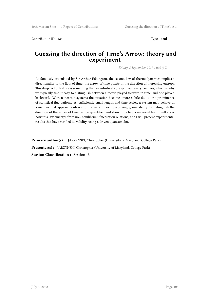Contribution ID: **124** Type : **oral** 

# **Guessing the direction of Time's Arrow: theory and experiment**

*Friday, 8 September 2017 11:00 (30)*

As famously articulated by Sir Arthur Eddington, the second law of thermodynamics implies a directionality to the flow of time: the arrow of time points in the direction of increasing entropy. This deep fact of Nature is something that we intuitively grasp in our everyday lives, which is why we typically find it easy to distinguish between a movie played forward in time, and one played backward. With nanoscale systems the situation becomes more subtle due to the prominence of statistical fluctuations. At sufficiently small length and time scales, a system may behave in a manner that appears contrary to the second law. Surprisingly, our ability to distinguish the direction of the arrow of time can be quantified and shown to obey a universal law. I will show how this law emerges from non-equilibrium fluctuation relations, and I will present experimental results that have verified its validity, using a driven quantum dot.

**Primary author(s) :** JARZYNSKI, Christopher (University of Maryland, College Park) **Presenter(s) :** JARZYNSKI, Christopher (University of Maryland, College Park) **Session Classification :** Session 13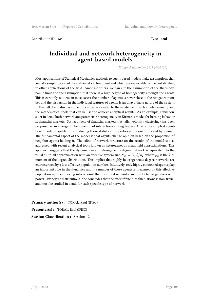Contribution ID : **125** Type : **oral**

#### **Individual and network heterogeneity in agent-based models**

*Friday, 8 September 2017 09:00 (30)*

Most applications of Statistical Mechanics methods to agent-based models make assumptions that aim at a simplification of the mathematical treatment and which are reasonable, or well established, in other applications of the field. Amongst others, we can cite the assumption of the thermodynamic limit and the assumption that there is a high degree of homogeneity amongst the agents. This is certainly not true in most cases: the number of agents is never close to the Avogadro number and the dispersion in the individual features of agents is an unavoidable nature of the system. In this talk I will discuss some difficulties associated to the existence of such a heterogeneity and the mathematical tools that can be used to achieve analytical results. As an example, I will consider in detail both network and parametric heterogeneity in Kirman's model for herding behavior in financial markets. Stylized facts of financial markets (fat tails, volatility clustering) has been proposed as an emergent phenomenon of interactions among traders. One of the simplest agentbased models capable of reproducing these statistical properties is the one proposed by Kirman. The fundamental aspect of the model is that agents change opinion based on the proportion of neighbor agents holding it. The effect of network structure on the results of the model is also addressed with recent analytical tools known as heterogeneous mean field approximations. This approach suggests that the dynamics in an heterogeneous degree network is equivalent to the usual all-to-all approximation with an effective system size  $N_{\text{eff}} = N \mu_1^2 / \mu_2$ , where  $\mu_k$  is the *k*-th moment of the degree distribution. This implies that highly heterogeneous degree networks are characterized by a low effective population number. Intuitively, only highly connected agents play an important role in the dynamics and the number of those agents is measured by this effective population number. Taking into account that most real networks are highly heterogeneous with power-law degree distributions, one concludes that the effect finite-size fluctuations is non-trivial and must be studied in detail for each specific type of network.

**Primary author(s) :** TORAL, Raul (IFISC) **Presenter(s) :** TORAL, Raul (IFISC) **Session Classification :** Session 12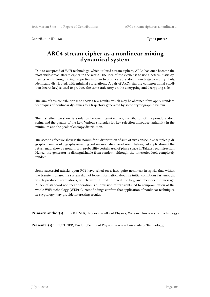Contribution ID : **126** Type : **poster** 

# **ARC4 stream cipher as a nonlinear mixing dynamical system**

Due to outspread of WiFi technology, which utilized stream ciphers, ARC4 has once become the most widespread stream cipher in the world. The idea of the cypher is to use a deterministic dynamics, with strong mixing properties in order to produce a pseudorandom trajectory of symbols, identically distributed, with minimal correlations. A pair of ARC4 sharing common initial condition (secret key) is used to produce the same trajectory on the encrypting and decrypting side.

The aim of this contribution is to show a few results, which may be obtained if we apply standard techniques of nonlinear dynamics to a trajectory generated by some cryptographic system.

The first effect we show is a relation between Renyi entropy distribution of the pseudorandom string and the quality of the key. Various strategies for key selection introduce variability in the minimum and the peak of entropy distribution.

The second effect we show is the nonuniform distribution of sum of two consecutive samples (a digraph). Families of digraphs revealing certain anomalies were known before, but application of the return map, shows a nonuniform probability certain area of phase space in Takens reconstruction. Hence, the generator is distinguishable from random, although the timeseries look completely random.

Some successful attacks upon RC4 have relied on a fact, quite nonlinear in spirit, that within the transient phase, the system did not loose information about its initial conditions fast enough, which produced correlations, which were utilized to reveal the key, and decipher the message. A lack of standard nonlinear operation: i.e. omission of transients led to compromitation of the whole WiFi technology (WEP). Current findings confirm that application of nonlinear techniques in cryptology may provide interesting results.

**Primary author(s) :** BUCHNER, Teodor (Faculty of Physics, Warsaw University of Technology)

**Presenter(s) :** BUCHNER, Teodor (Faculty of Physics, Warsaw University of Technology)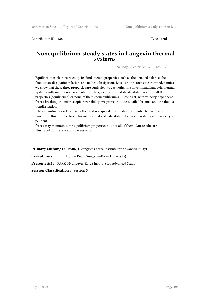Contribution ID: **128** Type : **oral** 

#### **Nonequilibrium steady states in Langevin thermal systems**

*Tuesday, 5 September 2017 11:00 (30)*

Equilibrium is characterized by its fundamental properties such as the detailed balance, the fluctuation-dissipation relation, and no heat dissipation. Based on the stochastic thermodynamics, we show that these three properties are equivalent to each other in conventional Langevin thermal systems with microscopic reversibility. Thus, a conventional steady state has either all three properties (equilibrium) or none of them (nonequilibrium). In contrast, with velocity-dependent forces breaking the microscopic reversibility, we prove that the detailed balance and the fluctuationdissipation

relation mutually exclude each other and no equivalence relation is possible between any two of the three properties. This implies that a steady state of Langevin systems with velocitydependent

forces may maintain some equilibrium properties but not all of them. Our results are illustrated with a few example systems.

**Primary author(s):** PARK, Hyunggyu (Korea Institute for Advanced Study)

**Co-author(s) :** LEE, Hyunn Keun (SungkyunKwan University)

Presenter(s) : PARK, Hyunggyu (Korea Institute for Advanced Study)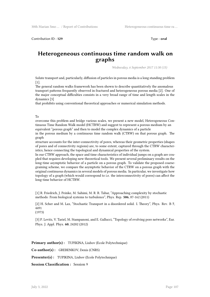Contribution ID : **129** Type : **oral**

# **Heterogeneous continuous time random walk on graphs**

*Wednesday, 6 September 2017 11:30 (15)*

Solute transport and, particularly, diffusion of particles in porous media is a long standing problem [1].

The general random walks framework has been shown to describe quantitatively the anomalous transport patterns frequently observed in fractured and heterogeneous porous media [2]. One of the major conceptual difficulties consists in a very broad range of time and length scales in the dynamics [3]

that prohibits using conventional theoretical approaches or numerical simulation methods.

#### To

overcome this problem and bridge various scales, we present a new model, Heterogeneous Continuous Time Random Walk model (HCTRW) and suggest to represent a porous medium by an equivalent "porous graph" and then to model the complex dynamics of a particle

in the porous medium by a continuous time random walk (CTRW) on that porous graph. The graph

structure accounts for the inter-connectivity of pores, whereas their geometric properties (shapes of pores and of connectivity regions) are, to some extent, captured through the CTRW characteristics, hence connecting the topological and dynamical properties of the system.

In our CTRW approach, the space and time characteristics of individual jumps on a graph are coupled that requires developing new theoretical tools. We present several preliminary results on the long-time asymptotic behavior of a particle on a porous graph. To validate the proposed coarsegraining scheme, we compare the asymptotic behavior of the CTRW on a porous graph with the original continuous dynamics in several models of porous media. In particular, we investigate how topology of a graph (which would correspond to i.e. the interconnectivity of pores) can affect the long-time behavior of HCTRW.

[1] R. Friedrich, J. Peinke, M. Sahimi, M. R. R. Tabar, "Approaching complexity by stochastic methods: From biological systems to turbulence", Phys. Rep. **506**, 87-162 (2011)

[2] H. Scher and M. Lax, "Stochastic Transport in a disordered solid. I. Theory", Phys. Rev. B **7**, 4491

(1973)

[3] P. Levitz, V. Tariel, M. Stampanoni, and E. Gallucci, "Topology of evolving pore networks", Eur. Phys. J. Appl. Phys. **60**, 24202 (2012)

**Primary author(s) :** TUPIKINA, Liubov (Ecole Polytechnique)

**Co-author(s) :** GREBENKOV, Denis (CNRS)

**Presenter(s) :** TUPIKINA, Liubov (Ecole Polytechnique)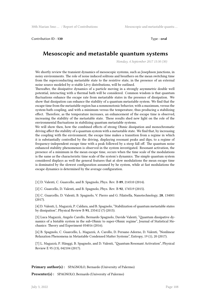Contribution ID : **130** Type : **oral** 

#### **Mesoscopic and metastable quantum systems**

*Monday, 4 September 2017 15:30 (30)*

We shortly review the transient dynamics of mesoscopic systems, such as Josephson junctions, in noisy environments. The role of noise induced solitons and breathers on the mean switching time from the superconducting metastable state to the resistive state, in the presence of an external noise source modeled by α-stable Lévy distributions, will be outlined.

Thereafter, the dissipative dynamics of a particle moving in a strongly asymmetric double well potential, interacting with a thermal bath will be considered. Common wisdom is that quantum fluctuations enhance the escape rate from metastable states in the presence of dissipation. We show that dissipation can enhance the stability of a quantum metastable system. We find that the escape time from the metastable region has a nonmonotonic behavior, with a maximum, versus the system-bath coupling, and with a minimum versus the temperature, thus producing a stabilizing effect. Therefore, as the temperature increases, an enhancement of the escape time is observed, increasing the stability of the metastable state. These results shed new light on the role of the environmental fluctuations in stabilizing quantum metastable systems.

We will show then, how the combined effects of strong Ohmic dissipation and monochromatic driving affect the stability of a quantum system with a metastable state. We find that, by increasing the coupling with the environment, the escape time makes a transition from a regime in which it is substantially controlled by the driving, displaying resonant peaks and dips, to a regime of frequency-independent escape time with a peak followed by a steep fall off. The quantum noise enhanced stability phenomenon is observed in the system investigated. Resonant activation, the presence of a minimum in the mean escape time, occurs when the time scale of the modulations is the same as the characteristic time scale of the system's dynamics. The simple quantum system considered displays as well the general features that at slow modulations the mean escape time is dominated by the slowest configuration assumed by he system, while at fast modulations the escape dynamics is determined by the average configuration.

[1] D. Valenti, C. Guarcello, and B. Spagnolo, Phys. Rev. B **89**, 214510 (2014).

[2] C. Guarcello, D. Valenti, and B. Spagnolo, Phys. Rev. B **92**, 174519 (2015).

[3] C. Guarcello, D. Valenti, B. Spagnolo, V. Pierro and G. Filatrella, Nanotechnology, **28**, 134001 (2017).

[4] D. Valenti, L. Magazzù, P. Caldara, and B. Spagnolo, "Stabilization of quantum metastable states by dissipation", Physical Review B **91**, 235412 (7) (2015).

[5] Luca Magazzù, Angelo Carollo, Bernardo Spagnolo, Davide Valenti, "Quantum dissipative dynamics of a bistable system in the sub-Ohmic to super-Ohmic regime", Journal of Statistical Mechanics: Theory and Experiment 054016 (2016).

[6] B. Spagnolo, C. Guarcello, L. Magazzù, A. Carollo, D. Persano Adorno, D. Valenti, "Nonlinear Relaxation Phenomena in Metastable Condensed Matter Systems", Entropy, 19 (1), 20 (2017).

[7] L. Magazzù, P. Hänggi, B. Spagnolo, and D. Valenti, "Quantum Resonant Activation", Physical Review E 95 (13), 042104 (2017).

**Primary author(s):** SPAGNOLO, Bernardo (University of Palermo)

**Presenter(s) :** SPAGNOLO, Bernardo (University of Palermo)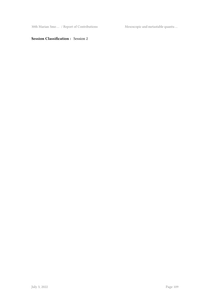30th Marian Smo ... / Report of Contributions Mesoscopic and metastable quantu ...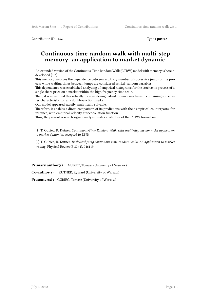Contribution ID: **132** Type : **poster** 

## **Continuous-time random walk with multi-step memory: an application to market dynamic**

An extended version of the Continuous-Time Random Walk (CTRW) model with memory is herein developed [1,2].

This memory involves the dependence between arbitrary number of successive jumps of the process while waiting times between jumps are considered as i.i.d. random variables.

This dependence was established analyzing of empirical histograms for the stochastic process of a single share price on a market within the high frequency time scale.

Then, it was justified theoretically by considering bid-ask bounce mechanism containing some delay characteristic for any double-auction market.

Our model appeared exactly analytically solvable.

Therefore, it enables a direct comparison of its predictions with their empirical counterparts, for instance, with empirical velocity autocorrelation function.

Thus, the present research significantly extends capabilities of the CTRW formalism.

[1] T. Gubiec, R. Kutner, *Continuous-Time Random Walk with multi-step memory: An application to market dynamics*, accepted to EPJB

[2] T. Gubiec, R. Kutner, *Backward jump continuous-time random walk: An application to market trading*, Physical Review E 82 (4), 046119

Primary author(s): GUBIEC, Tomasz (University of Warsaw)

**Co-author(s) :** KUTNER, Ryszard (University of Warsaw)

Presenter(s) : GUBIEC, Tomasz (University of Warsaw)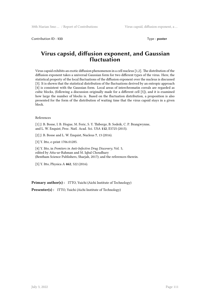Contribution ID : **133** Type : **poster**

#### **Virus capsid, diffusion exponent, and Gaussian fluctuation**

Virus capsid exhibits an exotic diffusion phenomenon in a cell nucleus [1,2]. The distribution of the diffusion exponent takes a universal Gaussian form for two different types of the virus. Here, the statistical property of the local fluctuations of the diffusion exponent over the nucleus is discussed [3]. It is shown that the statistical distribution of the fluctuations derived by an entropic approach [4] is consistent with the Gaussian form. Local areas of interchromatin corrals are regarded as cubic blocks, (following a discussion originally made for a different cell [5]), and it is examined how large the number of blocks is. Based on the fluctuation distribution, a proposition is also presented for the form of the distribution of waiting time that the virus capsid stays in a given block.

#### References

[1] J. B. Bosse, I. B. Hogue, M. Feric, S. Y. Thiberge, B. Sodeik, C. P. Brangwynne, and L. W. Enquist, Proc. Natl. Acad. Sci. USA **112**, E5725 (2015).

[2] J. B. Bosse and L. W. Enquist, Nucleus **7**, 13 (2016).

[3] Y. Itto, e-print 1706.01285.

[4] Y. Itto, in *Frontiers in Anti-Infective Drug Discovery*, Vol. 5, edited by Atta-ur-Rahman and M. Iqbal Choudhary (Bentham Science Publishers, Sharjah, 2017); and the references therein.

[5] Y. Itto, Physica A **462**, 522 (2016).

**Primary author(s):** ITTO, Yuichi (Aichi Institute of Technology)

**Presenter(s) :** ITTO, Yuichi (Aichi Institute of Technology)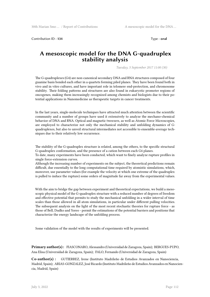Contribution ID : **134** Type : **oral**

#### **A mesoscopic model for the DNA G-quadruplex stability analysis**

*Tuesday, 5 September 2017 11:00 (30)*

The G-quadruplexes (G4) are non-canonical secondary DNA and RNA structures composed of four guanine basis bonded each other in a quartets forming piled planes. They have been found both in vivo and in vitro cultures, and have important role in telomere end-protection, and chromosome stability. Their folding patterns and structures are also found in eukaryotic promoter regions of oncogenes, making them increasingly recognized among chemists and biologists due to their potential applications in Nanomedicine as therapeutic targets in cancer treatments.

In the last years, single-molecule techniques have attracted much attention between the scientific community and a number of groups have used it extensively to analyze the mechano-chemical behavior of DNA and RNA. Optical and magnetic tweezers, as well as Atomic Force Microscopies, are employed to characterize not only the mechanical stability and unfolding dynamics of Gquadruplexes, but also to unveil structural intermediates not accessible to ensemble-average techniques due to their relatively low occurrence.

The stability of the G-quadruplex structure is related, among the others, to the specific structural G-quadruplex conformation, and the presence of a cation between each G4 planes.

To date, many experiments have been conducted, which want to finely analyze rupture profiles in single force-extension curves.

Although the increasing number of experiments on the subject, the theoretical predictions remain difficult, due essentially to the long computational time required by atomistic simulations, which, moreover, use parameter values (for example the velocity at which one extreme of the quadruplex is pulled to induce the rupture) some orders of magnitude far away from the experimental values.

With the aim to bridge the gap between experiment and theoretical expectations, we build a mesoscopic physical model of the G-quadruplex structure with a reduced number of degrees of freedom and effective potential that permits to study the mechanical unfolding in a wider interval of time scales than those allowed in all atom simulations, in particular under different pulling velocities. The subsequent analysis on the light of the most recent stochastic theories for rupture force - as those of Bell, Dudko and Yoreo - permit the estimations of the potential barriers and positions that characterize the energy landscape of the unfolding process.

Some validation of the model with the results of experiments will be presented.

**Primary author(s) :** FIASCONARO, Alessandro (Universidad de Zaragoza, Spain); BERGUES-PUPO, Ana Elisa (Universidad de Zaragoza, Spain); FALO, Fernando (Universidad de Zaragoza, Spain)

**Co-author(s) :** GUTIERREZ, Irene (Instituto Madrileño de Estudios Avanzados en Nanociencia, Madrid, Spain); ARIAS-GONZALEZ, José Ricardo (Instituto Madrileño de Estudios Avanzados en Nanociencia, Madrid, Spain)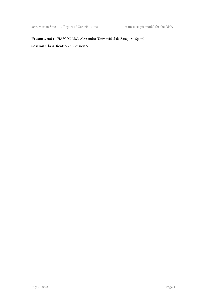**Presenter(s) :** FIASCONARO, Alessandro (Universidad de Zaragoza, Spain)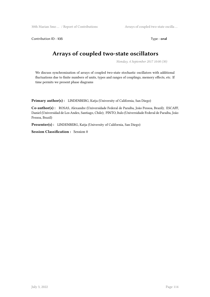Contribution ID : **135** Type : **oral** 

# **Arrays of coupled two-state oscillators**

*Monday, 4 September 2017 10:00 (30)*

We discuss synchronization of arrays of coupled two-state stochastic oscillators with additional fluctuations due to finite numbers of units, types and ranges of couplings, memory effects, etc. If time permits we present phase diagrams

**Primary author(s) :** LINDENBERG, Katja (University of California, San Diego)

**Co-author(s) :** ROSAS, Alexandre (Universidade Federal de Paraíba, João Pessoa, Brazil); ESCAFF, Daniel (Universidad de Los Andes, Santiago, Chile); PINTO, Italo (Universidade Federal de Paraíba, João Pessoa, Brazil)

Presenter(s) : LINDENBERG, Katja (University of California, San Diego)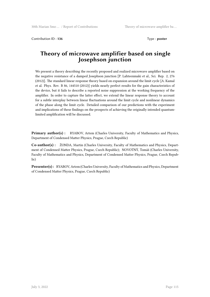Contribution ID: **136** Type : **poster** 

## **Theory of microwave amplifier based on single Josephson junction**

We present a theory describing the recently proposed and realized microwave amplifier based on the negative resistance of a damped Josephson junction [P. Lahteenmaki et al., Sci. Rep. 2, 276 (2012)]. The standard linear response theory based on expansion around the limit cycle [A. Kamal et al. Phys. Rev. B 86, 144510 (2012)] yields nearly perfect results for the gain characteristics of the device, but it fails to describe a reported noise suppression at the working frequency of the amplifier. In order to capture the latter effect, we extend the linear response theory to account for a subtle interplay between linear fluctuations around the limit cycle and nonlinear dynamics of the phase along the limit cycle. Detailed comparison of our predictions with the experiment and implications of these findings on the prospects of achieving the originally intended quantumlimited amplification will be discussed.

Primary author(s) : RYABOV, Artem (Charles University, Faculty of Mathematics and Physics, Department of Condensed Matter Physics, Prague, Czech Republic)

**Co-author(s) :** ŽONDA, Martin (Charles University, Faculty of Mathematics and Physics, Department of Condensed Matter Physics, Prague, Czech Republic); NOVOTNÝ, Tomáš (Charles University, Faculty of Mathematics and Physics, Department of Condensed Matter Physics, Prague, Czech Republic)

**Presenter(s) :** RYABOV, Artem (Charles University, Faculty of Mathematics and Physics, Department of Condensed Matter Physics, Prague, Czech Republic)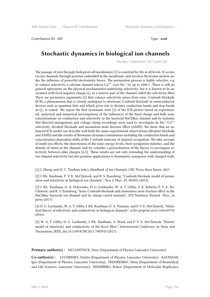Contribution ID : **137** Type : **oral**

# **Stochastic dynamics in biological ion channels**

*Tuesday, 5 September 2017 16:00 (30)*

The passage of ions through biological cell membranes [1] is essential for life at all levels. It occurs via ion channels through proteins embedded in the membrane, and involves Brownian motion under the influence of powerful electrostatic forces. The permeation process is highly selective, e.g. in valence selectivity a calcium channel selects  $Ca^{2+}$  over Na<sup>+</sup> by up to 1000:1. There is still no general agreement on the physical mechanism(s) underlying selectivity, but it is known to be associated with fixed negative charge  $Q_f$  in a narrow part of the channel called the selectivity filter. There are persuasive arguments [2] that valence selectivity arises from ionic Coulomb blockade (ICB), a phenomenon that is closely analogous to electronic Coulomb blockade in semiconductor devices such as quantum dots and which gives rise to distinct conduction bands and stop-bands as  $Q_f$  is varied. We report the first systematic tests [3] of the ICB picture based on experimental, analytical and numerical investigations of the influences of the fixed charge and bulk ionic concentrations on conduction and selectivity in the bacterial NaChBac channel and its mutants. Site-directed mutagenesis and voltage clamp recordings were used to investigate its  $Na^{\dagger}/Ca^{2+}$ selectivity, divalent blockade and anomalous mole fraction effect (AMFE). We show that an enhanced ICB model can describe well both the main experimental observations (divalent blockade and AMFE) and the results of Brownian dynamics simulations including the conduction bands and concentration-dependent shifts of the Coulomb staircase of channel occupation. We take account of multi-ion effects, the discreteness of the ionic energy levels, their occupation statistics, and the density of states in the channel, and we consider a generalisation of the theory to encompass selectivity between alike charges [4,5]. These results are not only extending the understanding of ion channel selectivity but also promise applications to biomimetic nanopores with charged walls.

[1] J. Zheng and M. C. Trudeau (eds.), *Handbook of Ion Channels*, CRC Press, Boca Raton, 2015.

[2] I. Kh. Kaufman, P. V. E. McClintock, and R. S. Eisenberg, "Coulomb blockade model of permeation and selectivity in biological ion channels", *New J. Phys.* **17**, 083021 (2015).

[3] I. Kh. Kaufman, O. A. Fedorenko, D. G. Luchinsky, W. A. T. Gibby, S. K. Roberts, P. V. E. Mc-Clintock, and R. S. Eisenberg, "Ionic Coulomb blockade and anomalous mole fraction effect in the NaChBac bacterial ion channel and its charge-varied mutants", *EPJ Nonlinear Biomed. Phys.*, in press (2017).

[4] D. G. Luchinsky, W. A. T. Gibby, I. Kh. Kaufman, D. A. Timucin, and P. V. E. McClintock, "Statistical theory of selectivity and conductivity in biological channels", *arXiv preprint* arxiv:1604.05758 (2016).

[5] W. A. T. Gibby, D. G. Luchinsky, I. Kh. Kaufman, A. Ward, and P. V. E. McClintock, "Kinetic model of selectivity and conductivity of the KcsA filter", *International Conference on Noise and Fluctuations*, IEEE, doi 10.1109/ICNF.2017.7985935 (2017).

**Primary author(s):** MCCLINTOCK, Peter (Department of Physics, Lancaster University)

**Co-author(s) :** LUCHINSKY, Dmitri (Department of Physics, Lancaster University); KAUFMAN, Igor (Department of Physics, Lancaster University); FEDORENKO, Olena (Department of Biomedical and Life Sciences, Lancaster University); EISENBERG, Robert (Department of Molecular Biophysics,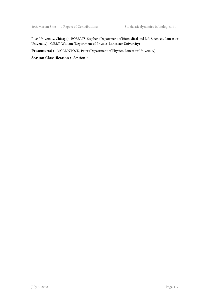Rush University, Chicago); ROBERTS, Stephen (Department of Biomedical and Life Sciences, Lancaster University); GIBBY, William (Department of Physics, Lancaster University)

Presenter(s) : MCCLINTOCK, Peter (Department of Physics, Lancaster University)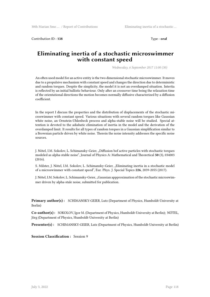Contribution ID : **138** Type : **oral** 

#### **Eliminating inertia of a stochastic microswimmer with constant speed**

*Wednesday, 6 September 2017 11:00 (30)*

An often used model for an active entity is the two dimensional stochastic microswimmer. It moves due to a propulsive mechanism with constant speed and changes the direction due to deterministic and random torques. Despite the simplicity, the model it is not an overdamped situation. Intertia is reflected by an initial ballistic behaviour. Only after an crossover time being the relaxation time of the orientational directions the motion becomes normally diffusive characterized by a diffusion coefficient.

In the report I discuss the properties and the distribution of displacements of the stochastic microswimmer with constant speed. Various situations with several random torques like Gaussian white noise, an Ornstein-Uhlenbeck process and alpha-stable noise will be studied. Special attention is devoted to the adiabatic elimination of inertia in the model and the derivation of the overdamped limit. It results for all types of random torques in a Gaussian simplification similar to a Brownian particle driven by white noise. Therein the noise intensity addresses the specific noise sources.

J. Nötel, I.M. Sokolov, L. Schimansky-Geier, "Diffusion bof active particles with stochastic torques modeled as alpha-stable noise", Journal of Physics A: Mathematical and Theoretical **50** (3), 034003 (2016).

S. Milster, J. Nötel, I.M. Sokolov, L. Schimansky-Geier, "Eliminating inertia in a stochastic model of a microswimmer with constant speed", Eur. Phys. J. Special Topics **226**, 2039-2055 (2017).

J. Nötel, I.M. Sokolov, L. Schimansky-Geier, "Gaussian appproximation of the stochastic microswimmer driven by alpha-stale noise, submitted for publication.

**Primary author(s) :** SCHIMANSKY-GEIER, Lutz (Department of Physics, Humboldt-University at Berlin)

**Co-author(s) :** SOKOLOV, Igor M. (Department of Physics, Humboldt-University at Berlin); NÖTEL, Jörg (Department of Physics, Humboldt-University at Berlin)

**Presenter(s) :** SCHIMANSKY-GEIER, Lutz (Department of Physics, Humboldt-University at Berlin)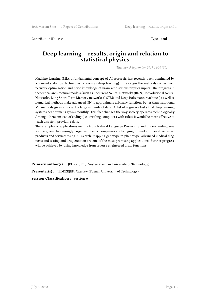Contribution ID: **140** Type : **oral** 

#### **Deep learning – results, origin and relation to statistical physics**

*Tuesday, 5 September 2017 14:00 (30)*

Machine learning (ML), a fundamental concept of AI research, has recently been dominated by advanced statistical techniques (known as deep learning). The origin the methods comes from network optimization and prior knowledge of brain with serious physics inputs. The progress in theoretical architectural models (such as Recurrent Neural Networks (RNN, Convolutional Neural Networks, Long Short-Term Memory networks (LSTM) and Deep Boltzmann Machines) as well as numerical methods make advanced NN to approximate arbitrary functions better than traditional ML methods given sufficiently large amounts of data. A list of cognitive tasks that deep learning systems beat humans grows monthly. This fact changes the way society operates technologically. Among others, instead of coding (i.e. entitling computers with rules) it would be more effective to teach a system providing data.

The examples of applications mainly from Natural Language Processing and understanding area will be given. Increasingly larger number of companies are bringing to market innovative, smart products and services using AI. Search, mapping genotype to phenotype, advanced medical diagnosis and testing and drug creation are one of the most promising applications. Further progress will be achieved by using knowledge from reverse engineered brain functions.

**Primary author(s):** JEDRZEJEK, Czeslaw (Poznan University of Technology) **Presenter(s) :** JEDRZEJEK, Czeslaw (Poznan University of Technology) **Session Classification :** Session 6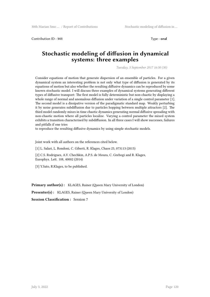Contribution ID : **141** Type : **oral**

#### **Stochastic modeling of diffusion in dynamical systems: three examples**

*Tuesday, 5 September 2017 16:30 (30)*

Consider equations of motion that generate dispersion of an ensemble of particles. For a given dynamical system an interesting problem is not only what type of diffusion is generated by its equations of motion but also whether the resulting diffusive dynamics can be reproduced by some known stochastic model. I will discuss three examples of dynamical systems generating different types of diffusive transport: The first model is fully deterministic but non-chaotic by displaying a whole range of normal and anomalous diffusion under variation of a single control parameter [1]. The second model is a dissipative version of the paradigmatic standard map. Weakly perturbing it by noise generates subdiffusion due to particles hopping between multiple attractors [2]. The third model randomly mixes in time chaotic dynamics generating normal diffusive spreading with non-chaotic motion where all particles localize. Varying a control parameter the mixed system exhibits a transition characterised by subdiffusion. In all three cases I will show successes, failures and pitfalls if one tries

to reproduce the resulting diffusive dynamics by using simple stochastic models.

Joint work with all authors on the references cited below.

[1] L. Salari, L. Rondoni, C. Giberti, R. Klages, Chaos 25, 073113 (2015)

[2] C.S. Rodrigues, A.V. Chechkin, A.P.S. de Moura, C. Grebogi and R. Klages, Europhys. Lett. 108, 40002 (2014)

[3] Y.Sato, R.Klages, to be published.

**Primary author(s):** KLAGES, Rainer (Queen Mary University of London)

**Presenter(s):** KLAGES, Rainer (Queen Mary University of London)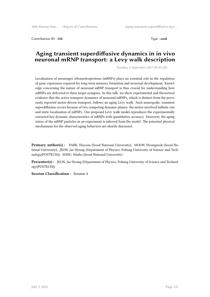Contribution ID: **142** Type : **oral** 

## **Aging transient superdiffusive dynamics in in vivo neuronal mRNP transport: a Levy walk description**

*Tuesday, 5 September 2017 09:30 (30)*

Localization of messenger ribonucleoproteins (mRNPs) plays an essential role in the regulation of gene expression required for long-term memory formation and neuronal development. Knowledge concerning the nature of neuronal mRNP transport is thus crucial for understanding how mRNPs are delivered to their target synapses. In this talk, we show experimental and theoretical evidence that the active transport dynamics of neuronal mRNPs, which is distinct from the previously reported motor-driven transport, follows an aging Levy walk. Such nonergodic, transient superdiffusion occurs because of two competing dynamic phases: the motor-involved ballistic run and static localization of mRNPs. Our proposed Levy walk model reproduces the experimentally extracted key dynamic characteristics of mRNPs with quantitative accuracy. Moreover, the aging status of the mRNP particles in an experiment is inferred from the model. The potential physical mechanisms for the observed aging behaviors are shortly discussed.

**Primary author(s) :** PARK, Heyoon (Seoul National University); MOON, Hyungseok (Seoul National University); JEON, Jae Hyung (Department of Physics, Pohang University of Science and Technology(POSTECH)); SONG, Minho (Seoul National University)

**Presenter(s) :** JEON, Jae Hyung (Department of Physics, Pohang University of Science and Technology(POSTECH))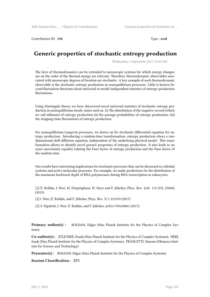Contribution ID : **146** Type : **oral** 

## **Generic properties of stochastic entropy production**

*Wednesday, 6 September 2017 15:30 (30)*

The laws of thermodynamics can be extended to mesoscopic systems for which energy changes are on the order of the thermal energy are relevant. Therefore, thermodynamic observables associated with mesoscopic degrees of freedom are stochastic. A key example of such thermodynamic observable is the stochastic entropy production in nonequilibrium processes. Little is known beyond fluctuation theorems about universal or model-independent statistics of entropy-production fluctuations.

Using Martingale theory we have discovered novel universal statistics of stochastic entropy production in nonequilibrium steady states such as: (i) The distribution of the negative record (which we call infimum) of entropy production (ii) the passage probabilities of entropy production; (iii) the stopping-time fluctuations of entropy production.

For nonequilibrium Langevin processes, we derive an Ito stochastic differential equation for entropy production. Introducing a random-time transformation, entropy production obeys a onedimensional drift-diffusion equation, independent of the underlying physical model. This transformation allows to identify novel generic properties of entropy production. It also leads to an exact uncertainty equality relating the Fano factor of entropy production and the Fano factor of the random time.

Our results have interesting implications for stochastic processes that can be discussed in colloidal systems and active molecular processes. For example, we make predictions for the distribution of the maximum backtrack depth of RNA polymerases during RNA transcription in eukaryotes.

[1] É. Roldán, I. Neri, M. Dörpinghaus, H. Meyr and F. Jülicher, Phys. Rev. Lett. 115 (25), 250602 (2015).

[2] I. Neri, É. Roldán, and F. Jülicher, Phys. Rev. X 7, 011019 (2017).

[3] S. Pigolotti, I. Neri, É. Roldán, and F. Jülicher, arXiv:1704.04061 (2017).

**Primary author(s) :** ROLDAN, Edgar (Max Planck Institute for the Physics of Complex Systems)

**Co-author(s) :** JÜLICHER, Frank (Max Planck Institute for the Physics of Complex Systems); NERI, Izaak (Max Planck Institute for the Physics of Complex Systems); PIGOLOTTI, Simone (Okinawa Institute for Science and Technology)

Presenter(s) : ROLDAN, Edgar (Max Planck Institute for the Physics of Complex Systems)

**Session Classification :** EPS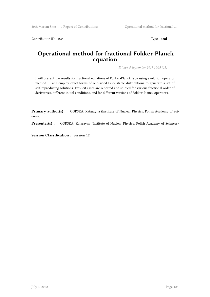Contribution ID: **150** Type : **oral** 

## **Operational method for fractional Fokker-Planck equation**

*Friday, 8 September 2017 10:05 (15)*

I will present the results for fractional equations of Fokker-Planck type using evolution operator method. I will employ exact forms of one-sided Levy stable distributions to generate a set of self-reproducing solutions. Explicit cases are reported and studied for various fractional order of derivatives, different initial conditions, and for different versions of Fokker-Planck operators.

**Primary author(s) :** GORSKA, Katarzyna (Institute of Nuclear Physics, Polish Academy of Sciences)

Presenter(s) : GORSKA, Katarzyna (Institute of Nuclear Physics, Polish Academy of Sciences)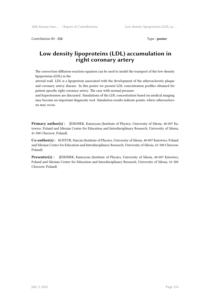Contribution ID: 152 **Type : poster** 

## **Low density lipoproteins (LDL) accumulation in right coronary artery**

The convection-diffusion-reaction equation can be used to model the transport of the low-density lipoproteins (LDL) in the

arterial wall. LDL is a lipoprotein associated with the development of the atherosclerotic plaque and coronary artery disease. In this poster we present LDL concentration profiles obtained for patient specific right coronary artery. The case with normal pressure

and hypertension are discussed. Simulations of the LDL concentration based on medical imaging may become an important diagnostic tool. Simulation results indicate points, where atherosclerosis may occur.

**Primary author(s) :** JESIONEK, Katarzyna (Institute of Physics, University of Silesia, 40-007 Katowice, Poland and Silesian Center for Education and Interdisciplinary Research, University of Silesia, 41-500 Chorzow, Poland)

**Co-author(s) :** KOSTUR, Marcin (Institute of Physics, University of Silesia, 40-007 Katowice, Poland and Silesian Center for Education and Interdisciplinary Research, University of Silesia, 41-500 Chorzow, Poland)

**Presenter(s) :** JESIONEK, Katarzyna (Institute of Physics, University of Silesia, 40-007 Katowice, Poland and Silesian Center for Education and Interdisciplinary Research, University of Silesia, 41-500 Chorzow, Poland)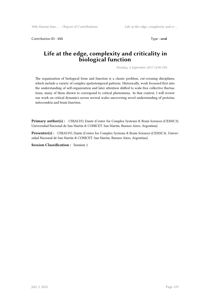Contribution ID : **153** Type : **oral**

## **Life at the edge, complexity and criticality in biological function**

*Monday, 4 September 2017 12:00 (30)*

The organization of biological form and function is a classic problem, cut-crossing disciplines, which include a variety of complex spatiotemporal patterns. Historically, work focussed first into the understanding of self-organization and later attention shifted to scale-free collective fluctuations, many of them shown to correspond to critical phenomena. In that context, I will review our work on critical dynamics across several scales uncovering novel understanding of proteins, mitocondria and brain function.

Primary author(s) : CHIALVO, Dante (Center for Complex Systems & Brain Sciences (CEMSC3). Universidad Nacional de San Martin & CONICET. San Martin, Buenos Aires, Argentina)

**Presenter(s) :** CHIALVO, Dante (Center for Complex Systems & Brain Sciences (CEMSC3). Universidad Nacional de San Martin & CONICET. San Martin, Buenos Aires, Argentina)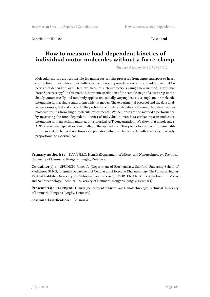Contribution ID : **154** Type : **oral**

#### **How to measure load-dependent kinetics of individual motor molecules without a force-clamp**

*Tuesday, 5 September 2017 09:30 (30)*

Molecular motors are responsible for numerous cellular processes from cargo transport to heart contraction. Their interactions with other cellular components are often transient and exhibit kinetics that depend on load. Here, we measure such interactions using a new method, "Harmonic Force Spectroscopy." In this method, harmonic oscillation of the sample stage of a laser trap immediately, automatically and randomly applies sinusoidally varying loads to a single motor molecule interacting with a single track along which it moves. The experimental protocol and the data analysis are simple, fast and efficient. The protocol accumulates statistics fast enough to deliver singlemolecule results from single-molecule experiments. We demonstrate the method's performance by measuring the force-dependent kinetics of individual human beta-cardiac myosin molecules interacting with an actin filament at physiological ATP concentration. We show that a molecule's ADP release rate depends exponentially on the applied load. This points to Kramer's Brownian diffusion model of chemical reactions as explanation why muscle contracts with a velocity inversely proportional to external load.

**Primary author(s) :** FLYVBJERG, Henrik (Department of Micro- and Nanotechnology, Technical University of Denmark, Kongens Lyngby, Denmark)

**Co-author(s) :** SPUDICH, James A. (Department of Biochemistry, Stanford University School of Medicine); SUNG, Jongmin (Department of Cellular and Molecular Pharmacology, The Howard Hughes Medical Institute, University of California, San Francisco); MORTENSEN, Kim (Department of Microand Nanotechnology, Technical University of Denmark, Kongens Lyngby, Denmark)

**Presenter(s) :** FLYVBJERG, Henrik (Department of Micro- and Nanotechnology, Technical University of Denmark, Kongens Lyngby, Denmark)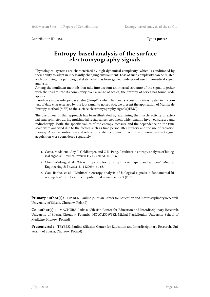Contribution ID : **156** Type : **poster** 

## **Entropy-based analysis of the surface electromyography signals**

Physiological systems are characterized by high dynamical complexity, which is conditioned by their ability to adapt in incessantly changing environment. Loss of such complexity can be related with occurring the pathological state, what has been gained widespread use in biomedical signal analysis.

Among the nonlinear methods that take into account an internal structure of the signal together with the insight into its complexity over a range of scales, the entropy of series has found wide application.

Based on sample entropy parameter (SampEn) which has been successfully investigated in the context of data characterized by the low signal to noise ratio, we present the application of Multiscale Entropy method (MSE) to the surface electromyography signals(sEMG).

The usefulness of that approach has been illustrated by examining the muscle activity of external anal sphincter during multimodal rectal cancer treatment which mainly involved surgery and radiotherapy. Both, the specific values of the entropy measure and the dependence on the time scale were analyzed due to the factors such as time period after surgery and the use of radiation therapy. Also the contraction and relaxation state in conjunction with the different levels of signal acquisition were considered separately.

- 1. Costa, Madalena, Ary L. Goldberger, and C-K. Peng. "Multiscale entropy analysis of biological signals." Physical review E 71.2 (2005): 021906.
- 2. Chen, Weiting, et al. "Measuring complexity using fuzzyen, apen, and sampen." Medical Engineering & Physics 31.1 (2009): 61-68.
- 3. Gao, Jianbo, et al. "Multiscale entropy analysis of biological signals: a fundamental biscaling law." Frontiers in computational neuroscience 9 (2015).

**Primary author(s):** TRYBEK, Paulina (Silesian Center for Education and Interdisciplinary Research, University of Silesia, Chorzow, Poland)

**Co-author(s) :** MACHURA, Lukasz (Silesian Center for Education and Interdisciplinary Research, University of Silesia, Chorzow, Poland); NOWAKOWSKI, Michal (Jagiellonian University School of Medicine, Krakow, Poland)

**Presenter(s) :** TRYBEK, Paulina (Silesian Center for Education and Interdisciplinary Research, University of Silesia, Chorzow, Poland)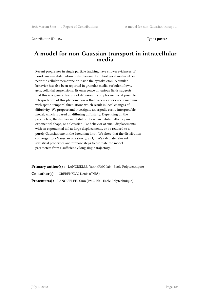Contribution ID: 157 Type : **poster** 

#### **A model for non-Gaussian transport in intracellular media**

Recent progresses in single particle tracking have shown evidences of non-Gaussian distribution of displacements in biological media either near the cellular membrane or inside the cytoskeleton. A similar behavior has also been reported in granular media, turbulent flows, gels, colloidal suspensions. Its emergence in various fields suggests that this is a general feature of diffusion in complex media. A possible interpretation of this phenomenon is that tracers experience a medium with spatio-temporal fluctuations which result in local changes of diffusivity. We propose and investigate an ergodic easily interpretable model, which is based on diffusing diffusivity. Depending on the parameters, the displacement distribution can exhibit either a pure exponential shape, or a Gaussian-like behavior at small displacements with an exponential tail at large displacements, or be reduced to a purely Gaussian one in the Brownian limit. We show that the distribution converges to a Gaussian one slowly, as 1/t. We calculate relevant statistical properties and propose steps to estimate the model parameters from a sufficiently long single trajectory.

**Primary author(s) :** LANOISELÉE, Yann (PMC lab - École Polytechnique) **Co-author(s) :** GREBENKOV, Denis (CNRS) **Presenter(s) :** LANOISELÉE, Yann (PMC lab - École Polytechnique)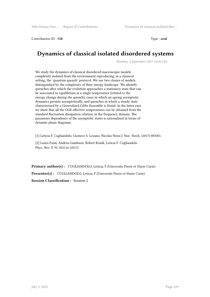Contribution ID: **158** Type : **oral** 

## **Dynamics of classical isolated disordered systems**

*Monday, 4 September 2017 14:30 (30)*

We study the dynamics of classical disordered macroscopic models completely isolated from the environment reproducing, in a classical setting, the 'quantum quench' protocol. We use two classes of models, distinguished by the complexity of their energy landscape. We identify quenches after which the evolution approaches a stationary state that can be associated to equilibrium at a single temperature (related to the energy change during the quench), cases in which an ageing asymptotic dynamics persists asymptotically, and quenches in which a steady state characterised by a Generalised Gibbs Ensemble is found. In the latter case we show that all the GGE effective temperatures can be obtained from the standard fluctuation dissipation relation, in the frequency domain. The parameter dependence of the asymptotic states is rationalised in terms of dynamic phase diagrams.

[1] Leticia F. Cugliandolo, Gustavo S. Lozano, Nicolas Nessi J. Stat. Mech. (2017) 083301.

[2] Laura Foini, Andrea Gambassi, Robert Konik, Leticia F. Cugliandolo Phys. Rev. E 95, 052116 (2017)

**Primary author(s) :** CUGLIANDOLO, Leticia, F (Universite Pierre et Marie Curie) **Presenter(s) :** CUGLIANDOLO, Leticia, F (Universite Pierre et Marie Curie) **Session Classification :** Session 2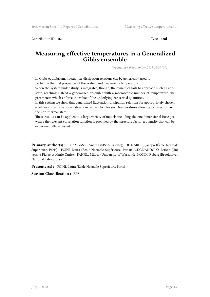Contribution ID : **161** Type : **oral**

## **Measuring effective temperatures in a Generalized Gibbs ensemble**

*Wednesday, 6 September 2017 15:00 (30)*

In Gibbs equilibrium, fluctuation-dissipation relations can be generically used to probe the thermal properties of the system and measure its temperature.

When the system under study is integrable, though, the dynamics fails to approach such a Gibbs state, reaching instead a generalized ensemble with a macroscopic number of temperature-like parameters which enforce the value of the underlying conserved quantities.

In this setting we show that generalized fluctuation-dissipation relations for appropriately chosen – yet very physical – observables, can be used to infer such temperatures allowing us to reconstruct the non-thermal state.

These results can be applied to a large variety of models including the one dimensional Bose gas where the relevant correlation function is provided by the structure factor, a quantity that can be experimentally accessed.

**Primary author(s) :** GAMBASSI, Andrea (SISSA Trieste); DE NARDIS, Jacopo (École Normale Supérieure, Paris); FOINI, Laura (École Normale Supérieure, Paris); CUGLIANDOLO, Leticia (Universite Pierre et Marie Curie); PANFIL, Milosz (University of Warsaw); KONIK, Robert (Brookhaven National Laboratory)

**Presenter(s) :** FOINI, Laura (École Normale Supérieure, Paris)

**Session Classification :** EPS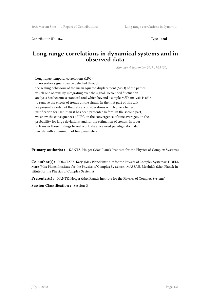Contribution ID: **162** Type : **oral** 

#### **Long range correlations in dynamical systems and in observed data**

*Monday, 4 September 2017 17:35 (30)*

Long range temporal correlations (LRC) in noise-like signals can be detected through the scaling behaviour of the mean squared displacement (MSD) of the pathes which one obtains by integrating over the signal. Detrended fluctuation analysis has become a standard tool which beyond a simple MSD analysis is able to remove the effects of trends on the signal. In the first part of this talk we present a sketch of theoretical considerations which give a better justification for DFA than it has been presented before. In the second part, we show the consequences of LRC on the convergence of time averages, on the probability for large deviations, and for the estimation of trends. In order to transfer these findings to real world data, we need paradigmatic data models with a minimum of free parameters.

**Primary author(s):** KANTZ, Holger (Max Planck Institute for the Physics of Complex Systems)

**Co-author(s) :** POLOTZEK, Katja (Max Planck Institute for the Physics of Complex Systems); HOELL, Marc (Max Planck Institute for the Physics of Complex Systems); MASSAH, Mozhdeh (Max Planck Institute for the Physics of Complex Systems)

**Presenter(s) :** KANTZ, Holger (Max Planck Institute for the Physics of Complex Systems)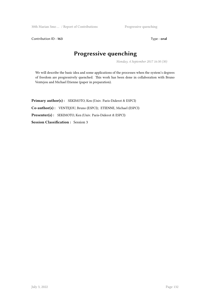30th Marian Smo ... / Report of Contributions Progressive quenching

Contribution ID : 163 Type : **oral** 

# **Progressive quenching**

*Monday, 4 September 2017 16:30 (30)*

We will describe the basic idea and some applications of the processes when the system's degrees of freedom are progressively quenched. This work has been done in collaboration with Bruno Ventejou and Michael Etienne (paper in preparation).

**Primary author(s) :** SEKIMOTO, Ken (Univ. Paris-Diderot & ESPCI) **Co-author(s) :** VENTEJOU, Bruno (ESPCI); ETIENNE, Michael (ESPCI) **Presenter(s) :** SEKIMOTO, Ken (Univ. Paris-Diderot & ESPCI) **Session Classification :** Session 3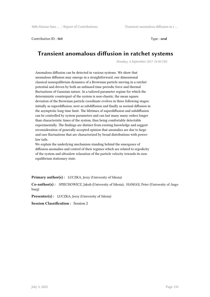Contribution ID: 164 Type : **oral** 

## **Transient anomalous diffusion in ratchet systems**

*Monday, 4 September 2017 14:30 (30)*

Anomalous diffusion can be detected in various systems. We show that anomalous diffusion may emerge in a straightforward, one dimensional classical nonequilibrium dynamics of a Brownian particle moving in a ratchet potential and driven by both an unbiased time-periodic force and thermal fluctuations of Gaussian nature. In a tailored parameter regime for which the deterministic counterpart of the system is non-chaotic, the mean square deviation of the Brownian particle coordinate evolves in three following stages: initially as superdiffusion, next as subdiffusion and finally as normal diffusion in the asymptotic long time limit. The lifetimes of superdiffusion and subdiffusion can be controlled by system parameters and can last many many orders longer than characteristic times of the system, thus being comfortably detectable experimentally. The findings are distinct from existing knowledge and suggest reconsideration of generally accepted opinion that anomalies are due to large and rare fluctuations that are characterized by broad distributions with powerlaw tails.

We explain the underlying mechanism standing behind the emergence of diffusion anomalies and control of their regimes which are related to ergodicity of the system and ultraslow relaxation of the particle velocity towards its nonequilibrium stationary state.

**Primary author(s) :** LUCZKA, Jerzy (University of Silesia)

**Co-author(s) :** SPIECHOWICZ, Jakub (University of Silesia); HANGGI, Peter (University of Augsburg)

**Presenter(s) :** LUCZKA, Jerzy (University of Silesia)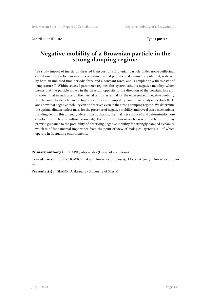Contribution ID: **165** Type : **poster** 

## **Negative mobility of a Brownian particle in the strong damping regime**

We study impact of inertia on directed transport of a Brownian particle under non-equilibrium conditions: the particle moves in a one-dimensional periodic and symmetric potential, is driven by both an unbiased time-periodic force and a constant force, and is coupled to a thermostat of temperature T. Within selected parameter regimes this system exhibits negative mobility, which means that the particle moves in the direction opposite to the direction of the constant force. It is known that in such a setup the inertial term is essential for the emergence of negative mobility, which cannot be detected in the limiting case of overdamped dynamics. We analyse inertial effects and show that negative mobility can be observed even in the strong damping regime. We determine the optimal dimensionless mass for the presence of negative mobility and reveal three mechanisms standing behind this anomaly: deterministic chaotic, thermal noise induced and deterministic nonchaotic. To the best of authors knowledge the last origin has never been reported before. It may provide guidance to the possibility of observing negative mobility for strongly damped dynamics which is of fundamental importance from the point of view of biological systems, all of which operate in fluctuating environments.

**Primary author(s) :** SLAPIK, Aleksandra (University of Silesia)

**Co-author(s) :** SPIECHOWICZ, Jakub (University of Silesia); ŁUCZKA, Jerzy (University of Silesia)

**Presenter(s) :** SLAPIK, Aleksandra (University of Silesia)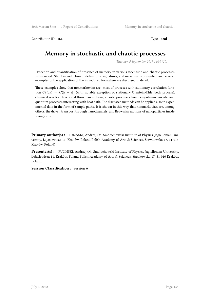Contribution ID: 166 **Type : oral** 

## **Memory in stochastic and chaotic processes**

*Tuesday, 5 September 2017 14:30 (20)*

Detection and quantification of presence of memory in various stochastic and chaotic processes is discussed. Short introduction of definitions, signatures, and measures is presented, and several examples of the application of the introduced formalism are discussed in detail.

These examples show that nonmarkovian are: most of proceses with stationary correlation function  $C(t, s) = C(|t - s|)$  (with notable exception of stationary Ornstein-Uhlenbeck process), chemical reaction, fractional Brownian motions, chaotic processes from Feigenbaum cascade, and quantum processes interacting with heat bath. The discussed methods can be applied also to experimental data in the form of sample paths. It is shown in this way that nonmarkovian are, among others, the driven transport through nanochannels, and Brownian motions of nanoparticles inside living cells.

**Primary author(s) :** FULINSKI, Andrzej (M. Smoluchowski Institute of Physics, Jagiellonian University, Łojasiewicza 11, Kraków, Poland Polish Academy of Arts & Sciences, Sławkowska 17, 31-016 Kraków, Poland)

**Presenter(s) :** FULINSKI, Andrzej (M. Smoluchowski Institute of Physics, Jagiellonian University, Łojasiewicza 11, Kraków, Poland Polish Academy of Arts & Sciences, Sławkowska 17, 31-016 Kraków, Poland)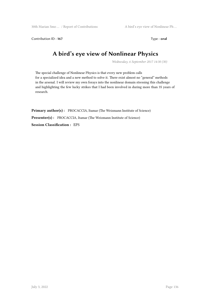Contribution ID : **167** Type : **oral** 

# **A bird's eye view of Nonlinear Physics**

*Wednesday, 6 September 2017 14:30 (30)*

The special challenge of Nonlinear Physics is that every new problem calls for a specialized idea and a new method to solve it. There exist almost no "general" methods in the arsenal. I will review my own forays into the nonlinear domain stressing this challenge and highlighting the few lucky strikes that I had been involved in during more than 35 years of research.

**Primary author(s):** PROCACCIA, Itamar (The Weizmann Institute of Science) Presenter(s) : PROCACCIA, Itamar (The Weizmann Institute of Science) **Session Classification :** EPS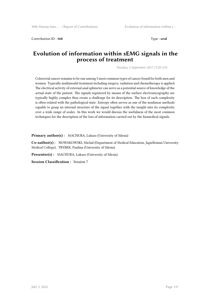Contribution ID : **168** Type : **oral**

## **Evolution of information within sEMG signals in the process of treatment**

*Tuesday, 5 September 2017 17:20 (15)*

Colorectal cancer remains to be one among 5 most common types of cancer found for both men and women. Typically multimodal treatment including surgery, radiation and chemotherapy is applied. The electrical activity of external anal sphincter can serve as a potential source of knowledge of the actual state of the patient. The signals registered by means of the surface electromyography are typically highly complex thus create a challenge for its description. The loss of such complexity is often related with the pathological state. Entropy often serves as one of the nonlinear methods capable to grasp an internal structure of the signal together with the insight into its complexity over a wide range of scales. In this work we would discuss the usefulness of the most common techniques for the description of the loss of information carried out by the biomedical signals.

Primary author(s): MACHURA, Lukasz (University of Silesia)

**Co-author(s) :** NOWAKOWSKI, Michał (Department of Medical Education, Jagiellonian University Medical College); TRYBEK, Paulina (University of Silesia)

Presenter(s) : MACHURA, Lukasz (University of Silesia)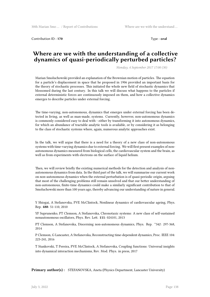Contribution ID : **170** Type : **oral** 

#### **Where are we with the understanding of a collective dynamics of quasi-periodically perturbed particles?**

*Monday, 4 September 2017 17:00 (30)*

Marian Smoluchowski provided an explanation of the Brownian motion of particles. The equation for a particle's displacement in space that he proposed in 1906 provided an important basis for the theory of stochastic processes. This initiated the whole new field of stochastic dynamics that blossomed during the last century. In this talk we will discuss what happens to the particles if external deterministic forces are continuously imposed on them, and how a collective dynamics emerges to describe particles under external forcing.

The time-varying, non-autonomous, dynamics that emerges under external forcing has been detected in living, as well as man-made, systems. Currently, however, non-autonomous dynamics is commonly considered easy to deal with - either by transforming it into autonomous dynamics, for which an abundance of tractable analytic tools is available, or by considering it as belonging to the class of stochastic systems where, again, numerous analytic approaches exist.

In the talk, we will argue that there is a need for a theory of a new class of non-autonomous systems with time-varying dynamics due to external forcing. We will first present examples of nonautonomous dynamics measured from biological cells, the cardiovascular system and the brain, as well as from experiments with electrons on the surface of liquid helium.

Then, we will review briefly the existing numerical methods for the detection and analysis of nonautonomous dynamics from data. In the third part of the talk, we will summarise our current work on non-autonomous dynamics when the external perturbation is of quasi-periodic origin, arguing that most of the challenging problems still remain unsolved and that our better understanding of non-autonomous, finite-time dynamics could make a similarly significant contribution to that of Smoluchowski more than 100 years ago, thereby advancing our understanding of nature in general.

Y Shiogai, A Stefanovska, PVE McClintock, Nonlinear dynamics of cardiovascular ageing, Phys. Rep. **488**: 51-110, 2010

YF Suprunenko, PT Clemson, A Stefanovska, Chronotaxic systems: A new class of self-sustained nonautonomous oscillators, Phys. Rev. Lett. **111**: 024101, 2013

PT Clemson, A Stefanovska, Discerning non-autonomous dynamics, Phys. Rep. \**542*: 297-368, 2014

P Clemson, G Lancaster, A Stefanovska, Reconstructing time-dependent dynamics, Proc. IEEE 104: 223-241, 2016

T Stankovski, T Pereira, PVE McClintock, A Stefanovska, Coupling functions: Universal insights into dynamical interaction mechanisms, Rev. Mod. Phys. in press, 2017

**Primary author(s) :** STEFANOVSKA, Aneta (Physics Department, Lancaster University)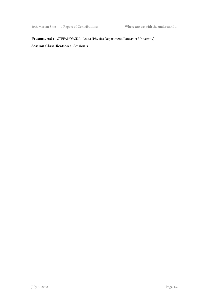**Presenter(s) :** STEFANOVSKA, Aneta (Physics Department, Lancaster University)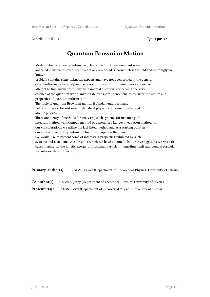Contribution ID: **173** Type : **poster** 

# **Quantum Brownian Motion**

Models which contain quantum particle coupled to its environment were analysed many times over recent years or even decades. Nonetheless this old and seemingly well known problem contains some unknown aspects and have not been solved in the general case. Furthermore by analysing behaviour of quantum Brownian motion one could attempt to find answer for many fundamental questions concerning the very essence of the quantum world, investigate transport phenomena or consider the nature and properties of quantum information. The topic of quantum Brownian motion is fundamental for many fields of physics, for instance in statistical physics, condensed matter and atomic physics. There are plenty of methods for analysing such systems for instance path integrals method, van Kampen method or generalised Langevin equation method. In our considerations we utilise the last listed method and as a starting point in our analysis we took quantum fluctuation-dissipation theorem. We would like to present some of interesting properties exhibited by such systems and exact, analytical results which we have obtained. In our investigations we were focused mainly on the kinetic energy of Brownian particle in long-time limit and general formula for autocorrelation function.

**Primary author(s) :** BIALAS, Paweł (Department of Theoretical Physics, University of Silesia)

**Co-author(s) :** ŁUCZKA, Jerzy (Department of Theoretical Physics, University of Silesia)

**Presenter(s) :** BIALAS, Paweł (Department of Theoretical Physics, University of Silesia)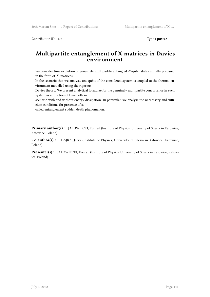Contribution ID : 174 Type : **poster** 

## **Multipartite entanglement of X-matrices in Davies environment**

We consider time evolution of genuinely multipartite entangled *N*-qubit states initially prepared in the form of *X*-matrices.

In the scenario that we analyse, one qubit of the considered system is coupled to the thermal environment modelled using the rigorous

Davies theory. We present analytical formulae for the genuinely multipartite concurrence in such system as a function of time both in

scenario with and without energy dissipation. In particular, we analyse the neccessary and sufficient conditions for presence of so

called entanglement sudden death phenomenon.

**Primary author(s) :** JAŁOWIECKI, Konrad (Institute of Physics, University of Silesia in Katowice, Katowice, Poland)

**Co-author(s) :** DAJKA, Jerzy (Institute of Physics, University of Silesia in Katowice, Katowice, Poland)

**Presenter(s) :** JAŁOWIECKI, Konrad (Institute of Physics, University of Silesia in Katowice, Katowice, Poland)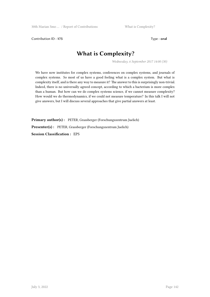Contribution ID: **175** Type : **oral** 

# **What is Complexity?**

*Wednesday, 6 September 2017 14:00 (30)*

We have now institutes for complex systems, conferences on complex systems, and journals of complex systems. So most of us have a good feeling what is a complex system. But what is complexity itself, and is there any way to measure it? The answer to this is surprisingly non-trivial. Indeed, there is no universally agreed concept, according to which a bacterium is more complex than a human. But how can we do complex systems science, if we cannot measure complexity? How would we do thermodynamics, if we could not measure temperature? In this talk I will not give answers, but I will discuss several approaches that give partial answers at least.

**Primary author(s) :** PETER, Grassberger (Forschungszentrum Juelich) **Presenter(s) :** PETER, Grassberger (Forschungszentrum Juelich) **Session Classification :** EPS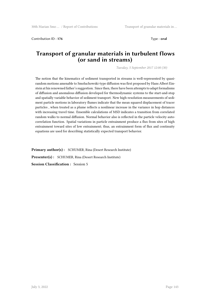Contribution ID : **176** Type : **oral**

#### **Transport of granular materials in turbulent flows (or sand in streams)**

*Tuesday, 5 September 2017 12:00 (30)*

The notion that the kinematics of sediment transported in streams is well-represented by quasirandom motions amenable to Smoluchowski-type diffusion was first proposed by Hans Albert Einstein at his renowned father's suggestion. Since then, there have been attempts to adapt formalisms of diffusion and anomalous diffusion developed for thermodynamic systems to the start-and-stop and spatially variable behavior of sediment transport. New high-resolution measurements of sediment particle motions in laboratory flumes indicate that the mean squared displacement of tracer particles , when treated as a plume reflects a nonlinear increase in the variance in hop distances with increasing travel time. Ensemble calculations of MSD indicates a transition from correlated random walks to normal diffusion. Normal behavior also is reflected in the particle velocity autocorrelation function. Spatial variations in particle entrainment produce a flux from sites of high entrainment toward sites of low entrainment; thus, an entrainment form of flux and continuity equations are used for describing statistically expected transport behavior.

**Primary author(s) :** SCHUMER, Rina (Desert Research Institute) **Presenter(s) :** SCHUMER, Rina (Desert Research Institute) **Session Classification :** Session 5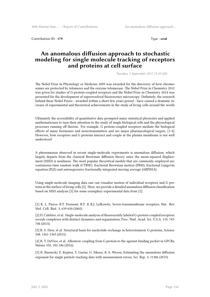Contribution ID : **179** Type : **oral** 

#### **An anomalous diffusion approach to stochastic modeling for single molecule tracking of receptors and proteins at cell surface**

*Tuesday, 5 September 2017 15:10 (20)*

The Nobel Prize in Physiology or Medicine 2009 was awarded for the discovery of how chromosomes are protected by telomeres and the enzyme telomerase. The Nobel Prize in Chemistry 2012 was given for studies of G-protein-coupled receptors and the Nobel Prize in Chemistry 2014 was presented for the development of superresolved fluorescence microscopy. Definitely, the research behind these Nobel Prizes - awarded within a short few years period - have caused a dramatic increase of experimental and theoretical achievements in the study of living cells around the world.

Ultimately the accessibility of quantitative data prompted many statistical physicists and applied mathematicians to turn their attention to the study of single biological cells and the physiological processes running off therein. For example, G protein-coupled receptors mediate the biological effects of many hormones and neurotransmitters and are major pharmacological targets, [1-4]. However, how receptors and G proteins interact and couple at the plasma membrane is not well understood.

A phenomenon observed in recent single-molecule experiments is anomalous diffusion, which largely departs from the classical Brownian diffusion theory since the mean-squared displacement (MSD) is nonlinear. The most popular theoretical models that are commonly employed are: continuous-time random walk (CTRW), fractional Brownian motion (FBM), fractional Langevin equation (FLE) and autoregressive fractionally integrated moving average (ARFIMA).

Using single-molecule imaging data one can visualize motion of individual receptors and G proteins at the surface of living cells [2]. Here, we provide a detailed anomalous diffusion classification based on MSD analysis [5] for some exemplary experimental data from [2].

[1] K. L. Pierce, R.T. Premont, R.T. & R.J. Lefkowitz, Seven-transmembrane receptors, Nat. Rev. Mol. Cell. Biol. 3, 639-650 (2002).

[2] D. Calebiro, et al. Single-molecule analysis of fluorescently labeled G-protein-coupled receptors reveals complexes with distinct dynamics and organization, Proc. Natl. Acad. Sci. U.S.A. 110, 743- 748 (2013).

[3] R. 0. Dror, et al. Structural basis for nucleotide exchange in heterotrimeric G proteins, Science 348, 1361-1365 (2015).

[4] B. T. DeVree, et al. Allosteric coupling from G protein to the agonist-binding pocket in GPCRs, Nature 535, 182-186 (2016).

[5] K. Burnecki, E. Kepten, Y. Garini, G. Sikora, & A. Weron, Estimating the anomalous diffusion exponent for single particle tracking data with measurement errors, Sci. Rep. 5, 11306 (2015).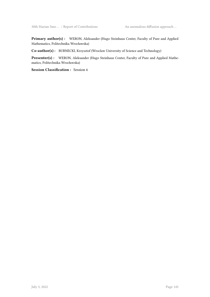**Primary author(s) :** WERON, Aleksander (Hugo Steinhaus Center, Faculty of Pure and Applied Mathematics, Politechnika Wrocławska)

**Co-author(s) :** BURNECKI, Krzysztof (Wroclaw University of Science and Technology)

**Presenter(s) :** WERON, Aleksander (Hugo Steinhaus Center, Faculty of Pure and Applied Mathematics, Politechnika Wrocławska)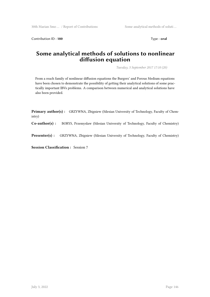Contribution ID: **180** Type : **oral** 

# **Some analytical methods of solutions to nonlinear diffusion equation**

*Tuesday, 5 September 2017 17:10 (20)*

From a reach family of nonlinear diffusion equations the Burgers' and Porous Medium equations have been chosen to demonstrate the possibility of getting their analytical solutions of some practically important IBVs problems. A comparison between numerical and analytical solutions have also been provided.

**Primary author(s) :** GRZYWNA, Zbigniew (Silesian University of Technology, Faculty of Chemistry)

**Co-author(s) :** BORYS, Przemyslaw (Silesian University of Technology, Faculty of Chemistry)

**Presenter(s) :** GRZYWNA, Zbigniew (Silesian University of Technology, Faculty of Chemistry)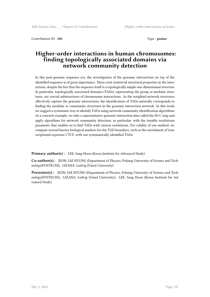Contribution ID : **181** Type : **poster**

# **Higher-order interactions in human chromosomes: finding topologically associated domains via network community detection**

In this post-genome sequence era, the investigation of the genomic interactions on top of the identified sequence is of great importance. There exist nontrivial structural properties in the interactions, despite the fact that the sequence itself is a topologically simple one-dimensional structure. In particular, topologically associated domains (TADs), representing the group or modular structures, are crucial substructures of chromosome interactions. As the weighted network structures effectively capture the genomic interactions, the identification of TADs naturally corresponds to finding the modular or community structures in the genomic interaction network. In this work, we suggest a systematic way to identify TADs using network community identification algorithms. As a concrete example, we take a representative genomic interaction data called the Hi-C map and apply algorithms for network community detection, in particular, with the tunable resolutions parameter that enables us to find TADs with various resolutions. For validity of our method, we compare several known biological markers for the TAD boundary, such as the enrichment of transcriptional repressor CTCF, with our systematically identified TADs

**Primary author(s):** LEE, Sang Hoon (Korea Institute for Advanced Study)

**Co-author(s) :** JEON, JAE HYUNG (Department of Physics, Pohang University of Science and Technology(POSTECH)); LIZANA, Ludvig (Umeå University)

**Presenter(s) :** JEON, JAE HYUNG (Department of Physics, Pohang University of Science and Technology(POSTECH)); LIZANA, Ludvig (Umeå University); LEE, Sang Hoon (Korea Institute for Advanced Study)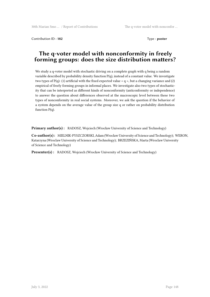Contribution ID: **182** Type : **poster** 

# **The q-voter model with nonconformity in freely forming groups: does the size distribution matters?**

We study a q-voter model with stochastic driving on a complete graph with q being a random variable described by probability density function P(q), instead of a constant value. We investigate two types of  $P(q)$ : (1) artificial with the fixed expected value  $\lt q$  >, but a changing variance and (2) empirical of freely forming groups in informal places. We investigate also two types of stochasticity that can be interpreted as different kinds of nonconformity (anticonformity or independence) to answer the question about differences observed at the macroscopic level between these two types of nonconformity in real social systems. Moreover, we ask the question if the behavior of a system depends on the average value of the group size q or rather on probability distribution function  $P(q)$ .

**Primary author(s):** RADOSZ, Wojciech (Wrocław University of Science and Technology)

**Co-author(s) :** MIELNIK-PYSZCZORSKI, Adam (Wroclaw University of Science and Technology); WERON, Katarzyna (Wroclaw University of Science and Technology); BRZEZIŃSKA, Marta (Wroclaw University of Science and Technology)

Presenter(s) : RADOSZ, Wojciech (Wrocław University of Science and Technology)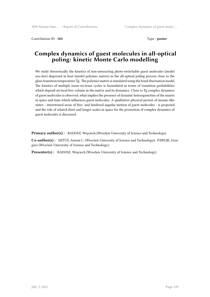Contribution ID : **183** Type : **poster**

# **Complex dynamics of guest molecules in all-optical poling: kinetic Monte Carlo modelling**

We study theoretically the kinetics of non-interacting photo-switchable guest molecules (model azo-dye) dispersed in host (model polymer matrix) in the all-optical poling process close to the glass transition temperature Tg. The polymer matrix is simulated using the bond-fluctuation model. The kinetics of multiple trans-cis-trans cycles is formulated in terms of transition probabilities which depend on local free volume in the matrix and its dynamics. Close to Tg complex dynamics of guest molecules is observed, what implies the presence of dynamic heterogeneities of the matrix in space and time which influences guest molecules. A qualitative physical picture of mosaic-like states - intertwined areas of free- and hindered angular motion of guest molecules - is proposed and the role of related short and longer scales in space for the promotion of complex dynamics of guest molecules is discussed.

**Primary author(s):** RADOSZ, Wojciech (Wrocław University of Science and Technology)

**Co-author(s) :** MITUŚ, Antoni C. (Wroclaw University of Science and Technology); PAWLIK, Grzegorz (Wroclaw University of Science and Technology,)

Presenter(s) : RADOSZ, Wojciech (Wrocław University of Science and Technology)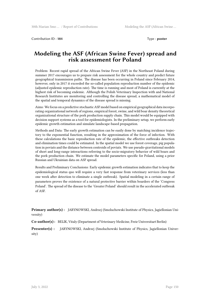Contribution ID : **184** Type : **poster** 

# **Modeling the ASF (African Swine Fever) spread and risk assessment for Poland**

Problem: Recent rapid spread of the African Swine Fever (ASF) in the Northeast Poland during summer 2017 encourages us to prepare risk assessment for the whole country and predict future geographical transmission paths. The disease has been occurring in Poland since February 2014, however, only in 2017 it exceeded the so-called population reproduction number of the epidemic (adjusted epidemic reproduction rate). The time is running and most of Poland is currently at the highest risk of becoming endemic. Although the Polish Veterinary Inspection with and National Research Institutes are monitoring and controlling the disease spread, a mathematical model of the spatial and temporal dynamics of the disease spread is missing.

Aims: We focus on a predictive stochastic ASF model based on empirical geographical data incorporating organizational network of regions, empirical forest, swine, and wild boar density theoretical organizational structure of the pork production supply chain. This model would be equipped with decision support systems as a tool for epidemiologists. In the preliminary setup, we perform early epidemic growth estimation and simulate landscape-based propagation.

Methods and Data: The early growth estimation can be easily done by matching incidence trajectory to the exponential function, resulting in the approximation of the force of infection. With these calculations the basic reproduction rate of the epidemic, the effective outbreaks detection and elimination times could be estimated. In the spatial model we use forest coverage, pig population in poviats and the distance between centroids of poviats. We use pseudo-gravitational models of short and long-range interactions referring to the socio-migratory behavior of wild boars and the pork production chain. We estimate the model parameters specific for Poland, using a prior Russian and Ukrainian data on ASF spread.

Results and Preliminary Conclusions: Early epidemic growth estimation indicates that to keep the epidemiological status quo will require a very fast response from veterinary services (less than one week after detection to eliminate a single outbreak). Spatial modeling in a certain range of parameters proves the existence of a natural protective barrier within boarders of the 'Congress Poland'. The spread of the disease to the 'Greater Poland' should result in the accelerated outbreak of ASF.

**Primary author(s) :** JARYNOWSKI, Andrzej (Smoluchowski Institute of Physics, Jagiellonian University)

**Co-author(s) :** BELIK, Vitaly (Department of Veterinary Medicine, Freie Universitaet Berlin)

**Presenter(s) :** JARYNOWSKI, Andrzej (Smoluchowski Institute of Physics, Jagiellonian University)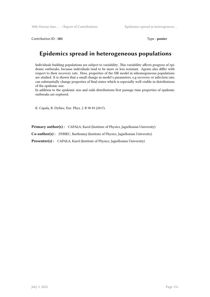Contribution ID: 185 Type : **poster** 

# **Epidemics spread in heterogeneous populations**

Individuals building populations are subject to variability. This variability affects progress of epidemic outbreaks, because individuals tend to be more or less resistant. Agents also differ with respect to their recovery rate. Here, properties of the SIR model in inhomogeneous populations are studied. It is shown that a small change in model's parameters, e.g recovery or infection rate, can substantially change properties of final states which is especially well-visible in distributions of the epidemic size.

In addition to the epidemic size and radii distributions first passage time properties of epidemic outbreaks are explored.

K. Capala, B. Dybiec, Eur. Phys. J. B 90 85 (2017).

**Primary author(s) :** CAPAŁA, Karol (Institute of Physics, Jagiellonian University)

**Co-author(s) :** DYBIEC, Bartłomiej (Institute of Physics, Jagiellonian University)

**Presenter(s) :** CAPAŁA, Karol (Institute of Physics, Jagiellonian University)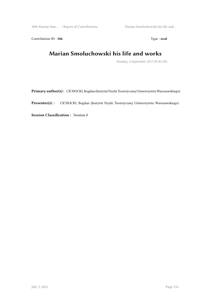30th Marian Smo ... / Report of Contributions Marian Smoluchowski his life and ...

Contribution ID : 186 Type : **oral** 

# **Marian Smoluchowski his life and works**

*Monday, 4 September 2017 09:30 (30)*

**Primary author(s) :** CICHOCKI, Bogdan (Instytut Fizyki Teoretycznej Uniwersytetu Warszawskiego)

**Presenter(s) :** CICHOCKI, Bogdan (Instytut Fizyki Teoretycznej Uniwersytetu Warszawskiego)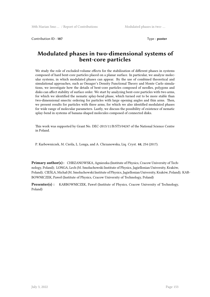Contribution ID : **187** Type : **poster** 

# **Modulated phases in two-dimensional systems of bent-core particles**

We study the role of excluded-volume effects for the stabilization of different phases in systems composed of hard bent-core particles placed on a planar surface. In particular, we analyze molecular systems, in which modulated phases can appear. By the use of combined theoretical and simulational approaches, such as Onsager's Density Functional Theory and Monte Carlo simulations, we investigate how the details of bent-core particles composed of needles, polygons and disks can affect stability of surface order. We start by analyzing bent-core particles with two arms, for which we identified the nematic splay-bend phase, which turned out to be more stable than two-dimensional smectic ordering for particles with large opening angles and thin arms. Then, we present results for particles with three arms, for which we also identified modulated phases for wide range of molecular parameters. Lastly, we discuss the possibility of existence of nematic splay-bend in systems of banana-shaped molecules composed of connected disks.

This work was supported by Grant No. DEC-2013/11/B/ST3/04247 of the National Science Centre in Poland.

P. Karbowniczek, M. Cieśla, L. Longa, and A. Chrzanowska, Liq. Cryst. **44**, 254 (2017).

**Primary author(s) :** CHRZANOWSKA, Agnieszka (Institute of Physics, Cracow University of Technology, Poland); LONGA, Lech (M. Smoluchowski Institute of Physics, Jagiellonian University, Kraków, Poland); CIEŚLA, Michał (M. Smoluchowski Institute of Physics, Jagiellonian University, Kraków, Poland); KAR-BOWNICZEK, Paweł (Institute of Physics, Cracow University of Technology, Poland)

**Presenter(s) :** KARBOWNICZEK, Paweł (Institute of Physics, Cracow University of Technology, Poland)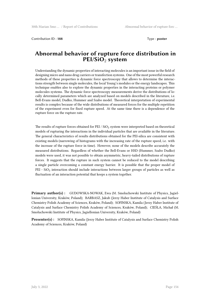Contribution ID : **188** Type : **poster** 

#### **Abnormal behavior of rupture force distribution in PEI/SiO**<sup>2</sup> **system**

Understanding the dynamic properties of interacting molecules is an important issue in the field of designing micro and nano drug carriers or transfection systems. One of the most powerful research methods of these properties is dynamic force spectroscopy that allows to determine the interactions strength between single molecules, the local Young's modules or the energy landscapes. This technique enables also to explore the dynamic properties in the interacting proteins or polymer molecules systems. The dynamic force spectroscopy measurements derive the distributions of locally determined parameters which are analyzed based on models described in the literature, i.e. Bell-Evans model, Dudko, Hummer and Szabo model. Theoretical interpretation of experimental results is complex because of the wide distributions of measured forces for the multiple repetition of the experiment even for fixed rupture speed. At the same time there is a dependence of the rupture force on the rupture rate.

The results of rupture forces obtained for PEI /  $SiO<sub>2</sub>$  system were interpreted based on theoretical models of rupturing the interactions in the individual particles that are available in the literature. The general characteristics of results distributions obtained for the PEI-silica are consistent with existing models (narrowing of histograms with the increasing rate of the rupture speed, i.e. with the increase of the rupture force in time). However, none of the models describe accurately the measured distributions. Regardless of whether the Bell-Evans or HSD (Hummer, Szabo Dudko) models were used, it was not possible to obtain asymmetric, heavy-tailed distributions of rupture forces. It suggests that the rupture in such system cannot be reduced to the model describing a single particle overcoming a constant energy barrier. It is possible that the proper model of PEI - SiO<sub>2</sub> interaction should include interactions between larger groups of particles as well as fluctuation of an interaction potential that keeps a system together.

**Primary author(s) :** GUDOWSKA-NOWAK, Ewa (M. Smoluchowski Institute of Physics, Jagiellonian University, Kraków, Poland); BARBASZ, Jakub (Jerzy Haber Institute of Catalysis and Surface Chemistry Polish Academy of Sciences, Kraków, Poland); SOFINSKA, Kamila (Jerzy Haber Institute of Catalysis and Surface Chemistry Polish Academy of Sciences, Kraków, Poland); CIEŚLA, Michał (M. Smoluchowski Institute of Physics, Jagiellonian University, Kraków, Poland)

**Presenter(s) :** SOFINSKA, Kamila (Jerzy Haber Institute of Catalysis and Surface Chemistry Polish Academy of Sciences, Kraków, Poland)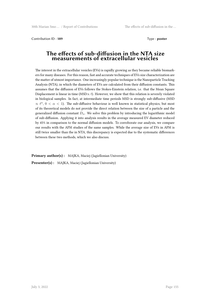Contribution ID: 189 **Type : poster** 

#### **The effects of sub-diffusion in the NTA size measurements of extracellular vesicles**

The interest in the extracellular vesicles (EVs) is rapidly growing as they became reliable biomarkers for many diseases. For this reason, fast and accurate techniques of EVs size characterization are the matter of utmost importance. One increasingly popular technique is the Nanoparticle Tracking Analysis (NTA), in which the diameters of EVs are calculated from their diffusion constants. This assumes that the diffusion of EVs follows the Stokes-Einstein relation, i.e. that the Mean Square Displacement is linear in time (MSD*∝ t*). However, we show that this relation is severely violated in biological samples. In fact, at intermediate time periods MSD is strongly sub-diffusive (MSD  $\propto t^{\alpha}$ ,  $0 < \alpha < 1$ ). The sub-diffusive behaviour is well known in statistical physics, but most of its theoretical models do not provide the direct relation between the size of a particle and the generalized diffusion constant  $D_\alpha$ . We solve this problem by introducing the logarithmic model of sub-diffusion. Applying it into analysis results in the average measured EV diameter reduced by 45% in comparison to the normal diffusion models. To corroborate our analysis, we compare our results with the AFM studies of the same samples. While the average size of EVs in AFM is still twice smaller than the in NTA, this discrepancy is expected due to the systematic differences between these two methods, which we also discuss.

**Primary author(s) :** MAJKA, Maciej (Jagiellonian University)

**Presenter(s) :** MAJKA, Maciej (Jagiellonian University)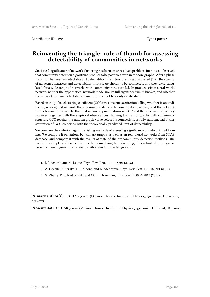Contribution ID : **190** Type : **poster** 

# **Reinventing the triangle: rule of thumb for assessing detectability of communities in networks**

Statistical significance of network clustering has been an unresolved problem since it was observed that community detection algorithms produce false positives even in random graphs. After a phase transition between undetectable and detectable cluster structures was discovered [1,2], the spectra of adjacency matrices and detectability limits were shown to be connected, and they were calculated for a wide range of networks with community structure [3]. In practice, given a real-world network neither the hypothetical network model nor its full eigenspectrum is known, and whether the network has any detectable communities cannot be easily established.

Based on the global clustering coefficient (GCC) we construct a criterion telling whether in an undirected, unweighted network there is some/no detectable community structure, or if the network is in a transient regime. To that end we use approximations of GCC and the spectra of adjacency matrices, together with the empirical observations showing that: a) for graphs with community structure GCC reaches the random graph value before its connectivity is fully random, and b) this saturation of GCC coincides with the theoretically predicted limit of detectability.

We compare the criterion against existing methods of assessing significance of network partitioning. We compute it on various benchmark graphs, as well as on real-world networks from SNAP database, and compare it with the results of state-of-the-art community detection methods. The method is simple and faster than methods involving bootstrapping; it is robust also on sparse networks. Analogous criteria are plausible also for directed graphs.

- 1. J. Reichardt and M. Leone, Phys. Rev. Lett. 101, 078701 (2008).
- 2. A. Decelle, F. Krzakala, C. Moore, and L. Zdeborova, Phys. Rev. Lett. 107, 065701 (2011).
- 3. X. Zhang, R. R. Nadakuditi, and M. E. J. Newman, Phys. Rev. E 89, 042816 (2014).

**Primary author(s) :** OCHAB, Jeremi (M. Smoluchowski Institute of Physics, Jagiellonian University, Kraków)

**Presenter(s) :** OCHAB, Jeremi (M. Smoluchowski Institute of Physics, Jagiellonian University, Kraków)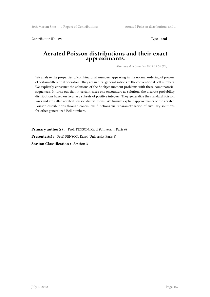Contribution ID : **191** Type : **oral**

#### **Aerated Poisson distributions and their exact approximants.**

*Monday, 4 September 2017 17:30 (20)*

We analyze the properties of combinatorial numbers appearing in the normal ordering of powers of certain differential operators. They are natural generalizations of the conventional Bell numbers. We explicitly construct the solutions of the Stieltjes moment problems with these combinatorial sequences. It turns out that in certain cases one encounters as solutions the discrete probability distributions based on lacunary subsets of positive integers. They generalize the standard Poisson laws and are called aerated Poisson distributions. We furnish explicit approximants of the aerated Poisson distributions through continuous functions via reparametrization of auxiliary solutions for other generalized Bell numbers.

Primary author(s): Prof. PENSON, Karol (University Paris 6)

Presenter(s) : Prof. PENSON, Karol (University Paris 6)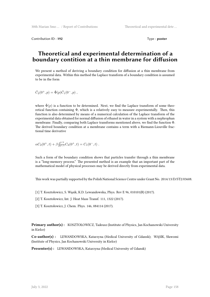Contribution ID: **192** Type : **poster** 

# **Theoretical and experimental determination of a boundary contition at a thin membrane for diffusion**

We present a method of deriving a boundary condition for diffusion at a thin membrane from experimental data. Within this method the Laplace transform of a boundary condition is assumed to be in the form

$$
\hat{C}_2(0^+,p) = \hat{\Phi}(p)\hat{C}_1(0^-,p) ,
$$

where  $\hat{\Phi}(p)$  is a function to be determined. Next, we find the Laplace transform of some theoretical function containing  $\Phi$ , which is a relatively easy to measure experimentally. Then, this function is also determined by means of a numerical calculation of the Laplace transform of the experimental data obtained for normal diffusion of ethanol in water in a system with a nephrophan membrane. Finally, comparing both Laplace transforms mentioned above, we find the function Φ. The derived boundary condition at a membrane contains a term with a Riemann-Liouville fractional time derivative

$$
\alpha C_2(0^+,t) + \beta \frac{\partial^{1/2}}{\partial t^{1/2}} C_2(0^+,t) = C_1(0^-,t) .
$$

Such a form of the boundary condition shows that particles transfer through a thin membrane is a "long-memory process." The presented method is an example that an important part of the mathematical model of physical processes may be derived directly from experimental data.

This work was partially supported by the Polish National Science Centre under Grant No. 2014/13/D/ST2/03608.

- [1] T. Kosztołowicz, S. Wąsik, K.D. Lewandowska, Phys. Rev E 96, 010101(R) (2017).
- [2] T. Kosztołowicz, Int. J. Heat Mass Transf. 111, 1322 (2017).
- [3] T. Kosztołowicz, J. Chem. Phys. 146, 084114 (2017).

**Primary author(s) :** KOSZTOŁOWICZ, Tadeusz (Institute of Physics, Jan Kochanowski University in Kielce)

**Co-author(s) :** LEWANDOWSKA, Katarzyna (Medical University of Gdansk); WĄSIK, Sławomi (Institute of Physics, Jan Kochanowski University in Kielce)

Presenter(s) : LEWANDOWSKA, Katarzyna (Medical University of Gdansk)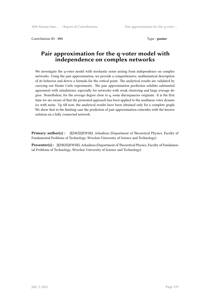Contribution ID : **193** Type : **poster**

# **Pair approximation for the q-voter model with independence on complex networks**

We investigate the q-voter model with stochastic noise arising from independence on complex networks. Using the pair approximation, we provide a comprehensive, mathematical description of its behavior and derive a formula for the critical point. The analytical results are validated by carrying out Monte Carlo experiments. The pair approximation prediction exhibits substantial agreement with simulations, especially for networks with weak clustering and large average degree. Nonetheless, for the average degree close to q, some discrepancies originate. It is the first time we are aware of that the presented approach has been applied to the nonlinear voter dynamics with noise. Up till now, the analytical results have been obtained only for a complete graph. We show that in the limiting case the prediction of pair approximation coincides with the known solution on a fully connected network.

**Primary author(s) :** JĘDRZEJEWSKI, Arkadiusz (Department of Theoretical Physics, Faculty of Fundamental Problems of Technology, Wrocław University of Science and Technology)

**Presenter(s) :** JĘDRZEJEWSKI, Arkadiusz (Department of Theoretical Physics, Faculty of Fundamental Problems of Technology, Wrocław University of Science and Technology)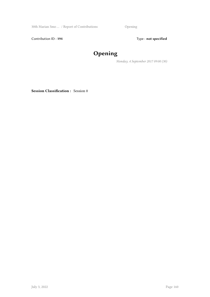30th Marian Smo … / Report of Contributions Opening

Contribution ID: 194 **Type**: **not specified** 

# **Opening**

*Monday, 4 September 2017 09:00 (30)*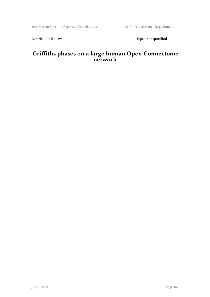Contribution ID: 195 Type: **not specified** 

# **Griffiths phases on a large human Open Connectome network**